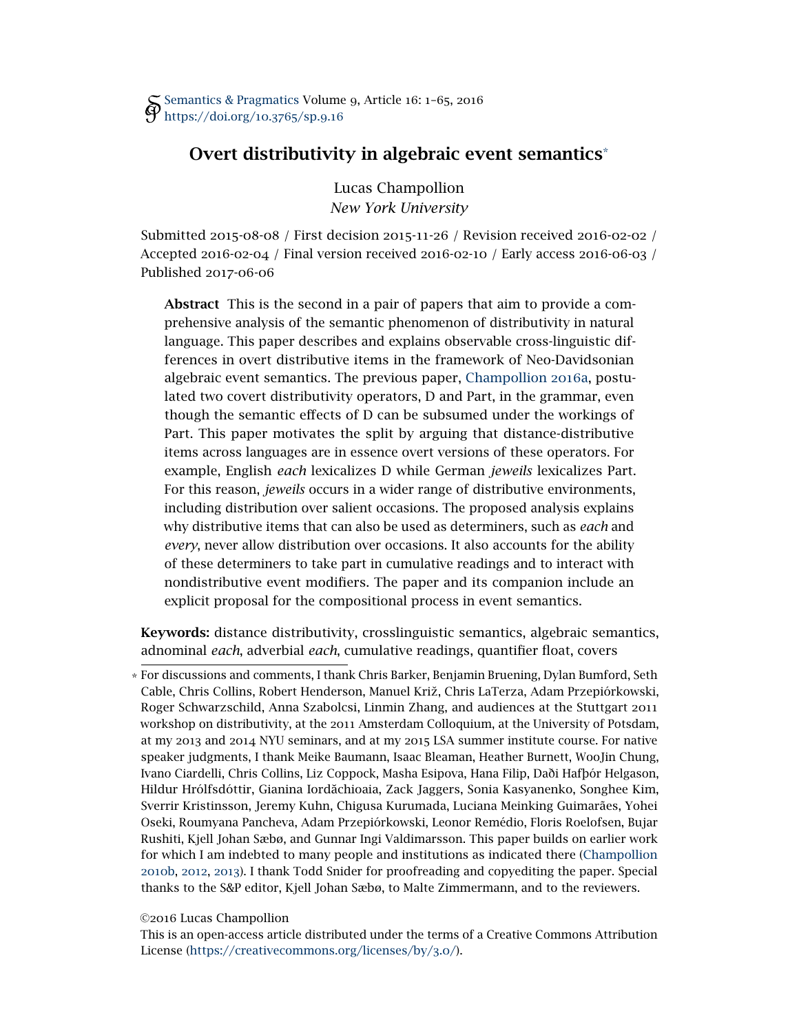Lucas Champollion *New York University*

Submitted 2015-08-08 */* First decision 2015-11-26 */* Revision received 2016-02-02 */* Accepted 2016-02-04 */* Final version received 2016-02-10 */* Early access 2016-06-03 */* Published 2017-06-06

Abstract This is the second in a pair of papers that aim to provide a comprehensive analysis of the semantic phenomenon of distributivity in natural language. This paper describes and explains observable cross-linguistic differences in overt distributive items in the framework of Neo-Davidsonian algebraic event semantics. The previous paper, [Champollion](#page-57-0) 2016a, postulated two covert distributivity operators, D and Part, in the grammar, even though the semantic effects of D can be subsumed under the workings of Part. This paper motivates the split by arguing that distance-distributive items across languages are in essence overt versions of these operators. For example, English *each* lexicalizes D while German *jeweils* lexicalizes Part. For this reason, *jeweils* occurs in a wider range of distributive environments, including distribution over salient occasions. The proposed analysis explains why distributive items that can also be used as determiners, such as *each* and *every*, never allow distribution over occasions. It also accounts for the ability of these determiners to take part in cumulative readings and to interact with nondistributive event modifiers. The paper and its companion include an explicit proposal for the compositional process in event semantics.

Keywords: distance distributivity, crosslinguistic semantics, algebraic semantics, adnominal *each*, adverbial *each*, cumulative readings, quantifier float, covers

#### ©2016 Lucas Champollion

This is an open-access article distributed under the terms of a Creative Commons Attribution License [\(https://creativecommons.org/licenses/by/](https://creativecommons.org/licenses/by/3.0/)3.0/).

<sup>\*</sup> For discussions and comments, I thank Chris Barker, Benjamin Bruening, Dylan Bumford, Seth Cable, Chris Collins, Robert Henderson, Manuel Križ, Chris LaTerza, Adam Przepiórkowski, Roger Schwarzschild, Anna Szabolcsi, Linmin Zhang, and audiences at the Stuttgart 2011 workshop on distributivity, at the 2011 Amsterdam Colloquium, at the University of Potsdam, at my 2013 and 2014 NYU seminars, and at my 2015 LSA summer institute course. For native speaker judgments, I thank Meike Baumann, Isaac Bleaman, Heather Burnett, WooJin Chung, Ivano Ciardelli, Chris Collins, Liz Coppock, Masha Esipova, Hana Filip, Daði Hafþór Helgason, Hildur Hrólfsdóttir, Gianina Iordăchioaia, Zack Jaggers, Sonia Kasyanenko, Songhee Kim, Sverrir Kristinsson, Jeremy Kuhn, Chigusa Kurumada, Luciana Meinking Guimarães, Yohei Oseki, Roumyana Pancheva, Adam Przepiórkowski, Leonor Remédio, Floris Roelofsen, Bujar Rushiti, Kjell Johan Sæbø, and Gunnar Ingi Valdimarsson. This paper builds on earlier work for which I am indebted to many people and institutions as indicated there [\(Champollion](#page-56-0) [2010](#page-56-0)b, [2012](#page-56-1), [2013](#page-57-1)). I thank Todd Snider for proofreading and copyediting the paper. Special thanks to the S&P editor, Kjell Johan Sæbø, to Malte Zimmermann, and to the reviewers.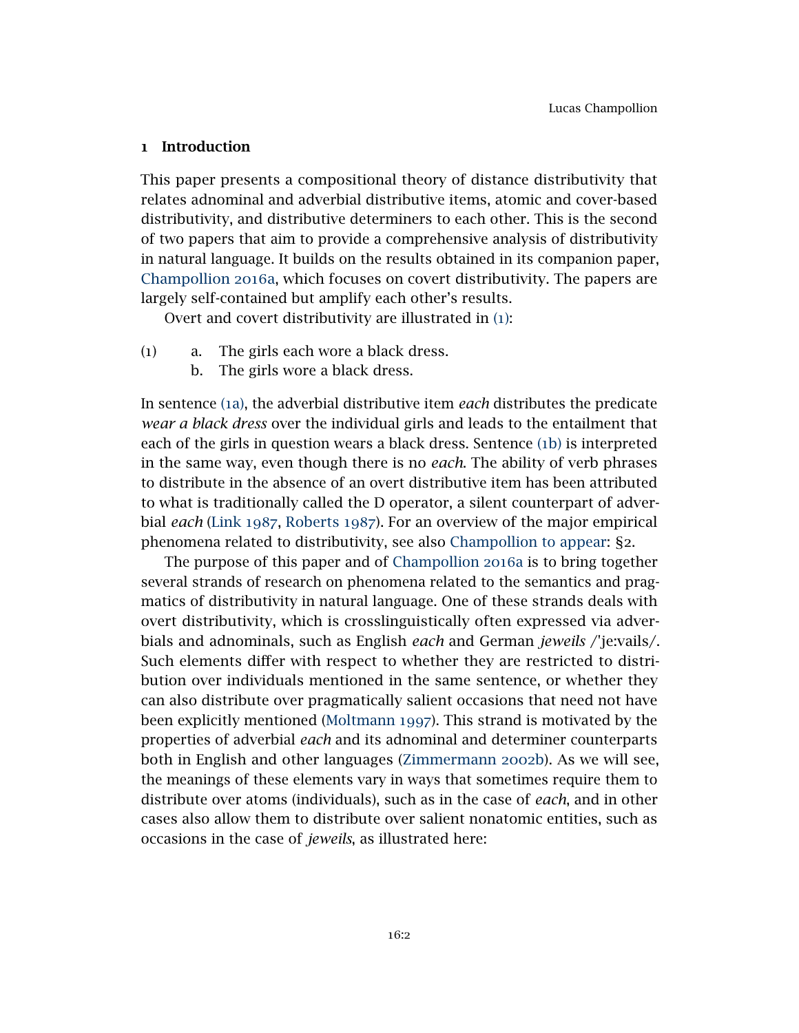## 1 Introduction

This paper presents a compositional theory of distance distributivity that relates adnominal and adverbial distributive items, atomic and cover-based distributivity, and distributive determiners to each other. This is the second of two papers that aim to provide a comprehensive analysis of distributivity in natural language. It builds on the results obtained in its companion paper, [Champollion](#page-57-0) 2016a, which focuses on covert distributivity. The papers are largely self-contained but amplify each other's results.

Overt and covert distributivity are illustrated in ([1](#page-1-0)):

- <span id="page-1-2"></span><span id="page-1-1"></span><span id="page-1-0"></span>(1) a. The girls each wore a black dress.
	- b. The girls wore a black dress.

In sentence (1[a\),](#page-1-1) the adverbial distributive item *each* distributes the predicate *wear a black dress* over the individual girls and leads to the entailment that each of the girls in question wears a black dress. Sentence (1[b\)](#page-1-2) is interpreted in the same way, even though there is no *each*. The ability of verb phrases to distribute in the absence of an overt distributive item has been attributed to what is traditionally called the D operator, a silent counterpart of adverbial *each* [\(Link](#page-60-0) 1987, [Roberts](#page-62-0) 1987). For an overview of the major empirical phenomena related to distributivity, see also [Champollion to appear:](#page-56-2) §2.

<span id="page-1-3"></span>The purpose of this paper and of [Champollion](#page-57-0) 2016a is to bring together several strands of research on phenomena related to the semantics and pragmatics of distributivity in natural language. One of these strands deals with overt distributivity, which is crosslinguistically often expressed via adverbials and adnominals, such as English *each* and German *jeweils* /'je:vails/. Such elements differ with respect to whether they are restricted to distribution over individuals mentioned in the same sentence, or whether they can also distribute over pragmatically salient occasions that need not have been explicitly mentioned [\(Moltmann](#page-60-1) 1997). This strand is motivated by the properties of adverbial *each* and its adnominal and determiner counterparts both in English and other languages [\(Zimmermann](#page-63-0) 2002b). As we will see, the meanings of these elements vary in ways that sometimes require them to distribute over atoms (individuals), such as in the case of *each*, and in other cases also allow them to distribute over salient nonatomic entities, such as occasions in the case of *jeweils*, as illustrated here: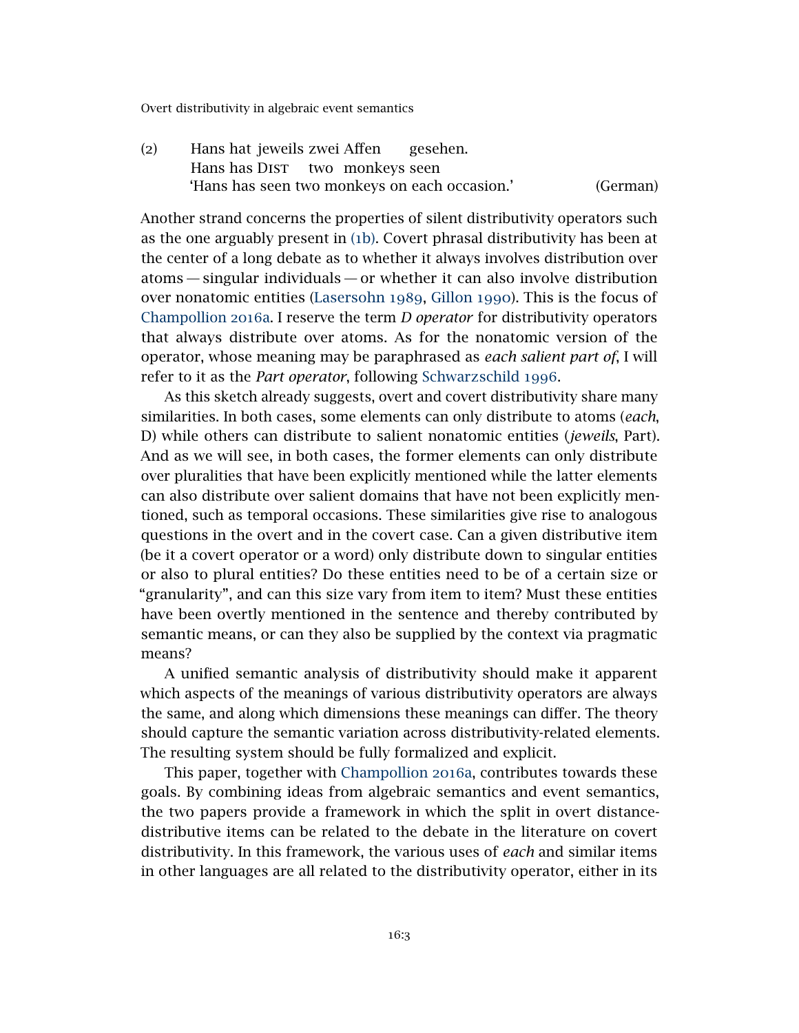(2) Hans hat jeweils zwei Affen Hans has DIST two monkeys seen gesehen. 'Hans has seen two monkeys on each occasion.' (German)

Another strand concerns the properties of silent distributivity operators such as the one arguably present in (1[b\).](#page-1-2) Covert phrasal distributivity has been at the center of a long debate as to whether it always involves distribution over atoms— singular individuals— or whether it can also involve distribution over nonatomic entities [\(Lasersohn](#page-60-2) 1989, [Gillon](#page-59-0) 1990). This is the focus of [Champollion](#page-57-0) 2016a. I reserve the term *D operator* for distributivity operators that always distribute over atoms. As for the nonatomic version of the operator, whose meaning may be paraphrased as *each salient part of*, I will refer to it as the *Part operator*, following [Schwarzschild](#page-62-1) 1996.

As this sketch already suggests, overt and covert distributivity share many similarities. In both cases, some elements can only distribute to atoms (*each*, D) while others can distribute to salient nonatomic entities (*jeweils*, Part). And as we will see, in both cases, the former elements can only distribute over pluralities that have been explicitly mentioned while the latter elements can also distribute over salient domains that have not been explicitly mentioned, such as temporal occasions. These similarities give rise to analogous questions in the overt and in the covert case. Can a given distributive item (be it a covert operator or a word) only distribute down to singular entities or also to plural entities? Do these entities need to be of a certain size or "granularity", and can this size vary from item to item? Must these entities have been overtly mentioned in the sentence and thereby contributed by semantic means, or can they also be supplied by the context via pragmatic means?

A unified semantic analysis of distributivity should make it apparent which aspects of the meanings of various distributivity operators are always the same, and along which dimensions these meanings can differ. The theory should capture the semantic variation across distributivity-related elements. The resulting system should be fully formalized and explicit.

This paper, together with [Champollion](#page-57-0) 2016a, contributes towards these goals. By combining ideas from algebraic semantics and event semantics, the two papers provide a framework in which the split in overt distancedistributive items can be related to the debate in the literature on covert distributivity. In this framework, the various uses of *each* and similar items in other languages are all related to the distributivity operator, either in its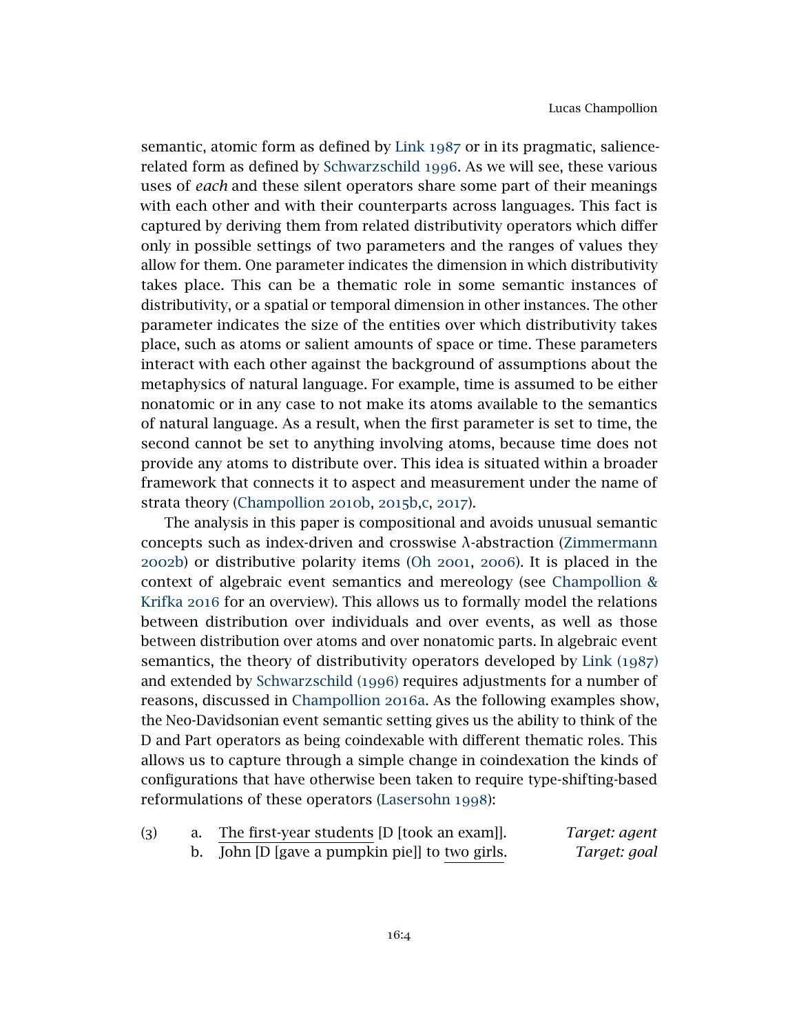semantic, atomic form as defined by [Link](#page-60-0) 1987 or in its pragmatic, saliencerelated form as defined by [Schwarzschild](#page-62-1) 1996. As we will see, these various uses of *each* and these silent operators share some part of their meanings with each other and with their counterparts across languages. This fact is captured by deriving them from related distributivity operators which differ only in possible settings of two parameters and the ranges of values they allow for them. One parameter indicates the dimension in which distributivity takes place. This can be a thematic role in some semantic instances of distributivity, or a spatial or temporal dimension in other instances. The other parameter indicates the size of the entities over which distributivity takes place, such as atoms or salient amounts of space or time. These parameters interact with each other against the background of assumptions about the metaphysics of natural language. For example, time is assumed to be either nonatomic or in any case to not make its atoms available to the semantics of natural language. As a result, when the first parameter is set to time, the second cannot be set to anything involving atoms, because time does not provide any atoms to distribute over. This idea is situated within a broader framework that connects it to aspect and measurement under the name of strata theory [\(Champollion](#page-56-0) 2010b, [2015](#page-57-2)b[,c,](#page-57-3) [2017](#page-57-4)).

The analysis in this paper is compositional and avoids unusual semantic concepts such as index-driven and crosswise *λ*-abstraction [\(Zimmermann](#page-63-0) [2002](#page-63-0)b) or distributive polarity items (Oh [2001](#page-61-0), [2006](#page-61-1)). It is placed in the context of algebraic event semantics and mereology (see [Champollion &](#page-57-5) [Krifka](#page-57-5) 2016 for an overview). This allows us to formally model the relations between distribution over individuals and over events, as well as those between distribution over atoms and over nonatomic parts. In algebraic event semantics, the theory of distributivity operators developed by [Link \(](#page-60-0)1987) and extended by [Schwarzschild \(](#page-62-1)1996) requires adjustments for a number of reasons, discussed in [Champollion](#page-57-0) 2016a. As the following examples show, the Neo-Davidsonian event semantic setting gives us the ability to think of the D and Part operators as being coindexable with different thematic roles. This allows us to capture through a simple change in coindexation the kinds of configurations that have otherwise been taken to require type-shifting-based reformulations of these operators [\(Lasersohn](#page-60-3) 1998):

| $\left( 3\right)$ | a. The first-year students [D [took an exam]]. | Target: agent |
|-------------------|------------------------------------------------|---------------|
|                   | b. John [D [gave a pumpkin pie]] to two girls. | Target: goal  |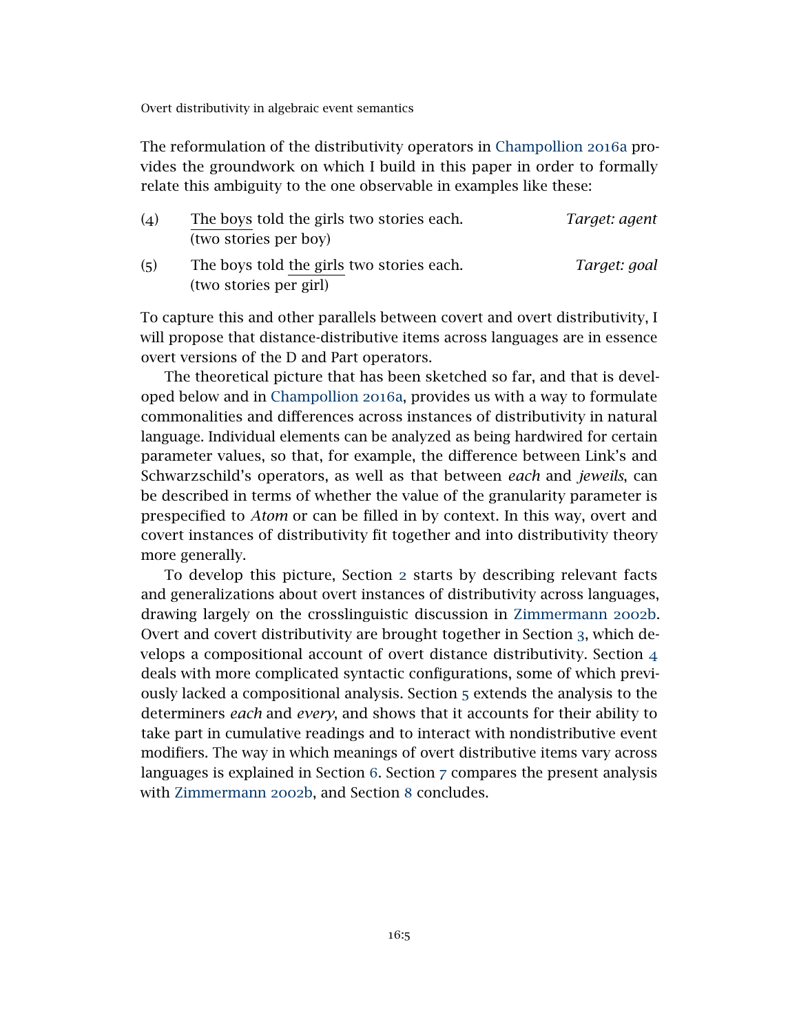The reformulation of the distributivity operators in [Champollion](#page-57-0) 2016a provides the groundwork on which I build in this paper in order to formally relate this ambiguity to the one observable in examples like these:

<span id="page-4-1"></span><span id="page-4-0"></span>

| (4) | The boys told the girls two stories each.<br>(two stories per boy)  | Target: agent |
|-----|---------------------------------------------------------------------|---------------|
| (5) | The boys told the girls two stories each.<br>(two stories per girl) | Target: goal  |

To capture this and other parallels between covert and overt distributivity, I will propose that distance-distributive items across languages are in essence overt versions of the D and Part operators.

The theoretical picture that has been sketched so far, and that is developed below and in [Champollion](#page-57-0) 2016a, provides us with a way to formulate commonalities and differences across instances of distributivity in natural language. Individual elements can be analyzed as being hardwired for certain parameter values, so that, for example, the difference between Link's and Schwarzschild's operators, as well as that between *each* and *jeweils*, can be described in terms of whether the value of the granularity parameter is prespecified to *Atom* or can be filled in by context. In this way, overt and covert instances of distributivity fit together and into distributivity theory more generally.

To develop this picture, Section [2](#page-5-0) starts by describing relevant facts and generalizations about overt instances of distributivity across languages, drawing largely on the crosslinguistic discussion in [Zimmermann](#page-63-0) 2002b. Overt and covert distributivity are brought together in Section [3](#page-20-0), which develops a compositional account of overt distance distributivity. Section [4](#page-30-0) deals with more complicated syntactic configurations, some of which previously lacked a compositional analysis. Section [5](#page-38-0) extends the analysis to the determiners *each* and *every*, and shows that it accounts for their ability to take part in cumulative readings and to interact with nondistributive event modifiers. The way in which meanings of overt distributive items vary across languages is explained in Section [6](#page-45-0). Section [7](#page-49-0) compares the present analysis with [Zimmermann](#page-63-0) 2002b, and Section [8](#page-53-0) concludes.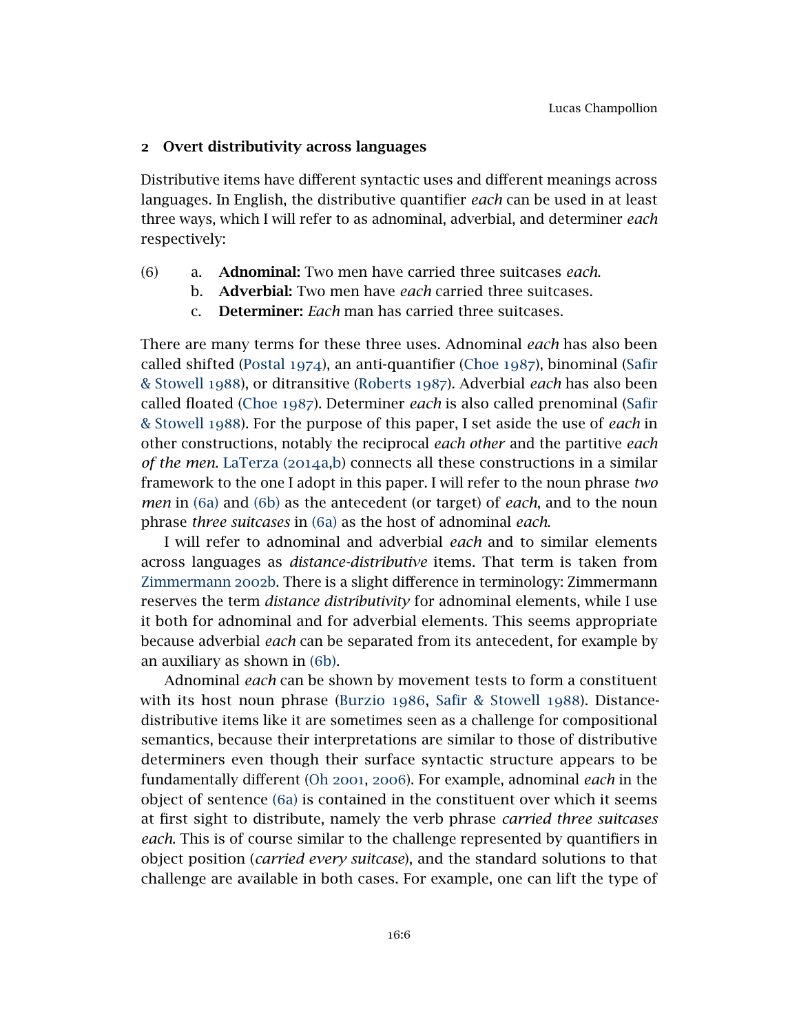## <span id="page-5-0"></span>2 Overt distributivity across languages

Distributive items have different syntactic uses and different meanings across languages. In English, the distributive quantifier *each* can be used in at least three ways, which I will refer to as adnominal, adverbial, and determiner *each* respectively:

- <span id="page-5-2"></span><span id="page-5-1"></span>(6) a. Adnominal: Two men have carried three suitcases *each*.
	- b. Adverbial: Two men have *each* carried three suitcases.
	- c. Determiner: *Each* man has carried three suitcases.

There are many terms for these three uses. Adnominal *each* has also been called shifted [\(Postal](#page-61-2) 1974), an anti-quantifier [\(Choe](#page-57-6) 1987), binominal [\(Safir](#page-62-2) [& Stowell](#page-62-2) 1988), or ditransitive [\(Roberts](#page-62-0) 1987). Adverbial *each* has also been called floated [\(Choe](#page-57-6) 1987). Determiner *each* is also called prenominal [\(Safir](#page-62-2) [& Stowell](#page-62-2) 1988). For the purpose of this paper, I set aside the use of *each* in other constructions, notably the reciprocal *each other* and the partitive *each of the men*. [LaTerza \(](#page-60-4)2014a[,b\)](#page-60-5) connects all these constructions in a similar framework to the one I adopt in this paper. I will refer to the noun phrase *two men* in (6[a\)](#page-5-1) and (6[b\)](#page-5-2) as the antecedent (or target) of *each*, and to the noun phrase *three suitcases* in (6[a\)](#page-5-1) as the host of adnominal *each*.

I will refer to adnominal and adverbial *each* and to similar elements across languages as *distance-distributive* items. That term is taken from [Zimmermann](#page-63-0) 2002b. There is a slight difference in terminology: Zimmermann reserves the term *distance distributivity* for adnominal elements, while I use it both for adnominal and for adverbial elements. This seems appropriate because adverbial *each* can be separated from its antecedent, for example by an auxiliary as shown in (6[b\).](#page-5-2)

Adnominal *each* can be shown by movement tests to form a constituent with its host noun phrase [\(Burzio](#page-56-3) 1986, [Safir & Stowell](#page-62-2) 1988). Distancedistributive items like it are sometimes seen as a challenge for compositional semantics, because their interpretations are similar to those of distributive determiners even though their surface syntactic structure appears to be fundamentally different (Oh [2001](#page-61-0), [2006](#page-61-1)). For example, adnominal *each* in the object of sentence (6[a\)](#page-5-1) is contained in the constituent over which it seems at first sight to distribute, namely the verb phrase *carried three suitcases each*. This is of course similar to the challenge represented by quantifiers in object position (*carried every suitcase*), and the standard solutions to that challenge are available in both cases. For example, one can lift the type of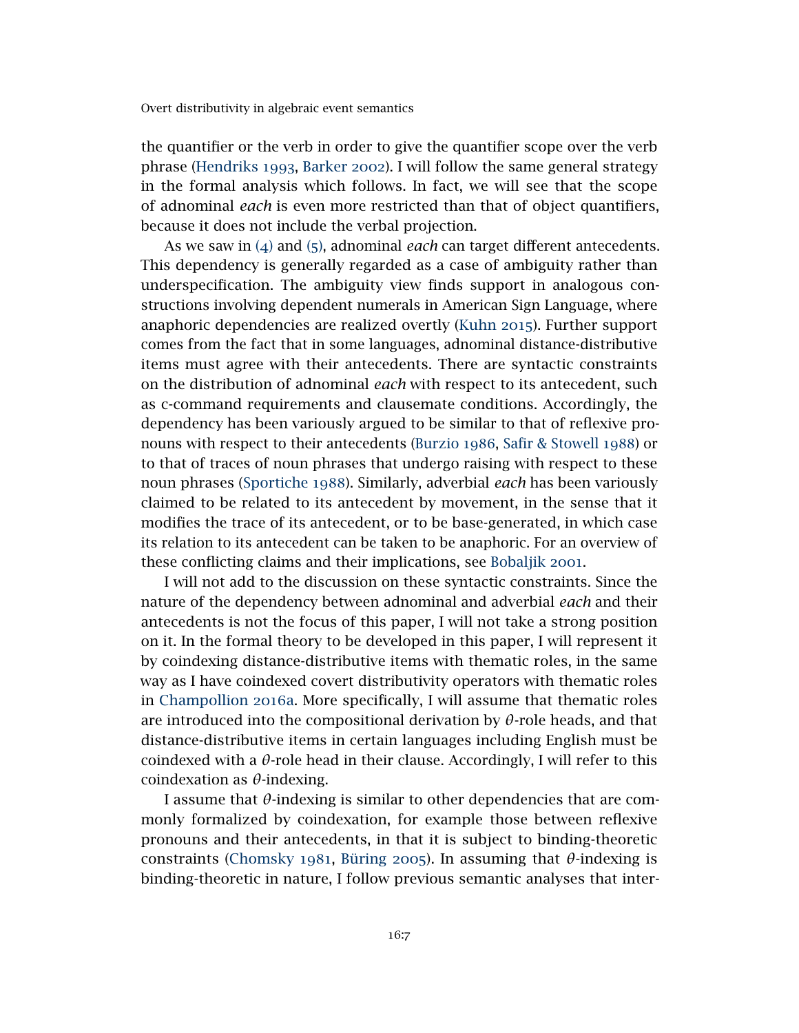the quantifier or the verb in order to give the quantifier scope over the verb phrase [\(Hendriks](#page-59-1) 1993, [Barker](#page-55-0) 2002). I will follow the same general strategy in the formal analysis which follows. In fact, we will see that the scope of adnominal *each* is even more restricted than that of object quantifiers, because it does not include the verbal projection.

As we saw in ([4](#page-4-0)) and ([5](#page-4-1)), adnominal *each* can target different antecedents. This dependency is generally regarded as a case of ambiguity rather than underspecification. The ambiguity view finds support in analogous constructions involving dependent numerals in American Sign Language, where anaphoric dependencies are realized overtly [\(Kuhn](#page-59-2) 2015). Further support comes from the fact that in some languages, adnominal distance-distributive items must agree with their antecedents. There are syntactic constraints on the distribution of adnominal *each* with respect to its antecedent, such as c-command requirements and clausemate conditions. Accordingly, the dependency has been variously argued to be similar to that of reflexive pronouns with respect to their antecedents [\(Burzio](#page-56-3) 1986, [Safir & Stowell](#page-62-2) 1988) or to that of traces of noun phrases that undergo raising with respect to these noun phrases [\(Sportiche](#page-62-3) 1988). Similarly, adverbial *each* has been variously claimed to be related to its antecedent by movement, in the sense that it modifies the trace of its antecedent, or to be base-generated, in which case its relation to its antecedent can be taken to be anaphoric. For an overview of these conflicting claims and their implications, see [Bobaljik](#page-56-4) 2001.

I will not add to the discussion on these syntactic constraints. Since the nature of the dependency between adnominal and adverbial *each* and their antecedents is not the focus of this paper, I will not take a strong position on it. In the formal theory to be developed in this paper, I will represent it by coindexing distance-distributive items with thematic roles, in the same way as I have coindexed covert distributivity operators with thematic roles in [Champollion](#page-57-0) 2016a. More specifically, I will assume that thematic roles are introduced into the compositional derivation by *θ*-role heads, and that distance-distributive items in certain languages including English must be coindexed with a *θ*-role head in their clause. Accordingly, I will refer to this coindexation as *θ*-indexing.

I assume that *θ*-indexing is similar to other dependencies that are commonly formalized by coindexation, for example those between reflexive pronouns and their antecedents, in that it is subject to binding-theoretic constraints [\(Chomsky](#page-57-7) 1981, [Büring](#page-56-5) 2005). In assuming that *θ*-indexing is binding-theoretic in nature, I follow previous semantic analyses that inter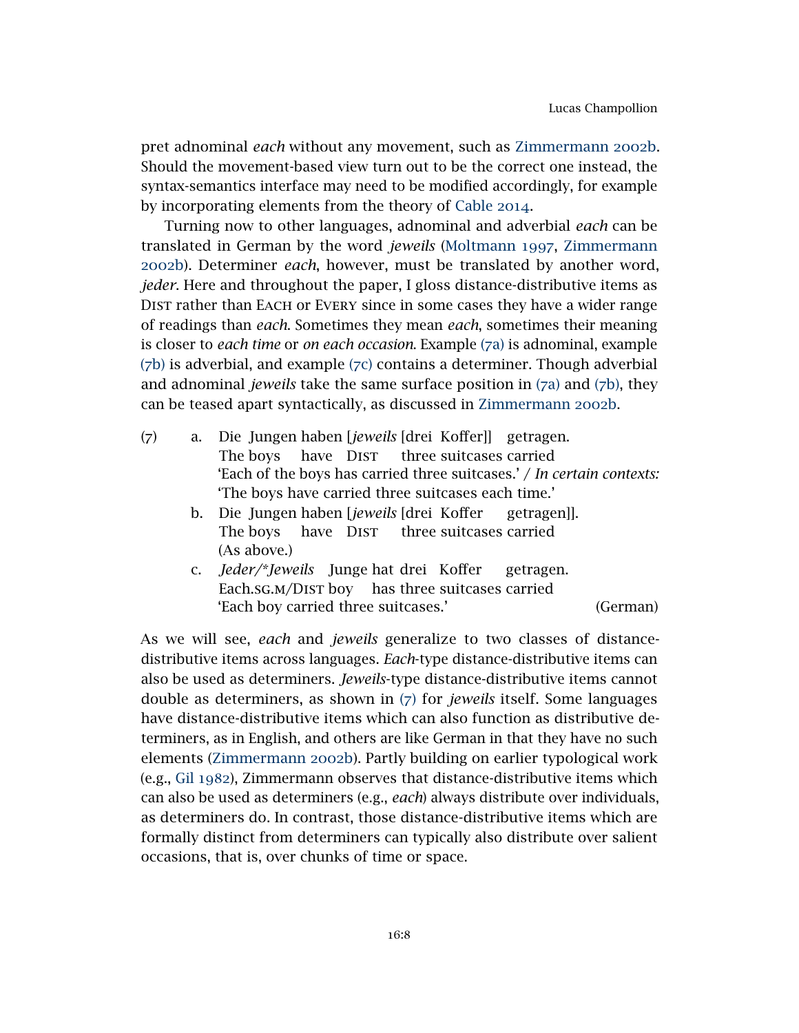pret adnominal *each* without any movement, such as [Zimmermann](#page-63-0) 2002b. Should the movement-based view turn out to be the correct one instead, the syntax-semantics interface may need to be modified accordingly, for example by incorporating elements from the theory of [Cable](#page-56-6) 2014.

Turning now to other languages, adnominal and adverbial *each* can be translated in German by the word *jeweils* [\(Moltmann](#page-60-1) 1997, [Zimmermann](#page-63-0) [2002](#page-63-0)b). Determiner *each*, however, must be translated by another word, *jeder*. Here and throughout the paper, I gloss distance-distributive items as DIST rather than EACH or EVERY since in some cases they have a wider range of readings than *each*. Sometimes they mean *each*, sometimes their meaning is closer to *each time* or *on each occasion*. Example (7[a\)](#page-7-0) is adnominal, example (7[b\)](#page-7-1) is adverbial, and example (7[c\)](#page-7-2) contains a determiner. Though adverbial and adnominal *jeweils* take the same surface position in (7[a\)](#page-7-0) and (7[b\),](#page-7-1) they can be teased apart syntactically, as discussed in [Zimmermann](#page-63-0) 2002b.

<span id="page-7-3"></span><span id="page-7-1"></span><span id="page-7-0"></span>

| (7) | a. Die Jungen haben <i>[jeweils</i> [drei Koffer]] getragen.           |
|-----|------------------------------------------------------------------------|
|     | The boys have DIST three suitcases carried                             |
|     | 'Each of the boys has carried three suitcases.' / In certain contexts: |
|     | 'The boys have carried three suitcases each time.'                     |
|     | b. Die Jungen haben [jeweils [drei Koffer getragen]].                  |
|     | The boys have DIST three suitcases carried                             |
|     | (As above.)                                                            |
|     | c. <i>Jeder/*Jeweils</i> Junge hat drei Koffer getragen.               |
|     | Each.sG.M/DIST boy has three suitcases carried                         |

'Each boy carried three suitcases.' (German)

<span id="page-7-2"></span>As we will see, *each* and *jeweils* generalize to two classes of distancedistributive items across languages. *Each*-type distance-distributive items can also be used as determiners. *Jeweils*-type distance-distributive items cannot double as determiners, as shown in ([7](#page-7-3)) for *jeweils* itself. Some languages have distance-distributive items which can also function as distributive determiners, as in English, and others are like German in that they have no such elements [\(Zimmermann](#page-63-0) 2002b). Partly building on earlier typological work (e.g., Gil [1982](#page-58-0)), Zimmermann observes that distance-distributive items which can also be used as determiners (e.g., *each*) always distribute over individuals, as determiners do. In contrast, those distance-distributive items which are formally distinct from determiners can typically also distribute over salient occasions, that is, over chunks of time or space.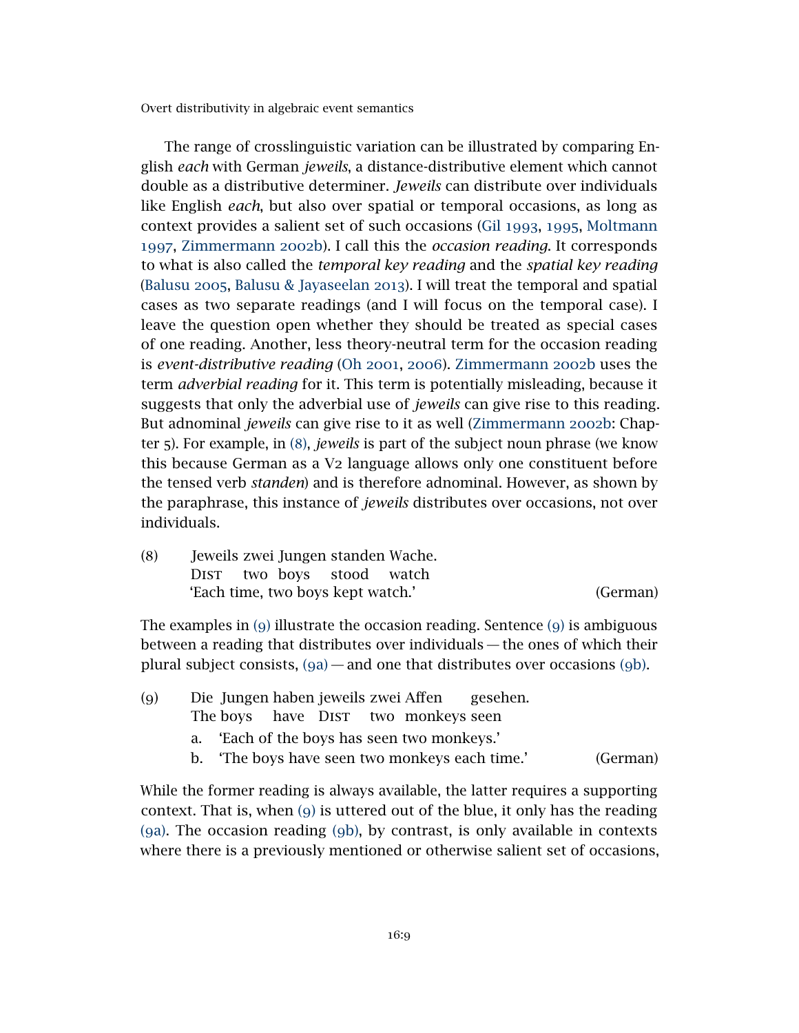The range of crosslinguistic variation can be illustrated by comparing English *each* with German *jeweils*, a distance-distributive element which cannot double as a distributive determiner. *Jeweils* can distribute over individuals like English *each*, but also over spatial or temporal occasions, as long as context provides a salient set of such occasions (Gil [1993](#page-58-1), [1995](#page-58-2), [Moltmann](#page-60-1) [1997](#page-60-1), [Zimmermann](#page-63-0) 2002b). I call this the *occasion reading*. It corresponds to what is also called the *temporal key reading* and the *spatial key reading* [\(Balusu](#page-55-1) 2005, [Balusu & Jayaseelan](#page-55-2) 2013). I will treat the temporal and spatial cases as two separate readings (and I will focus on the temporal case). I leave the question open whether they should be treated as special cases of one reading. Another, less theory-neutral term for the occasion reading is *event-distributive reading* (Oh [2001](#page-61-0), [2006](#page-61-1)). [Zimmermann](#page-63-0) 2002b uses the term *adverbial reading* for it. This term is potentially misleading, because it suggests that only the adverbial use of *jeweils* can give rise to this reading. But adnominal *jeweils* can give rise to it as well [\(Zimmermann](#page-63-0) 2002b: Chapter 5). For example, in ([8](#page-8-0)), *jeweils* is part of the subject noun phrase (we know this because German as a V2 language allows only one constituent before the tensed verb *standen*) and is therefore adnominal. However, as shown by the paraphrase, this instance of *jeweils* distributes over occasions, not over individuals.

<span id="page-8-0"></span>

| (8) |                                   | Jeweils zwei Jungen standen Wache. |  |  |  |
|-----|-----------------------------------|------------------------------------|--|--|--|
|     |                                   | DIST two boys stood watch          |  |  |  |
|     | 'Each time, two boys kept watch.' | (German)                           |  |  |  |

The examples in  $(9)$  $(9)$  $(9)$  illustrate the occasion reading. Sentence  $(9)$  is ambiguous between a reading that distributes over individuals — the ones of which their plural subject consists,  $(ga)$  $(ga)$  — and one that distributes over occasions  $(gb)$ .

<span id="page-8-2"></span><span id="page-8-1"></span>(9) Die Jungen haben jeweils zwei Affen The boys have DIST two monkeys seen gesehen. a. 'Each of the boys has seen two monkeys.' b. 'The boys have seen two monkeys each time.' (German)

<span id="page-8-3"></span>While the former reading is always available, the latter requires a supporting context. That is, when  $(9)$  $(9)$  $(9)$  is uttered out of the blue, it only has the reading (9[a\).](#page-8-2) The occasion reading (9[b\),](#page-8-3) by contrast, is only available in contexts where there is a previously mentioned or otherwise salient set of occasions,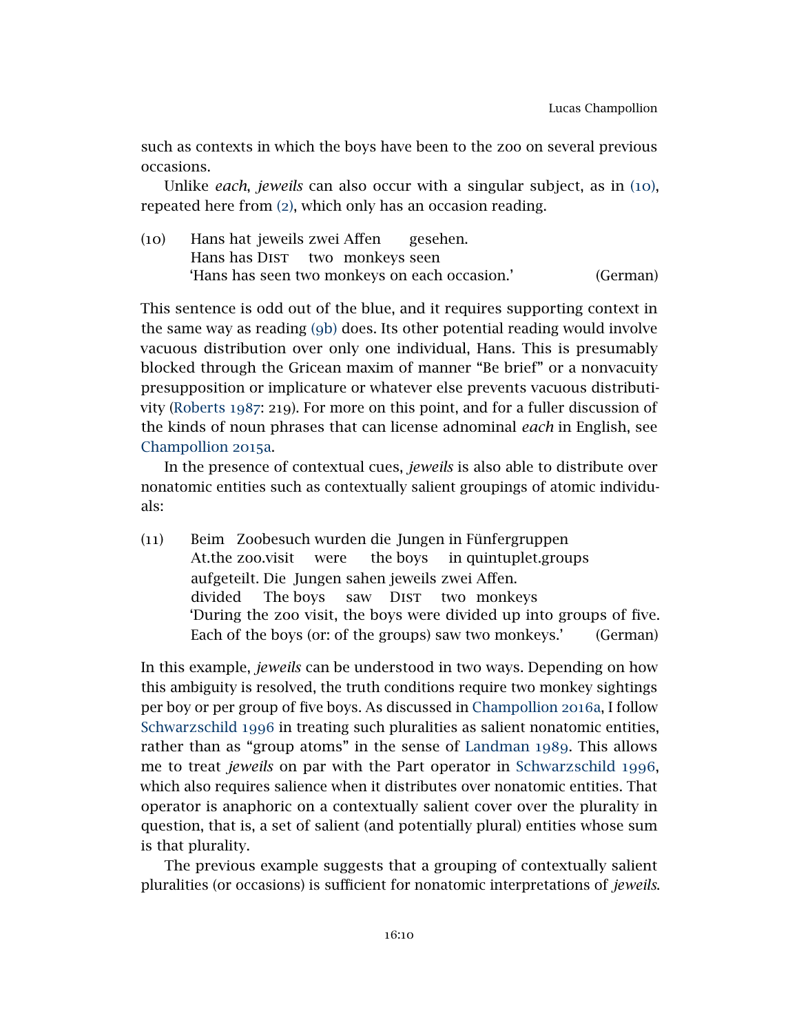such as contexts in which the boys have been to the zoo on several previous occasions.

Unlike *each*, *jeweils* can also occur with a singular subject, as in ([10](#page-9-0)), repeated here from ([2](#page-1-3)), which only has an occasion reading.

<span id="page-9-0"></span>(10) Hans hat jeweils zwei Affen Hans has DIST two monkeys seen gesehen. 'Hans has seen two monkeys on each occasion.' (German)

This sentence is odd out of the blue, and it requires supporting context in the same way as reading (9[b\)](#page-8-3) does. Its other potential reading would involve vacuous distribution over only one individual, Hans. This is presumably blocked through the Gricean maxim of manner "Be brief" or a nonvacuity presupposition or implicature or whatever else prevents vacuous distributivity [\(Roberts](#page-62-0) 1987: 219). For more on this point, and for a fuller discussion of the kinds of noun phrases that can license adnominal *each* in English, see [Champollion](#page-57-8) 2015a.

In the presence of contextual cues, *jeweils* is also able to distribute over nonatomic entities such as contextually salient groupings of atomic individuals:

(11) Beim Zoobesuch wurden die Jungen in Fünfergruppen At.the zoo.visit were the boys in quintuplet.groups aufgeteilt. Die Jungen sahen jeweils zwei Affen. divided The boys saw DIST two monkeys 'During the zoo visit, the boys were divided up into groups of five. Each of the boys (or: of the groups) saw two monkeys.' (German)

In this example, *jeweils* can be understood in two ways. Depending on how this ambiguity is resolved, the truth conditions require two monkey sightings per boy or per group of five boys. As discussed in [Champollion](#page-57-0) 2016a, I follow [Schwarzschild](#page-62-1) 1996 in treating such pluralities as salient nonatomic entities, rather than as "group atoms" in the sense of [Landman](#page-60-6) 1989. This allows me to treat *jeweils* on par with the Part operator in [Schwarzschild](#page-62-1) 1996, which also requires salience when it distributes over nonatomic entities. That operator is anaphoric on a contextually salient cover over the plurality in question, that is, a set of salient (and potentially plural) entities whose sum is that plurality.

The previous example suggests that a grouping of contextually salient pluralities (or occasions) is sufficient for nonatomic interpretations of *jeweils*.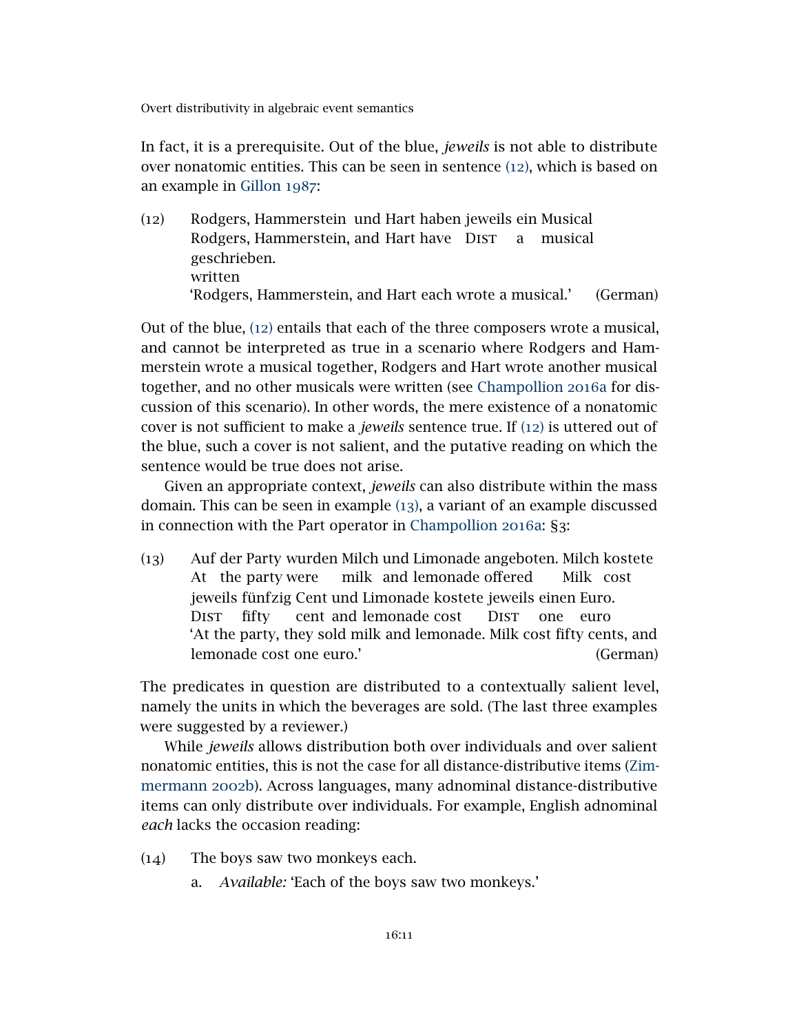In fact, it is a prerequisite. Out of the blue, *jeweils* is not able to distribute over nonatomic entities. This can be seen in sentence ([12](#page-10-0)), which is based on an example in [Gillon](#page-58-3) 1987:

<span id="page-10-0"></span>(12) Rodgers, Hammerstein und Hart haben jeweils ein Musical Rodgers, Hammerstein, and Hart have DIST a musical geschrieben. written 'Rodgers, Hammerstein, and Hart each wrote a musical.' (German)

Out of the blue, ([12](#page-10-0)) entails that each of the three composers wrote a musical, and cannot be interpreted as true in a scenario where Rodgers and Hammerstein wrote a musical together, Rodgers and Hart wrote another musical together, and no other musicals were written (see [Champollion](#page-57-0) 2016a for discussion of this scenario). In other words, the mere existence of a nonatomic cover is not sufficient to make a *jeweils* sentence true. If ([12](#page-10-0)) is uttered out of the blue, such a cover is not salient, and the putative reading on which the sentence would be true does not arise.

Given an appropriate context, *jeweils* can also distribute within the mass domain. This can be seen in example ([13](#page-10-1)), a variant of an example discussed in connection with the Part operator in [Champollion](#page-57-0) 2016a: §3:

<span id="page-10-1"></span>(13) Auf der Party wurden Milch und Limonade angeboten. Milch kostete At the party were milk and lemonade offered Milk cost jeweils fünfzig Cent und Limonade kostete jeweils einen Euro. **DIST** fifty cent and lemonade cost Dist one euro 'At the party, they sold milk and lemonade. Milk cost fifty cents, and lemonade cost one euro.' (German)

The predicates in question are distributed to a contextually salient level, namely the units in which the beverages are sold. (The last three examples were suggested by a reviewer.)

While *jeweils* allows distribution both over individuals and over salient nonatomic entities, this is not the case for all distance-distributive items [\(Zim](#page-63-0)[mermann](#page-63-0) 2002b). Across languages, many adnominal distance-distributive items can only distribute over individuals. For example, English adnominal *each* lacks the occasion reading:

- <span id="page-10-2"></span>(14) The boys saw two monkeys each.
	- a. *Available:* 'Each of the boys saw two monkeys.'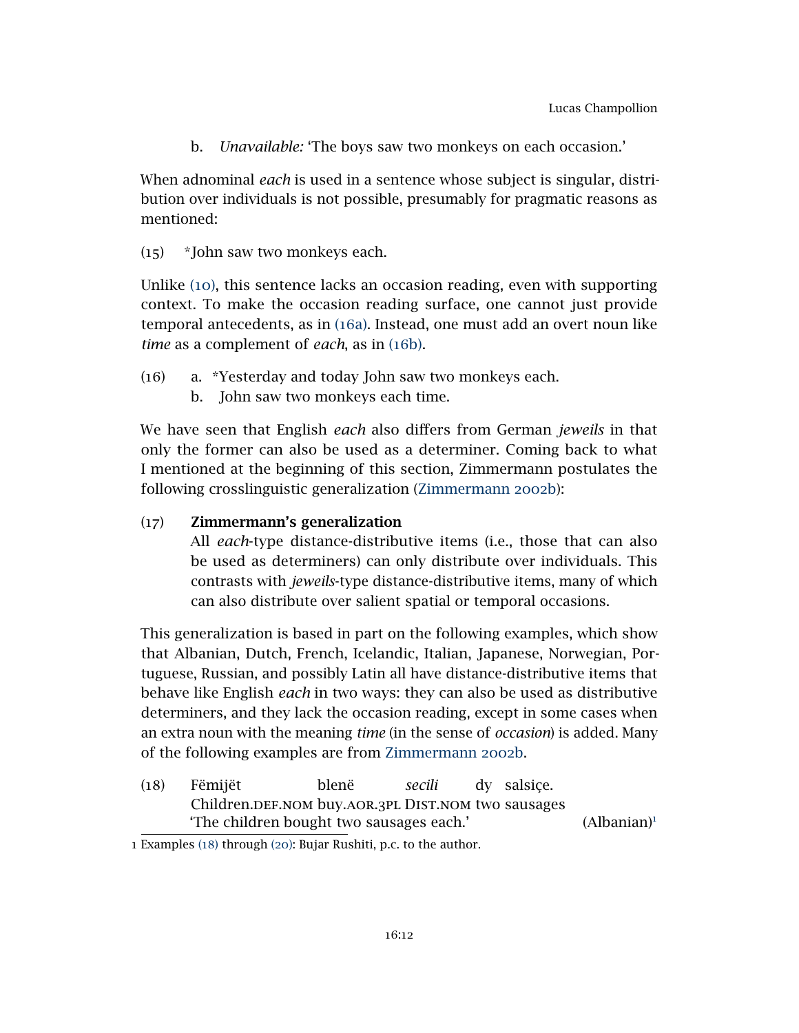b. *Unavailable:* 'The boys saw two monkeys on each occasion.'

When adnominal *each* is used in a sentence whose subject is singular, distribution over individuals is not possible, presumably for pragmatic reasons as mentioned:

(15) \*John saw two monkeys each.

Unlike ([10](#page-9-0)), this sentence lacks an occasion reading, even with supporting context. To make the occasion reading surface, one cannot just provide temporal antecedents, as in ([16](#page-11-0)a). Instead, one must add an overt noun like *time* as a complement of *each*, as in (16[b\).](#page-11-1)

- <span id="page-11-1"></span><span id="page-11-0"></span>(16) a. \*Yesterday and today John saw two monkeys each.
	- b. John saw two monkeys each time.

We have seen that English *each* also differs from German *jeweils* in that only the former can also be used as a determiner. Coming back to what I mentioned at the beginning of this section, Zimmermann postulates the following crosslinguistic generalization [\(Zimmermann](#page-63-0) 2002b):

## <span id="page-11-4"></span>(17) Zimmermann's generalization

All *each*-type distance-distributive items (i.e., those that can also be used as determiners) can only distribute over individuals. This contrasts with *jeweils*-type distance-distributive items, many of which can also distribute over salient spatial or temporal occasions.

This generalization is based in part on the following examples, which show that Albanian, Dutch, French, Icelandic, Italian, Japanese, Norwegian, Portuguese, Russian, and possibly Latin all have distance-distributive items that behave like English *each* in two ways: they can also be used as distributive determiners, and they lack the occasion reading, except in some cases when an extra noun with the meaning *time* (in the sense of *occasion*) is added. Many of the following examples are from [Zimmermann](#page-63-0) 2002b.

<span id="page-11-3"></span>(18) Fëmijët Children.DEF.NOM buy.AOR.3PL DIST.NOM two sausages blenë *secili* dy salsiçe. The children bought two sausages each.'  $(Albanian)^1$  $(Albanian)^1$ 

<span id="page-11-2"></span>1 Examples ([18](#page-11-3)) through ([20](#page-12-0)): Bujar Rushiti, p.c. to the author.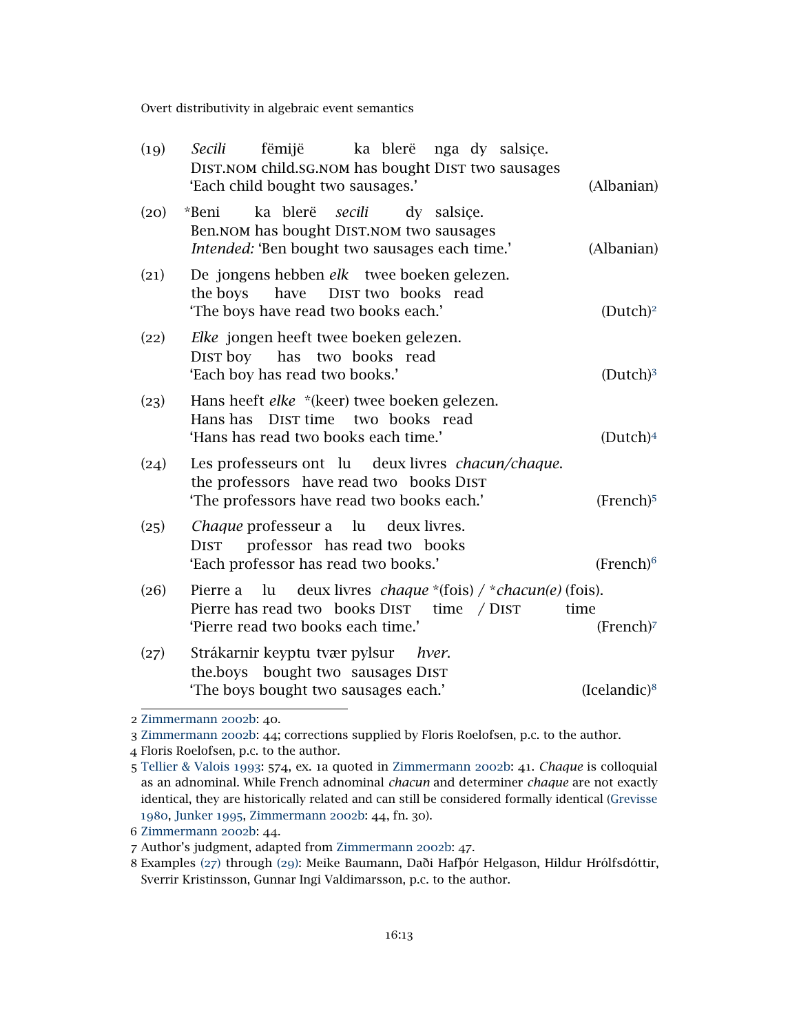<span id="page-12-0"></span>

| (19) | fëmijë ka blerë nga dy salsiçe.<br>Secili<br>DIST. NOM child. SG. NOM has bought DIST two sausages<br>'Each child bought two sausages.'                             | (Albanian)                    |
|------|---------------------------------------------------------------------------------------------------------------------------------------------------------------------|-------------------------------|
| (20) | ka blerë<br>secili<br>*Beni<br>dy salsice.<br>Ben.NOM has bought DIST.NOM two sausages<br>Intended: 'Ben bought two sausages each time.'                            | (Albanian)                    |
| (21) | De jongens hebben elk twee boeken gelezen.<br>DIST two books read<br>the boys<br>have<br>'The boys have read two books each.'                                       | (Dutch) <sup>2</sup>          |
| (22) | Elke jongen heeft twee boeken gelezen.<br>DIST boy has two books read<br>'Each boy has read two books.'                                                             | (Dutch) <sup>3</sup>          |
| (23) | Hans heeft <i>elke</i> *(keer) twee boeken gelezen.<br>Hans has DIST time two books read<br>'Hans has read two books each time.'                                    | (Dutch) <sup>4</sup>          |
| (24) | Les professeurs ont lu deux livres <i>chacun/chaque</i> .<br>the professors have read two books DIST<br>'The professors have read two books each.'                  | (French) <sup>5</sup>         |
| (25) | <i>Chaque</i> professeur a lu deux livres.<br>DIST professor has read two books<br>'Each professor has read two books.'                                             | $(French)^6$                  |
| (26) | Pierre a lu deux livres <i>chaque</i> *(fois) / * <i>chacun(e)</i> (fois).<br>Pierre has read two books DIST<br>time $/$ DIST<br>'Pierre read two books each time.' | time<br>(French) <sup>7</sup> |
| (27) | Strákarnir keyptu tvær pylsur<br>hver.<br>the.boys bought two sausages DIST<br>'The boys bought two sausages each.'                                                 | $(Icelandic)^8$               |

<span id="page-12-8"></span><span id="page-12-1"></span><sup>2</sup> [Zimmermann](#page-63-0) 2002b: 40.

<span id="page-12-2"></span><sup>3</sup> [Zimmermann](#page-63-0) 2002b: 44; corrections supplied by Floris Roelofsen, p.c. to the author.

<span id="page-12-3"></span><sup>4</sup> Floris Roelofsen, p.c. to the author.

<span id="page-12-4"></span><sup>5</sup> [Tellier & Valois](#page-63-1) 1993: 574, ex. 1a quoted in [Zimmermann](#page-63-0) 2002b: 41. *Chaque* is colloquial as an adnominal. While French adnominal *chacun* and determiner *chaque* are not exactly identical, they are historically related and can still be considered formally identical [\(Grevisse](#page-59-3) [1980](#page-59-3), [Junker](#page-59-4) 1995, [Zimmermann](#page-63-0) 2002b: 44, fn. 30).

<span id="page-12-5"></span><sup>6</sup> [Zimmermann](#page-63-0) 2002b: 44.

<span id="page-12-6"></span><sup>7</sup> Author's judgment, adapted from [Zimmermann](#page-63-0) 2002b: 47.

<span id="page-12-7"></span><sup>8</sup> Examples ([27](#page-12-8)) through ([29](#page-13-0)): Meike Baumann, Daði Hafþór Helgason, Hildur Hrólfsdóttir, Sverrir Kristinsson, Gunnar Ingi Valdimarsson, p.c. to the author.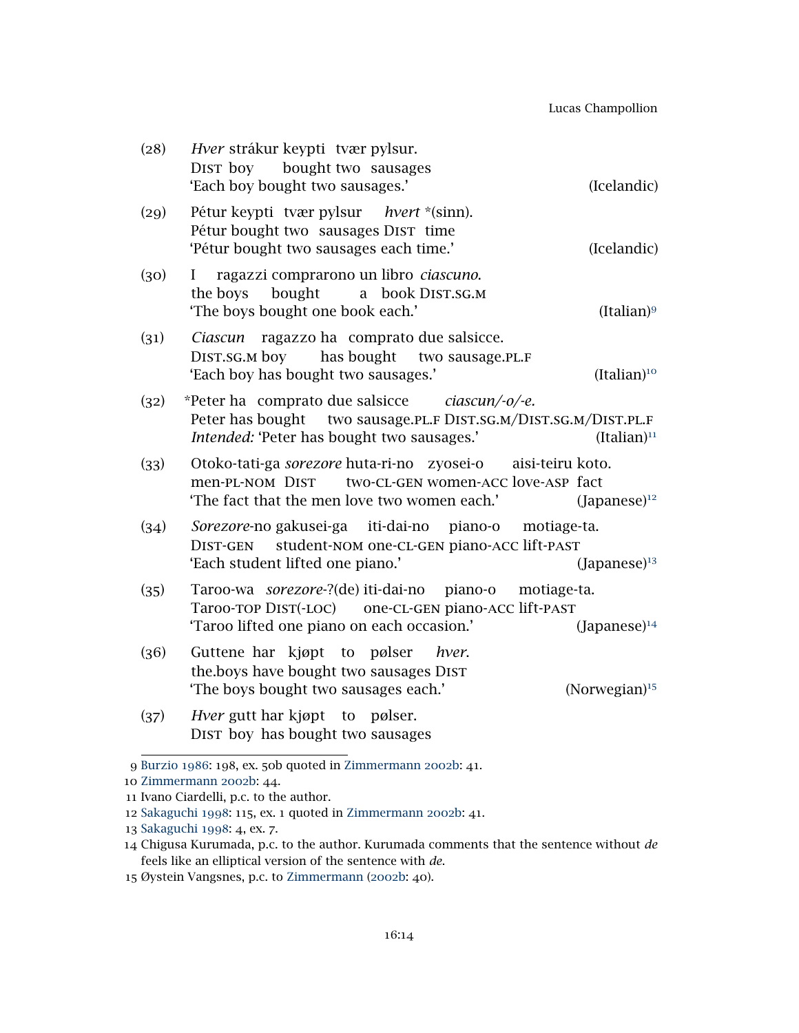<span id="page-13-0"></span>

| (28) | Hver strákur keypti tvær pylsur.<br>bought two sausages<br>DIST boy<br>'Each boy bought two sausages.'                                                                 | (Icelandic)        |
|------|------------------------------------------------------------------------------------------------------------------------------------------------------------------------|--------------------|
| (29) | Pétur keypti tvær pylsur <i>hvert</i> *(sinn).<br>Pétur bought two sausages DIST time<br>'Pétur bought two sausages each time.'                                        | (Icelandic)        |
| (30) | ragazzi comprarono un libro ciascuno.<br>L<br>the boys bought<br>a book DIST.SG.M<br>'The boys bought one book each.'                                                  | $(Italian)^9$      |
| (31) | Ciascun ragazzo ha comprato due salsicce.<br>has bought two sausage.PL.F<br>DIST.SG.M boy<br>'Each boy has bought two sausages.'                                       | $(Italian)^{10}$   |
| (32) | *Peter ha comprato due salsicce <i>ciascun/-o/-e.</i><br>Peter has bought two sausage.PL.F DIST.SG.M/DIST.SG.M/DIST.PL.F<br>Intended: 'Peter has bought two sausages.' | $(Italian)^{11}$   |
| (33) | Otoko-tati-ga sorezore huta-ri-no zyosei-o aisi-teiru koto.<br>two-CL-GEN women-ACC love-ASP fact<br>men-PL-NOM DIST<br>'The fact that the men love two women each.'   | $(Japanese)^{12}$  |
| (34) | Sorezore-no gakusei-ga iti-dai-no piano-o motiage-ta.<br>student-NOM one-CL-GEN piano-ACC lift-PAST<br>DIST-GEN<br>'Each student lifted one piano.'                    | $(Japanese)^{13}$  |
| (35) | Taroo-wa sorezore-?(de) iti-dai-no piano-o<br>motiage-ta.<br>Taroo-TOP DIST(-LOC) one-CL-GEN piano-ACC lift-PAST<br>'Taroo lifted one piano on each occasion.'         | $(Japanese)^{14}$  |
| (36) | Guttene har kjøpt to pølser hver.<br>the boys have bought two sausages DIST<br>'The boys bought two sausages each.'                                                    | $(Norwegian)^{15}$ |
| (37) | Hver gutt har kjøpt to pølser.<br>DIST boy has bought two sausages                                                                                                     |                    |

<span id="page-13-8"></span><span id="page-13-2"></span><span id="page-13-1"></span><sup>9</sup> [Burzio](#page-56-3) 1986: 198, ex. 50b quoted in [Zimmermann](#page-63-0) 2002b: 41.

<sup>10</sup> [Zimmermann](#page-63-0) 2002b: 44.

<span id="page-13-3"></span><sup>11</sup> Ivano Ciardelli, p.c. to the author.

<span id="page-13-4"></span><sup>12</sup> [Sakaguchi](#page-62-4) 1998: 115, ex. 1 quoted in [Zimmermann](#page-63-0) 2002b: 41.

<span id="page-13-6"></span><span id="page-13-5"></span><sup>13</sup> [Sakaguchi](#page-62-4) 1998: 4, ex. 7.

<sup>14</sup> Chigusa Kurumada, p.c. to the author. Kurumada comments that the sentence without *de* feels like an elliptical version of the sentence with *de*.

<span id="page-13-7"></span><sup>15</sup> Øystein Vangsnes, p.c. to [Zimmermann](#page-63-0) ([2002](#page-63-0)b: 40).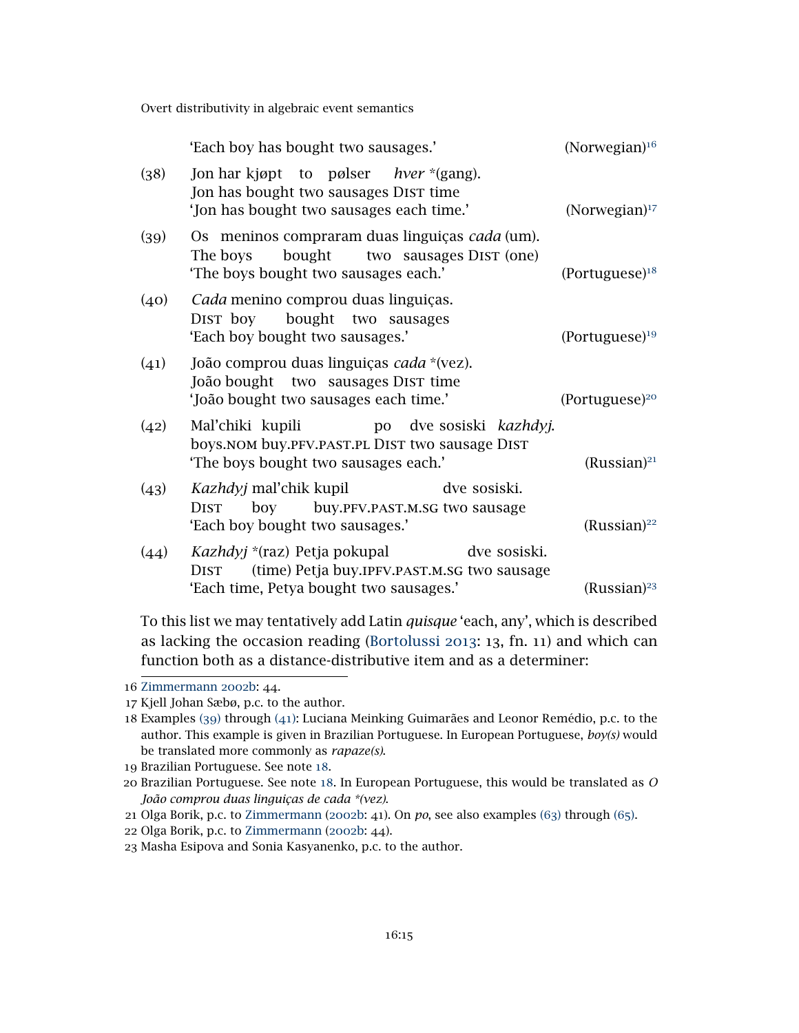<span id="page-14-9"></span><span id="page-14-8"></span>

|      | 'Each boy has bought two sausages.'                                                                                                                   | (Norwegian) $16$           |
|------|-------------------------------------------------------------------------------------------------------------------------------------------------------|----------------------------|
| (38) | Jon har kjøpt to pølser <i>hver</i> *(gang).<br>Jon has bought two sausages DIST time<br>'Jon has bought two sausages each time.'                     | $(Norwegian)^{17}$         |
| (39) | Os meninos compraram duas linguiças <i>cada</i> (um).<br>bought<br>The boys<br>two sausages DIST (one)<br>'The boys bought two sausages each.'        | (Portuguese) $18$          |
| (40) | Cada menino comprou duas linguiças.<br>bought two sausages<br>DIST boy<br>'Each boy bought two sausages.'                                             | (Portuguese) $19$          |
| (41) | João comprou duas linguiças <i>cada</i> *(vez).<br>João bought two sausages DIST time<br>'João bought two sausages each time.'                        | (Portuguese) <sup>20</sup> |
| (42) | Mal'chiki kupili<br>po dve sosiski <i>kazhdyj</i> .<br>boys. NOM buy. PFV. PAST. PL DIST two sausage DIST<br>'The boys bought two sausages each.'     | $(Russian)^{21}$           |
| (43) | Kazhdyj mal'chik kupil<br>dve sosiski.<br>buy.PFV.PAST.M.SG two sausage<br><b>DIST</b><br>boy<br>'Each boy bought two sausages.'                      | $(Russian)^{22}$           |
| (44) | Kazhdyj *(raz) Petja pokupal<br>dve sosiski.<br>(time) Petja buy.IPFV.PAST.M.SG two sausage<br><b>DIST</b><br>'Each time, Petya bought two sausages.' | (Russian) <sup>23</sup>    |

<span id="page-14-12"></span><span id="page-14-11"></span><span id="page-14-10"></span>To this list we may tentatively add Latin *quisque* 'each, any', which is described as lacking the occasion reading [\(Bortolussi](#page-56-7) 2013: 13, fn. 11) and which can function both as a distance-distributive item and as a determiner:

<span id="page-14-0"></span><sup>16</sup> [Zimmermann](#page-63-0) 2002b: 44.

<span id="page-14-1"></span><sup>17</sup> Kjell Johan Sæbø, p.c. to the author.

<span id="page-14-2"></span><sup>18</sup> Examples ([39](#page-14-8)) through ([41](#page-14-9)): Luciana Meinking Guimarães and Leonor Remédio, p.c. to the author. This example is given in Brazilian Portuguese. In European Portuguese, *boy(s)* would be translated more commonly as *rapaze(s)*.

<span id="page-14-3"></span><sup>19</sup> Brazilian Portuguese. See note [18](#page-14-2).

<span id="page-14-4"></span><sup>20</sup> Brazilian Portuguese. See note [18](#page-14-2). In European Portuguese, this would be translated as *O João comprou duas linguiças de cada \*(vez)*.

<span id="page-14-5"></span><sup>21</sup> Olga Borik, p.c. to [Zimmermann](#page-63-0) ([2002](#page-63-0)b: 41). On *po*, see also examples ([63](#page-17-0)) through ([65](#page-18-0)).

<span id="page-14-6"></span><sup>22</sup> Olga Borik, p.c. to [Zimmermann](#page-63-0) ([2002](#page-63-0)b: 44).

<span id="page-14-7"></span><sup>23</sup> Masha Esipova and Sonia Kasyanenko, p.c. to the author.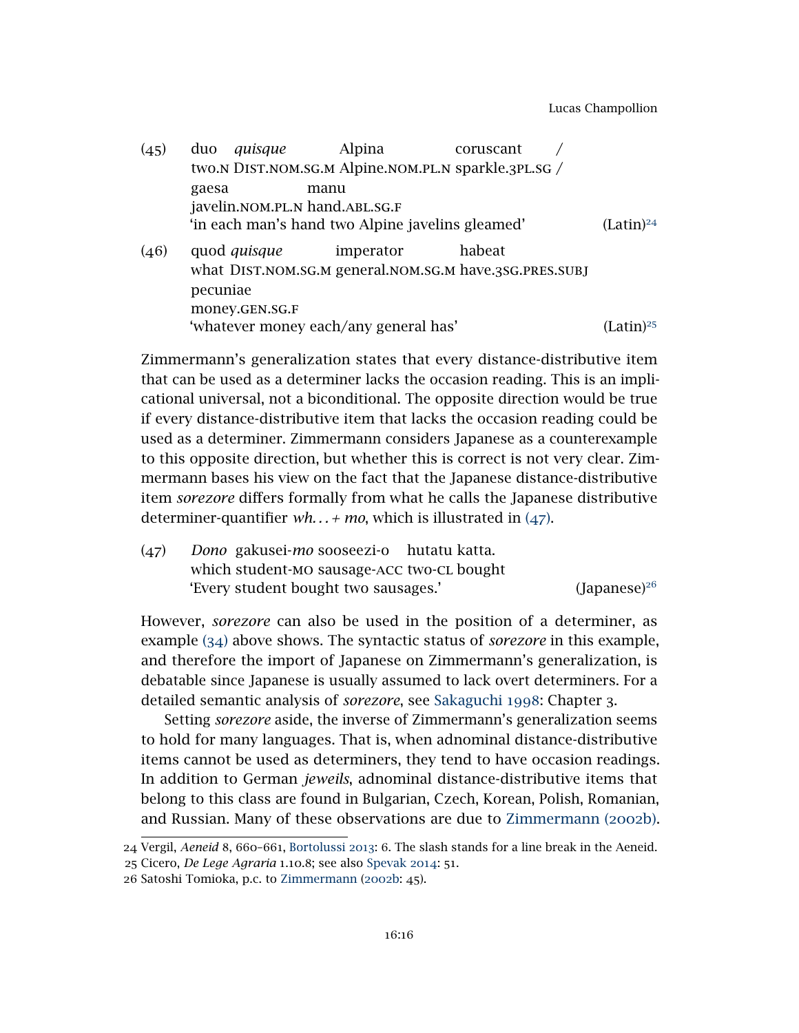$(45)$ two.N DIST.NOM.SG.M Alpine.NOM.PL.N sparkle.3PL.SG / *quisque* Alpina coruscant / gaesa javelin.NOM.PL.N hand.ABL.SG.F manu 'in each man's hand two Alpine javelins gleamed'  $(Latin)^{24}$  $(Latin)^{24}$  $(Latin)^{24}$ (46) quod *quisque* what DIST.NOM.SG.M general.NOM.SG.M have.3SG.PRES.SUBJ imperator habeat pecuniae money.gen.sg.f 'whatever money each/any general has'  $(Latin)^{25}$  $(Latin)^{25}$  $(Latin)^{25}$ 

Zimmermann's generalization states that every distance-distributive item that can be used as a determiner lacks the occasion reading. This is an implicational universal, not a biconditional. The opposite direction would be true if every distance-distributive item that lacks the occasion reading could be used as a determiner. Zimmermann considers Japanese as a counterexample to this opposite direction, but whether this is correct is not very clear. Zimmermann bases his view on the fact that the Japanese distance-distributive item *sorezore* differs formally from what he calls the Japanese distributive determiner-quantifier  $wh... + mo$ , which is illustrated in  $(47)$  $(47)$  $(47)$ .

<span id="page-15-2"></span>(47) *Dono* gakusei-*mo* sooseezi-o hutatu katta. which student-MO sausage-ACC two-CL bought 'Every student bought two sausages.'  $($  [Japanese)<sup>[26](#page-15-3)</sup>

However, *sorezore* can also be used in the position of a determiner, as example ([34](#page-13-8)) above shows. The syntactic status of *sorezore* in this example, and therefore the import of Japanese on Zimmermann's generalization, is debatable since Japanese is usually assumed to lack overt determiners. For a detailed semantic analysis of *sorezore*, see [Sakaguchi](#page-62-4) 1998: Chapter 3.

Setting *sorezore* aside, the inverse of Zimmermann's generalization seems to hold for many languages. That is, when adnominal distance-distributive items cannot be used as determiners, they tend to have occasion readings. In addition to German *jeweils*, adnominal distance-distributive items that belong to this class are found in Bulgarian, Czech, Korean, Polish, Romanian, and Russian. Many of these observations are due to [Zimmermann \(](#page-63-0)2002b).

<span id="page-15-0"></span><sup>24</sup> Vergil, *Aeneid* 8, 660–661, [Bortolussi](#page-56-7) 2013: 6. The slash stands for a line break in the Aeneid.

<span id="page-15-1"></span><sup>25</sup> Cicero, *De Lege Agraria* 1.10.8; see also [Spevak](#page-62-5) 2014: 51.

<span id="page-15-3"></span><sup>26</sup> Satoshi Tomioka, p.c. to [Zimmermann](#page-63-0) ([2002](#page-63-0)b: 45).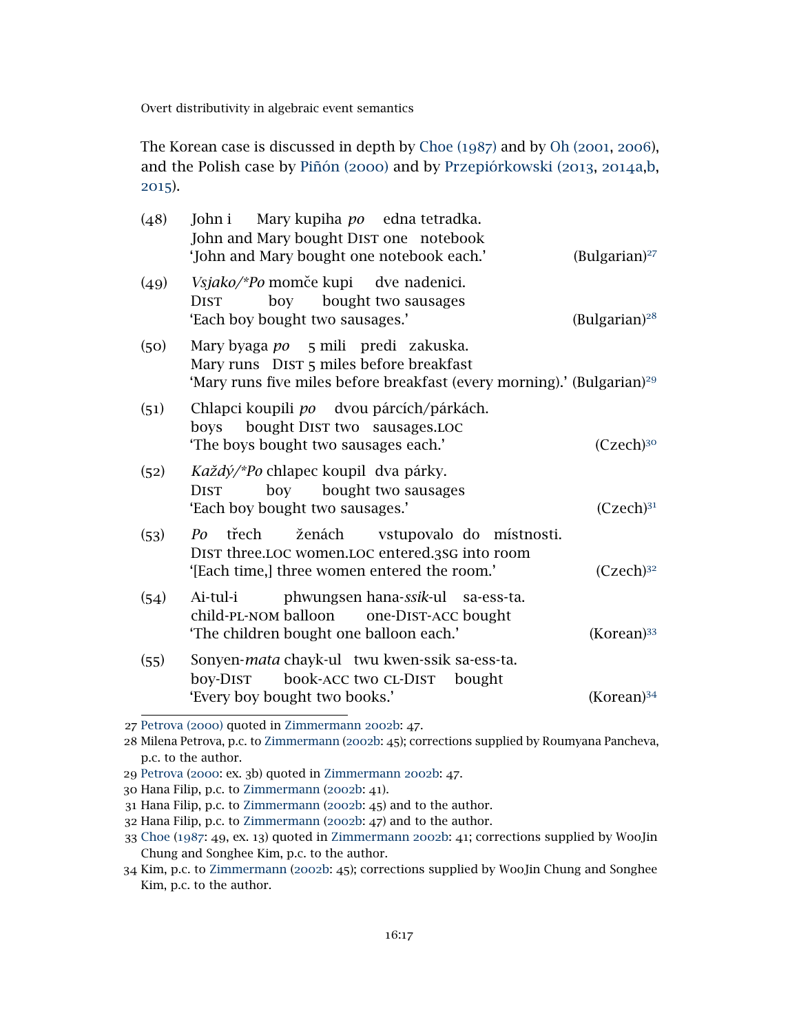The Korean case is discussed in depth by [Choe \(](#page-57-6)1987) and by Oh ([2001](#page-61-0), [2006](#page-61-1)), and the Polish case by [Piñón \(](#page-61-3)2000) and by [Przepiórkowski \(](#page-61-4)2013, [2014](#page-61-5)a[,b,](#page-61-6) [2015](#page-61-7)).

| (48) | John i Mary kupiha po edna tetradka.<br>John and Mary bought DIST one notebook<br>'John and Mary bought one notebook each.'                                          | (Bulgarian) $^{27}$       |
|------|----------------------------------------------------------------------------------------------------------------------------------------------------------------------|---------------------------|
| (49) | Vsjako/*Po momče kupi dve nadenici.<br>boy bought two sausages<br><b>DIST</b><br>'Each boy bought two sausages.'                                                     | (Bulgarian) <sup>28</sup> |
| (50) | Mary byaga po 5 mili predi zakuska.<br>Mary runs DIST 5 miles before breakfast<br>'Mary runs five miles before breakfast (every morning).' (Bulgarian) <sup>29</sup> |                           |
| (51) | Chlapci koupili <i>po</i> dvou párcích/párkách.<br>bought DIST two sausages.LOC<br>boys<br>'The boys bought two sausages each.'                                      | (Czech) <sup>30</sup>     |
| (52) | Každý/*Po chlapec koupil dva párky.<br>boy bought two sausages<br><b>DIST</b><br>'Each boy bought two sausages.'                                                     | $(Czech)^{31}$            |
| (53) | ženách vstupovalo do místnosti.<br>třech<br>$P_{O}$<br>DIST three.LOC women.LOC entered.3SG into room<br>'[Each time,] three women entered the room.'                | $(Czech)^{32}$            |
| (54) | Ai-tul-i phwungsen hana-ssik-ul sa-ess-ta.<br>child-PL-NOM balloon one-DIST-ACC bought<br>'The children bought one balloon each.'                                    | (Korean) <sup>33</sup>    |
| (55) | Sonyen- <i>mata</i> chayk-ul twu kwen-ssik sa-ess-ta.<br>boy-DIST book-ACC two CL-DIST bought<br>'Every boy bought two books.'                                       | $(Korean)$ <sup>34</sup>  |

<span id="page-16-0"></span><sup>27</sup> [Petrova \(](#page-61-8)2000) quoted in [Zimmermann](#page-63-0) 2002b: 47.

<span id="page-16-1"></span><sup>28</sup> Milena Petrova, p.c. to [Zimmermann](#page-63-0) ([2002](#page-63-0)b: 45); corrections supplied by Roumyana Pancheva, p.c. to the author.

<span id="page-16-2"></span><sup>29</sup> [Petrova](#page-61-8) ([2000](#page-61-8): ex. 3b) quoted in [Zimmermann](#page-63-0) 2002b: 47.

<span id="page-16-3"></span><sup>30</sup> Hana Filip, p.c. to [Zimmermann](#page-63-0) ([2002](#page-63-0)b: 41).

<span id="page-16-4"></span><sup>31</sup> Hana Filip, p.c. to [Zimmermann](#page-63-0) ([2002](#page-63-0)b: 45) and to the author.

<span id="page-16-5"></span><sup>32</sup> Hana Filip, p.c. to [Zimmermann](#page-63-0) ([2002](#page-63-0)b: 47) and to the author.

<span id="page-16-6"></span><sup>33</sup> [Choe](#page-57-6) ([1987](#page-57-6): 49, ex. 13) quoted in [Zimmermann](#page-63-0) 2002b: 41; corrections supplied by WooJin Chung and Songhee Kim, p.c. to the author.

<span id="page-16-7"></span><sup>34</sup> Kim, p.c. to [Zimmermann](#page-63-0) ([2002](#page-63-0)b: 45); corrections supplied by WooJin Chung and Songhee Kim, p.c. to the author.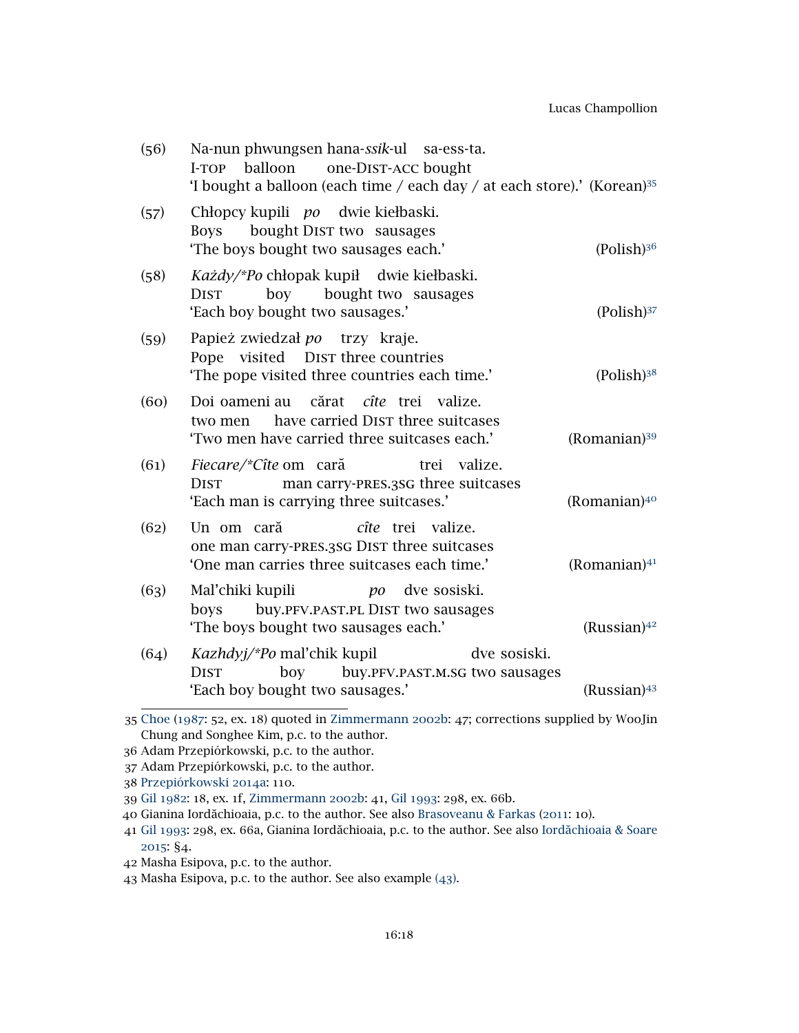| (56) | Na-nun phwungsen hana-ssik-ul sa-ess-ta.<br>I-TOP balloon one-DIST-ACC bought<br>'I bought a balloon (each time / each day / at each store).' (Korean) <sup>35</sup> |                            |
|------|----------------------------------------------------------------------------------------------------------------------------------------------------------------------|----------------------------|
| (57) | Chłopcy kupili po dwie kiełbaski.<br>bought DIST two sausages<br><b>Boys</b><br>'The boys bought two sausages each.'                                                 | $(Polish)^{36}$            |
| (58) | Każdy/*Po chłopak kupił dwie kiełbaski.<br>boy bought two sausages<br><b>DIST</b><br>'Each boy bought two sausages.'                                                 | $(Polish)^{37}$            |
| (59) | Papież zwiedzał po trzy kraje.<br>Pope visited DIST three countries<br>'The pope visited three countries each time.'                                                 | (Polish) <sup>38</sup>     |
| (60) | Doi oameni au cărat cîte trei valize.<br>two men have carried DIST three suitcases<br>'Two men have carried three suitcases each.'                                   | $(Romanian)$ <sup>39</sup> |
| (61) | Fiecare/*Cîte om cară<br>trei valize.<br>man carry-PRES.3SG three suitcases<br><b>DIST</b><br>'Each man is carrying three suitcases.'                                | (Romanian) $40$            |
| (62) | cîte trei valize.<br>Un om cară<br>one man carry-PRES.3SG DIST three suitcases<br>'One man carries three suitcases each time.'                                       | $(Romanian)^{41}$          |
| (63) | Mal'chiki kupili<br>po dve sosiski.<br>buy.PFV.PAST.PL DIST two sausages<br><b>boys</b><br>'The boys bought two sausages each.'                                      | $(Russian)^{42}$           |
| (64) | dve sosiski.<br>Kazhdyj/*Po mal'chik kupil<br>boy<br>buy.PFV.PAST.M.SG two sausages<br><b>DIST</b><br>'Each boy bought two sausages.'                                | $(Russian)^{43}$           |

<span id="page-17-1"></span><span id="page-17-0"></span><sup>35</sup> [Choe](#page-57-6) ([1987](#page-57-6): 52, ex. 18) quoted in [Zimmermann](#page-63-0) 2002b: 47; corrections supplied by WooJin Chung and Songhee Kim, p.c. to the author.

<span id="page-17-2"></span><sup>36</sup> Adam Przepiórkowski, p.c. to the author.

<span id="page-17-3"></span><sup>37</sup> Adam Przepiórkowski, p.c. to the author.

<span id="page-17-4"></span><sup>38</sup> [Przepiórkowski](#page-61-5) 2014a: 110.

<span id="page-17-5"></span><sup>39</sup> Gil [1982](#page-58-0): 18, ex. 1f, [Zimmermann](#page-63-0) 2002b: 41, Gil [1993](#page-58-1): 298, ex. 66b.

<span id="page-17-6"></span><sup>40</sup> Gianina Iordăchioaia, p.c. to the author. See also [Brasoveanu & Farkas](#page-56-8) ([2011](#page-56-8): 10).

<span id="page-17-7"></span><sup>41</sup> Gil [1993](#page-58-1): 298, ex. 66a, Gianina Iordăchioaia, p.c. to the author. See also Iordăchioaia & Soare [2015](#page-59-5): §4.

<span id="page-17-8"></span><sup>42</sup> Masha Esipova, p.c. to the author.

<span id="page-17-9"></span><sup>43</sup> Masha Esipova, p.c. to the author. See also example ([43](#page-14-10)).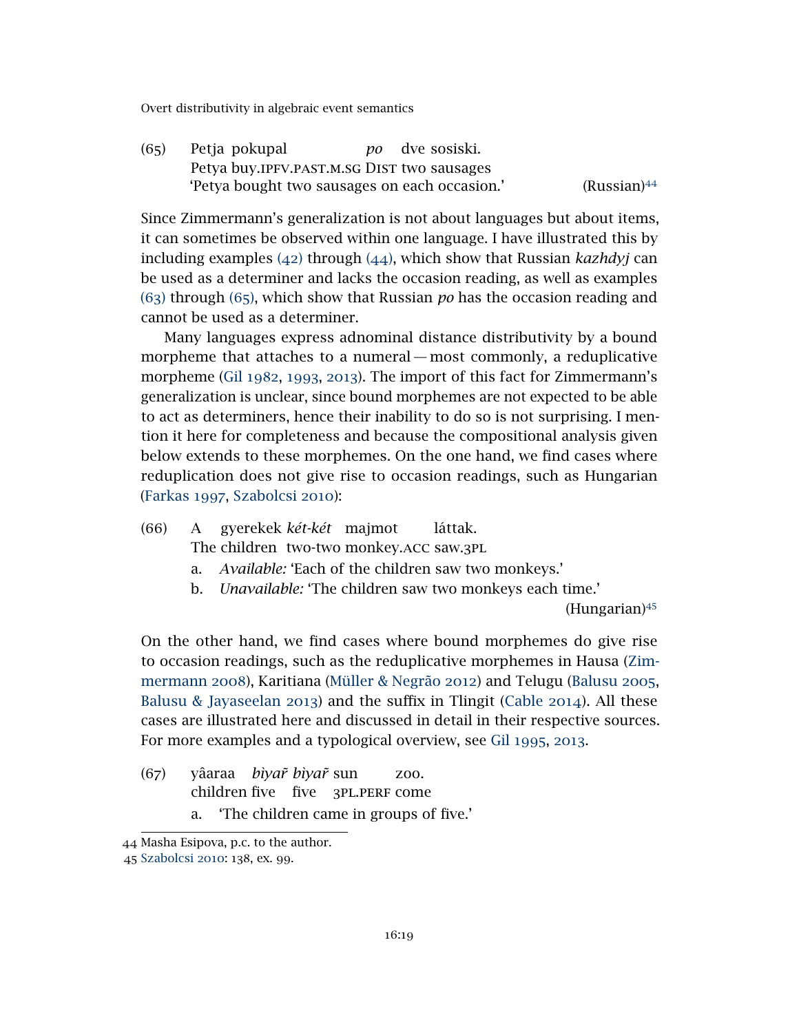<span id="page-18-0"></span>(65) Petja pokupal Petya buy.IPFV.PAST.M.SG DIST two sausages *po* dve sosiski. 'Petya bought two sausages on each occasion.' (Russian)[44](#page-18-1)

Since Zimmermann's generalization is not about languages but about items, it can sometimes be observed within one language. I have illustrated this by including examples ([42](#page-14-11)) through ([44](#page-14-12)), which show that Russian *kazhdyj* can be used as a determiner and lacks the occasion reading, as well as examples ([63](#page-17-0)) through ([65](#page-18-0)), which show that Russian *po* has the occasion reading and cannot be used as a determiner.

Many languages express adnominal distance distributivity by a bound morpheme that attaches to a numeral— most commonly, a reduplicative morpheme (Gil [1982](#page-58-0), [1993](#page-58-1), [2013](#page-58-4)). The import of this fact for Zimmermann's generalization is unclear, since bound morphemes are not expected to be able to act as determiners, hence their inability to do so is not surprising. I mention it here for completeness and because the compositional analysis given below extends to these morphemes. On the one hand, we find cases where reduplication does not give rise to occasion readings, such as Hungarian [\(Farkas](#page-58-5) 1997, [Szabolcsi](#page-62-6) 2010):

- (66) A The children two-two monkey.acc saw.3pl gyerekek *két-két* majmot láttak.
	- a. *Available:* 'Each of the children saw two monkeys.'
	- b. *Unavailable:* 'The children saw two monkeys each time.'

 $(Hungarian)<sup>45</sup>$  $(Hungarian)<sup>45</sup>$  $(Hungarian)<sup>45</sup>$ 

On the other hand, we find cases where bound morphemes do give rise to occasion readings, such as the reduplicative morphemes in Hausa [\(Zim](#page-63-2)[mermann](#page-63-2) 2008), Karitiana [\(Müller & Negrão](#page-61-9) 2012) and Telugu [\(Balusu](#page-55-1) 2005, [Balusu & Jayaseelan](#page-55-2) 2013) and the suffix in Tlingit [\(Cable](#page-56-6) 2014). All these cases are illustrated here and discussed in detail in their respective sources. For more examples and a typological overview, see Gil [1995](#page-58-2), [2013](#page-58-4).

(67) yâaraa *bìyar̃ bìyar̃* sun children five five 3PL.PERF come zoo. a. 'The children came in groups of five.'

<span id="page-18-1"></span><sup>44</sup> Masha Esipova, p.c. to the author.

<span id="page-18-2"></span><sup>45</sup> [Szabolcsi](#page-62-6) 2010: 138, ex. 99.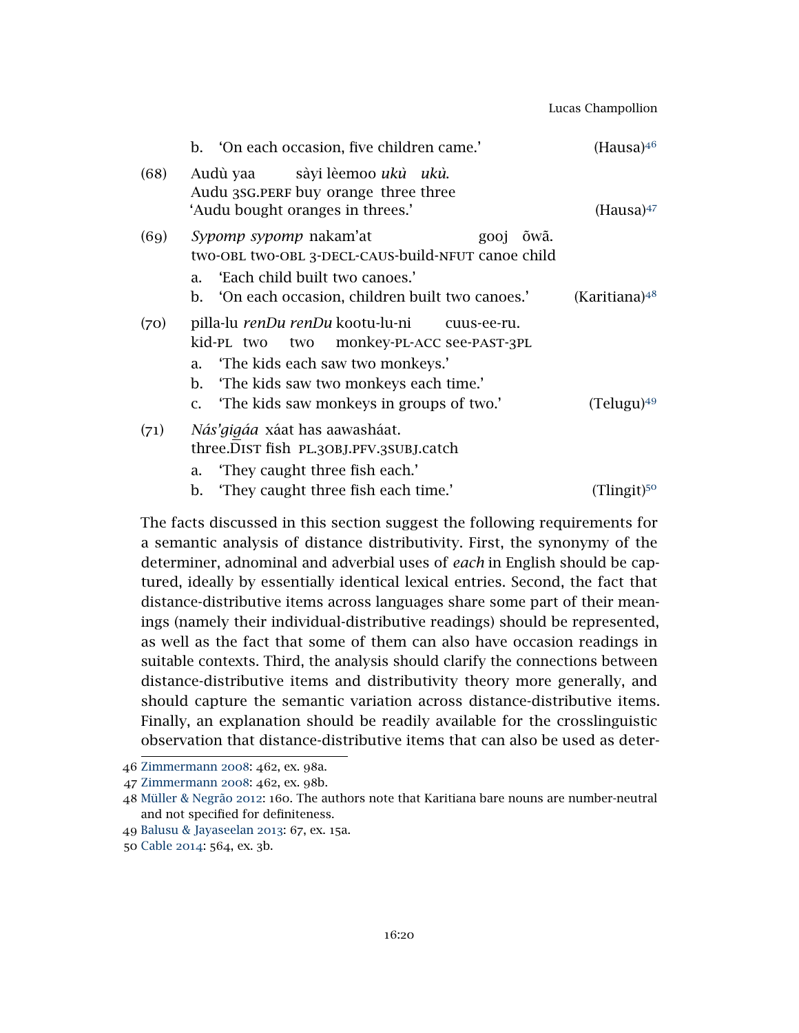|      |                                                                                                                                                                                                                                                        | Lucas Champollion         |
|------|--------------------------------------------------------------------------------------------------------------------------------------------------------------------------------------------------------------------------------------------------------|---------------------------|
|      | b. 'On each occasion, five children came.'                                                                                                                                                                                                             | (Hausa) <sup>46</sup>     |
| (68) | Audù yaa sàyi lèemoo uku uku.<br>Audu 3SG. PERF buy orange three three<br>'Audu bought oranges in threes.'                                                                                                                                             | (Hausa) <sup>47</sup>     |
| (69) | <i>Sypomp sypomp</i> nakam'at<br>gooj õwã.<br>two-OBL two-OBL 3-DECL-CAUS-build-NFUT canoe child<br>'Each child built two canoes.'<br>a <sub>z</sub><br>b. 'On each occasion, children built two canoes.'                                              | (Karitiana) <sup>48</sup> |
| (70) | pilla-lu renDu renDu kootu-lu-ni cuus-ee-ru.<br>monkey-PL-ACC see-PAST-3PL<br>kid-PL two<br>two<br>'The kids each saw two monkeys.'<br>a.<br>'The kids saw two monkeys each time.'<br>b.<br>'The kids saw monkeys in groups of two.'<br>$\mathbf{C}$ . | $(Telugu)^{49}$           |
| (71) | <i>Nás'gigáa</i> xáat has aawasháat.<br>three.DIST fish PL.3OBJ.PFV.3SUBJ.catch<br>'They caught three fish each.'<br>a.                                                                                                                                |                           |
|      | 'They caught three fish each time.'<br>b.                                                                                                                                                                                                              | (Tlingit) <sup>50</sup>   |

The facts discussed in this section suggest the following requirements for a semantic analysis of distance distributivity. First, the synonymy of the determiner, adnominal and adverbial uses of *each* in English should be captured, ideally by essentially identical lexical entries. Second, the fact that distance-distributive items across languages share some part of their meanings (namely their individual-distributive readings) should be represented, as well as the fact that some of them can also have occasion readings in suitable contexts. Third, the analysis should clarify the connections between distance-distributive items and distributivity theory more generally, and should capture the semantic variation across distance-distributive items. Finally, an explanation should be readily available for the crosslinguistic observation that distance-distributive items that can also be used as deter-

<span id="page-19-0"></span><sup>46</sup> [Zimmermann](#page-63-2) 2008: 462, ex. 98a.

<span id="page-19-1"></span><sup>47</sup> [Zimmermann](#page-63-2) 2008: 462, ex. 98b.

<span id="page-19-2"></span><sup>48</sup> [Müller & Negrão](#page-61-9) 2012: 160. The authors note that Karitiana bare nouns are number-neutral and not specified for definiteness.

<span id="page-19-3"></span><sup>49</sup> [Balusu & Jayaseelan](#page-55-2) 2013: 67, ex. 15a.

<span id="page-19-4"></span><sup>50</sup> [Cable](#page-56-6) 2014: 564, ex. 3b.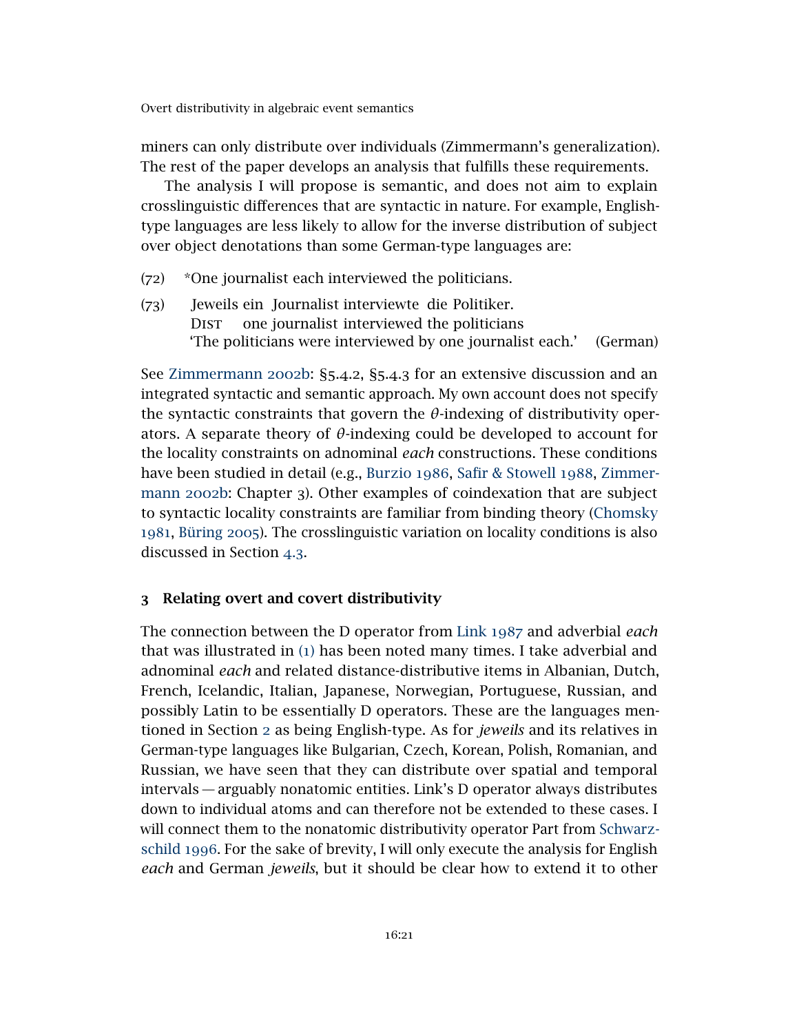miners can only distribute over individuals (Zimmermann's generalization). The rest of the paper develops an analysis that fulfills these requirements.

The analysis I will propose is semantic, and does not aim to explain crosslinguistic differences that are syntactic in nature. For example, Englishtype languages are less likely to allow for the inverse distribution of subject over object denotations than some German-type languages are:

- (72) \*One journalist each interviewed the politicians.
- (73) Jeweils ein Journalist interviewte die Politiker. D<sub>IST</sub> one journalist interviewed the politicians 'The politicians were interviewed by one journalist each.' (German)

See [Zimmermann](#page-63-0) 2002b: §5.4.2, §5.4.3 for an extensive discussion and an integrated syntactic and semantic approach. My own account does not specify the syntactic constraints that govern the *θ*-indexing of distributivity operators. A separate theory of *θ*-indexing could be developed to account for the locality constraints on adnominal *each* constructions. These conditions have been studied in detail (e.g., [Burzio](#page-56-3) 1986, [Safir & Stowell](#page-62-2) 1988, [Zimmer](#page-63-0)[mann](#page-63-0) 2002b: Chapter 3). Other examples of coindexation that are subject to syntactic locality constraints are familiar from binding theory [\(Chomsky](#page-57-7) [1981](#page-57-7), [Büring](#page-56-5) 2005). The crosslinguistic variation on locality conditions is also discussed in Section [4](#page-34-0).3.

#### <span id="page-20-0"></span>3 Relating overt and covert distributivity

The connection between the D operator from [Link](#page-60-0) 1987 and adverbial *each* that was illustrated in ([1](#page-1-0)) has been noted many times. I take adverbial and adnominal *each* and related distance-distributive items in Albanian, Dutch, French, Icelandic, Italian, Japanese, Norwegian, Portuguese, Russian, and possibly Latin to be essentially D operators. These are the languages mentioned in Section [2](#page-5-0) as being English-type. As for *jeweils* and its relatives in German-type languages like Bulgarian, Czech, Korean, Polish, Romanian, and Russian, we have seen that they can distribute over spatial and temporal intervals — arguably nonatomic entities. Link's D operator always distributes down to individual atoms and can therefore not be extended to these cases. I will connect them to the nonatomic distributivity operator Part from [Schwarz](#page-62-1)[schild](#page-62-1) 1996. For the sake of brevity, I will only execute the analysis for English *each* and German *jeweils*, but it should be clear how to extend it to other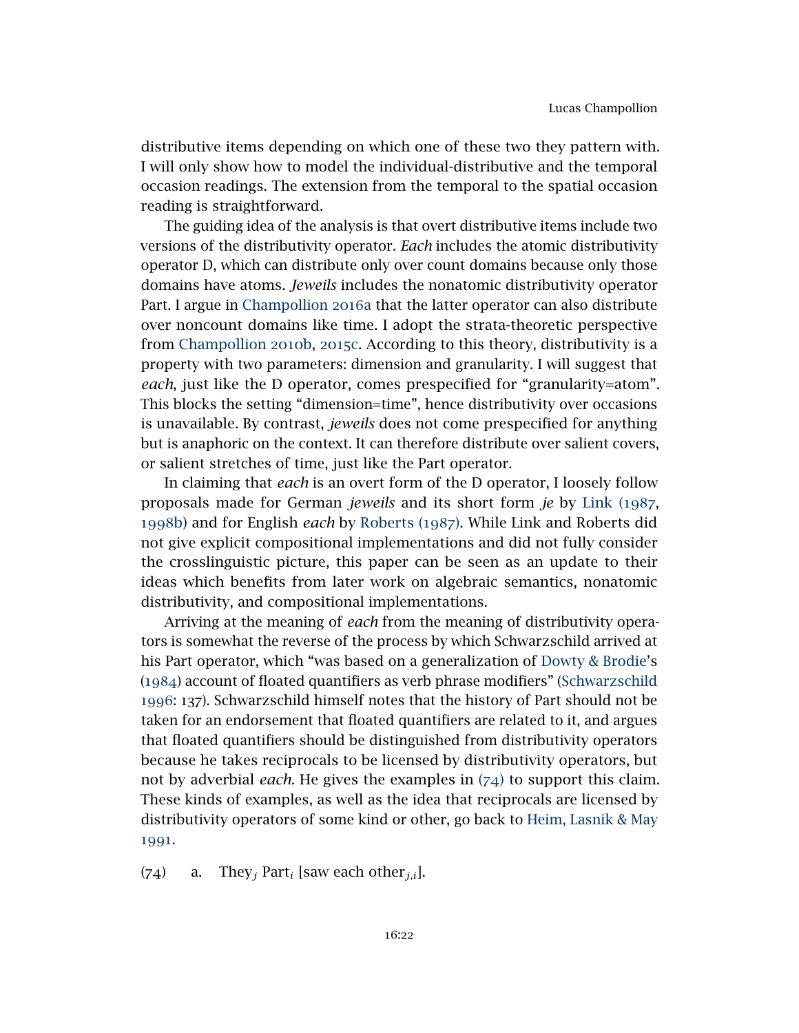distributive items depending on which one of these two they pattern with. I will only show how to model the individual-distributive and the temporal occasion readings. The extension from the temporal to the spatial occasion reading is straightforward.

The guiding idea of the analysis is that overt distributive items include two versions of the distributivity operator. *Each* includes the atomic distributivity operator D, which can distribute only over count domains because only those domains have atoms. *Jeweils* includes the nonatomic distributivity operator Part. I argue in [Champollion](#page-57-0) 2016a that the latter operator can also distribute over noncount domains like time. I adopt the strata-theoretic perspective from [Champollion](#page-56-0) 2010b, [2015](#page-57-3)c. According to this theory, distributivity is a property with two parameters: dimension and granularity. I will suggest that *each*, just like the D operator, comes prespecified for "granularity=atom". This blocks the setting "dimension=time", hence distributivity over occasions is unavailable. By contrast, *jeweils* does not come prespecified for anything but is anaphoric on the context. It can therefore distribute over salient covers, or salient stretches of time, just like the Part operator.

In claiming that *each* is an overt form of the D operator, I loosely follow proposals made for German *jeweils* and its short form *je* by [Link \(](#page-60-0)1987, [1998](#page-60-7)b) and for English *each* by [Roberts \(](#page-62-0)1987). While Link and Roberts did not give explicit compositional implementations and did not fully consider the crosslinguistic picture, this paper can be seen as an update to their ideas which benefits from later work on algebraic semantics, nonatomic distributivity, and compositional implementations.

Arriving at the meaning of *each* from the meaning of distributivity operators is somewhat the reverse of the process by which Schwarzschild arrived at his Part operator, which "was based on a generalization of [Dowty & Brodie'](#page-58-6)s ([1984](#page-58-6)) account of floated quantifiers as verb phrase modifiers" [\(Schwarzschild](#page-62-1) [1996](#page-62-1): 137). Schwarzschild himself notes that the history of Part should not be taken for an endorsement that floated quantifiers are related to it, and argues that floated quantifiers should be distinguished from distributivity operators because he takes reciprocals to be licensed by distributivity operators, but not by adverbial *each*. He gives the examples in ([74](#page-21-0)) to support this claim. These kinds of examples, as well as the idea that reciprocals are licensed by distributivity operators of some kind or other, go back to [Heim, Lasnik & May](#page-59-6) [1991](#page-59-6).

<span id="page-21-0"></span>(74) a. They*<sup>j</sup>* Part*<sup>i</sup>* [saw each other*j,i*].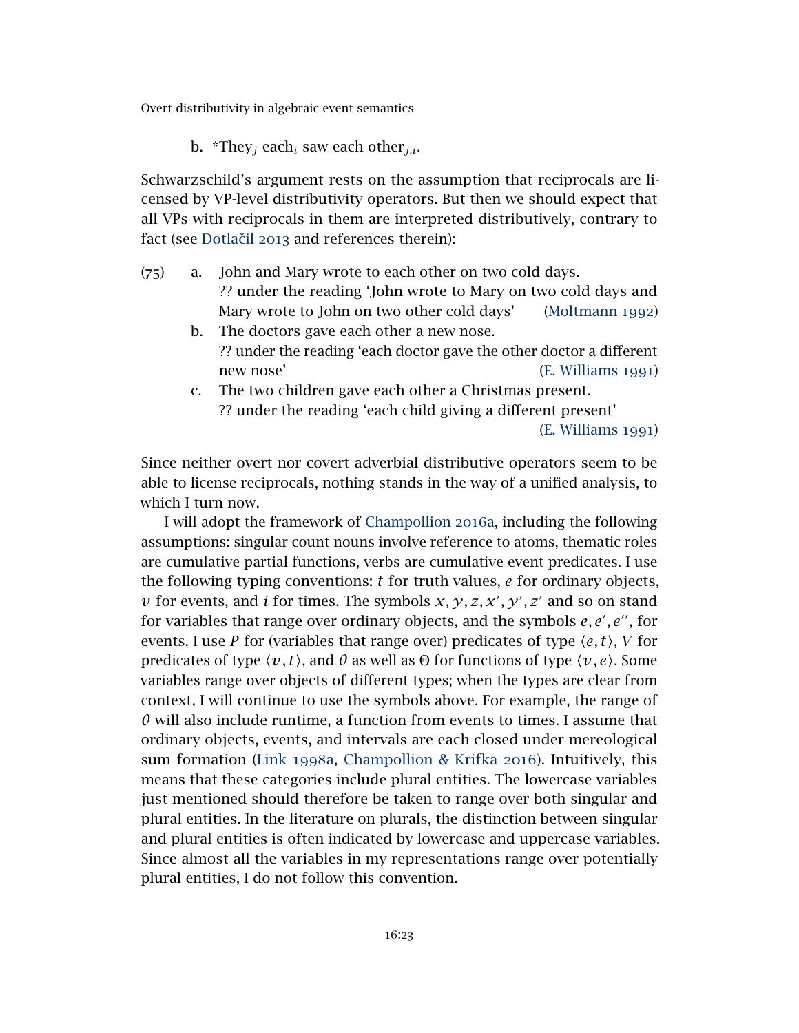b. \*They<sub>*i*</sub> each<sub>*i*</sub> saw each other<sub>*i,i*</sub>.

Schwarzschild's argument rests on the assumption that reciprocals are licensed by VP-level distributivity operators. But then we should expect that all VPs with reciprocals in them are interpreted distributively, contrary to fact (see Dotlačil 2013 and references therein):

- (75) a. John and Mary wrote to each other on two cold days. ?? under the reading 'John wrote to Mary on two cold days and Mary wrote to John on two other cold days' [\(Moltmann](#page-60-8) 1992)
	- b. The doctors gave each other a new nose. ?? under the reading 'each doctor gave the other doctor a different new nose' [\(E. Williams](#page-63-3) 1991)
	- c. The two children gave each other a Christmas present. ?? under the reading 'each child giving a different present' [\(E. Williams](#page-63-3) 1991)

Since neither overt nor covert adverbial distributive operators seem to be able to license reciprocals, nothing stands in the way of a unified analysis, to which I turn now.

I will adopt the framework of [Champollion](#page-57-0) 2016a, including the following assumptions: singular count nouns involve reference to atoms, thematic roles are cumulative partial functions, verbs are cumulative event predicates. I use the following typing conventions: *t* for truth values, *e* for ordinary objects, *v* for events, and *i* for times. The symbols  $x, y, z, x', y', z'$  and so on stand for variables that range over ordinary objects, and the symbols  $e, e', e'',$  for events. I use *P* for (variables that range over) predicates of type  $\langle e, t \rangle$ , *V* for predicates of type  $\langle v, t \rangle$ , and  $\theta$  as well as  $\Theta$  for functions of type  $\langle v, e \rangle$ . Some variables range over objects of different types; when the types are clear from context, I will continue to use the symbols above. For example, the range of *θ* will also include runtime, a function from events to times. I assume that ordinary objects, events, and intervals are each closed under mereological sum formation [\(Link](#page-60-9) 1998a, [Champollion & Krifka](#page-57-5) 2016). Intuitively, this means that these categories include plural entities. The lowercase variables just mentioned should therefore be taken to range over both singular and plural entities. In the literature on plurals, the distinction between singular and plural entities is often indicated by lowercase and uppercase variables. Since almost all the variables in my representations range over potentially plural entities, I do not follow this convention.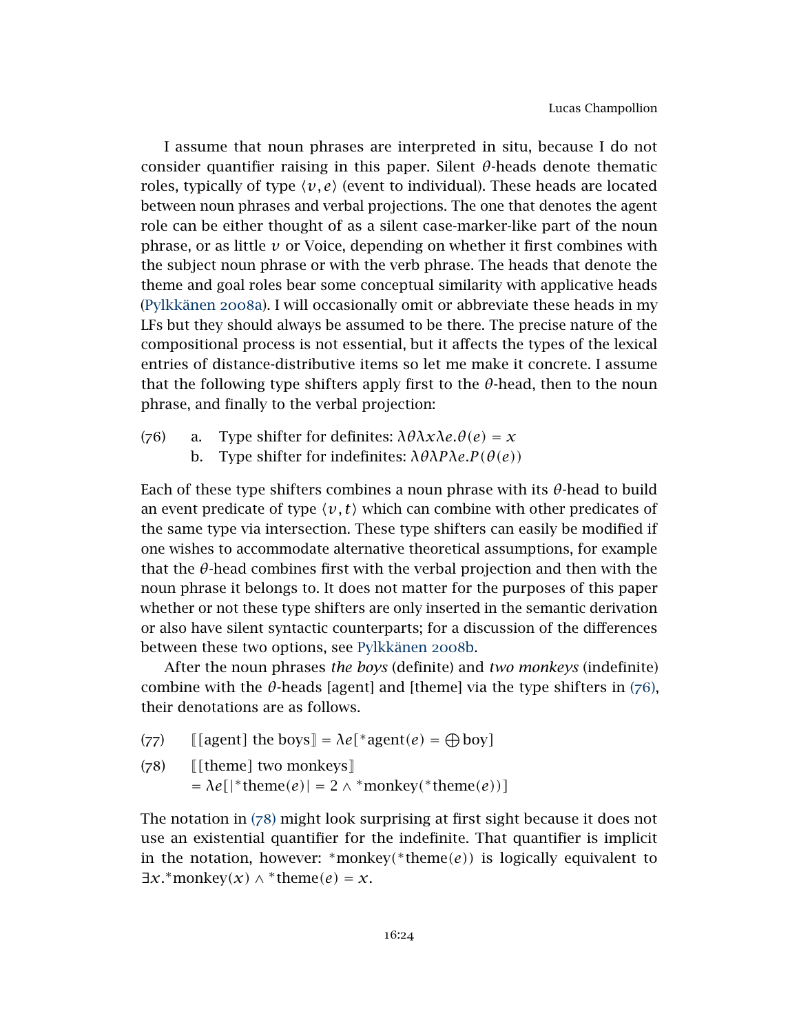I assume that noun phrases are interpreted in situ, because I do not consider quantifier raising in this paper. Silent *θ*-heads denote thematic roles, typically of type  $\langle v, e \rangle$  (event to individual). These heads are located between noun phrases and verbal projections. The one that denotes the agent role can be either thought of as a silent case-marker-like part of the noun phrase, or as little *v* or Voice, depending on whether it first combines with the subject noun phrase or with the verb phrase. The heads that denote the theme and goal roles bear some conceptual similarity with applicative heads [\(Pylkkänen](#page-61-10) 2008a). I will occasionally omit or abbreviate these heads in my LFs but they should always be assumed to be there. The precise nature of the compositional process is not essential, but it affects the types of the lexical entries of distance-distributive items so let me make it concrete. I assume that the following type shifters apply first to the  $\theta$ -head, then to the noun phrase, and finally to the verbal projection:

- <span id="page-23-2"></span><span id="page-23-0"></span>(76) a. Type shifter for definites: *λθλxλe.θ(e)* = *x*
	- b. Type shifter for indefinites: *λθλPλe.P (θ(e))*

Each of these type shifters combines a noun phrase with its *θ*-head to build an event predicate of type  $\langle v, t \rangle$  which can combine with other predicates of the same type via intersection. These type shifters can easily be modified if one wishes to accommodate alternative theoretical assumptions, for example that the *θ*-head combines first with the verbal projection and then with the noun phrase it belongs to. It does not matter for the purposes of this paper whether or not these type shifters are only inserted in the semantic derivation or also have silent syntactic counterparts; for a discussion of the differences between these two options, see [Pylkkänen](#page-61-11) 2008b.

After the noun phrases *the boys* (definite) and *two monkeys* (indefinite) combine with the  $\theta$ -heads [agent] and [theme] via the type shifters in ([76](#page-23-0)), their denotations are as follows.

- <span id="page-23-3"></span><span id="page-23-1"></span> $(77)$  [[agent] the boys] =  $\lambda e$ [\*agent $(e) = \bigoplus$  boy]
- (78) *[*theme*]* two monkeys  $= \lambda e[| * \text{theme}(e)| = 2 \wedge * \text{monkey}( * \text{theme}(e))]$

The notation in ([78](#page-23-1)) might look surprising at first sight because it does not use an existential quantifier for the indefinite. That quantifier is implicit in the notation, however: <sup>∗</sup>monkey*(* <sup>∗</sup>theme*(e))* is logically equivalent to ∃*x.*<sup>∗</sup>monkey*(x)* ∧ <sup>∗</sup>theme*(e)* = *x*.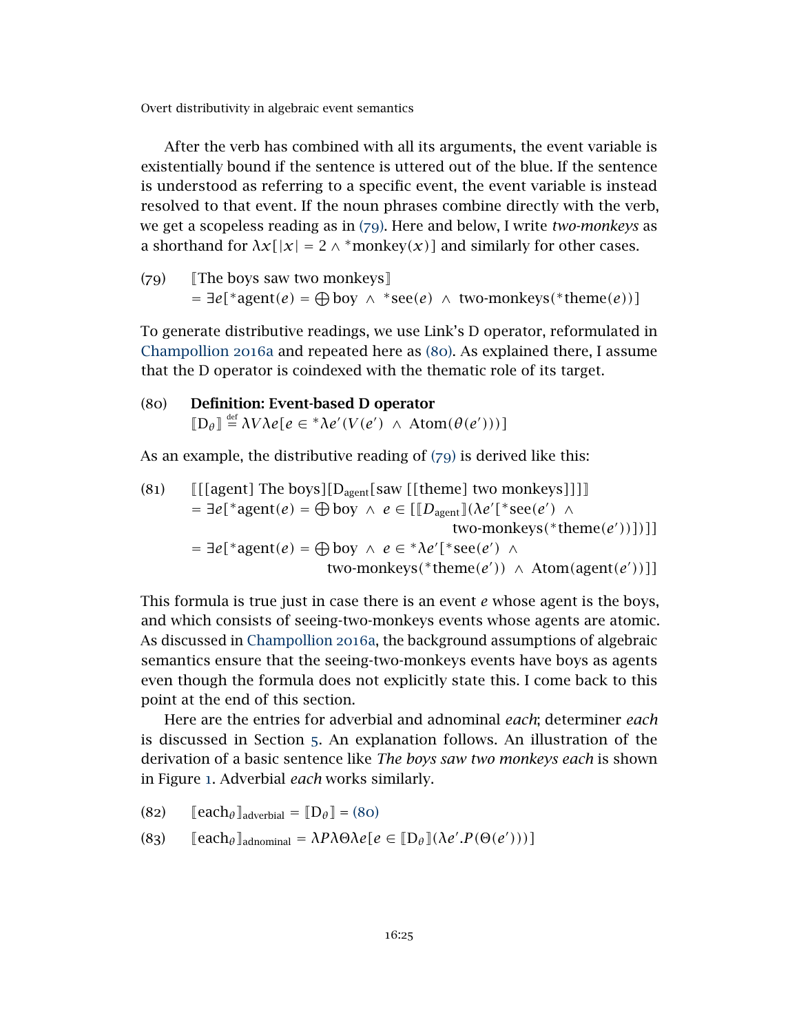After the verb has combined with all its arguments, the event variable is existentially bound if the sentence is uttered out of the blue. If the sentence is understood as referring to a specific event, the event variable is instead resolved to that event. If the noun phrases combine directly with the verb, we get a scopeless reading as in ([79](#page-24-0)). Here and below, I write *two-monkeys* as a shorthand for  $\lambda x[|x| = 2 \wedge^*$ monkey $(x)$ ] and similarly for other cases.

<span id="page-24-0"></span>(79) [The boys saw two monkeys]  
= 
$$
\exists e[^*agent(e) = \bigoplus
$$
 boy  $\wedge$  \*see(e)  $\wedge$  two-monkeys(\*theme(e))]

To generate distributive readings, we use Link's D operator, reformulated in [Champollion](#page-57-0) 2016a and repeated here as ([80](#page-24-1)). As explained there, I assume that the D operator is coindexed with the thematic role of its target.

<span id="page-24-1"></span>(80) Definition: Event-based D operator  $\llbracket D_\theta \rrbracket \stackrel{\text{def}}{=} \lambda V \lambda e \llbracket e \in {}^* \lambda e'(V(e') \ \wedge \ \text{Atom}(\theta(e'))) \rrbracket$ 

As an example, the distributive reading of ([79](#page-24-0)) is derived like this:

(81) 
$$
\begin{aligned}\n\left[\text{[agent] The boys}\right] & \left[\text{boys}\right] & \left[\text{bay} \left[\text{[theme] two monkeys}\right]\right]\right] \\
&= \exists e[\text{*agent}(e) = \bigoplus \text{boy} \land e \in [\llbracket D_{agent} \rrbracket] \land e'[\text{*see}(e') \land \text{two-monkeys}(\text{*them}(e'))]\right)] \\
&= \exists e[\text{*agent}(e) = \bigoplus \text{boy} \land e \in \text{*}\lambda e'[\text{*see}(e') \land \text{two-monkeys}(\text{*them}(e')) \land \text{Atom}(agent(e'))]\n\end{aligned}
$$

This formula is true just in case there is an event *e* whose agent is the boys, and which consists of seeing-two-monkeys events whose agents are atomic. As discussed in [Champollion](#page-57-0) 2016a, the background assumptions of algebraic semantics ensure that the seeing-two-monkeys events have boys as agents even though the formula does not explicitly state this. I come back to this point at the end of this section.

Here are the entries for adverbial and adnominal *each*; determiner *each* is discussed in Section [5](#page-38-0). An explanation follows. An illustration of the derivation of a basic sentence like *The boys saw two monkeys each* is shown in Figure [1](#page-25-0). Adverbial *each* works similarly.

- <span id="page-24-3"></span><span id="page-24-2"></span> $(82)$   $\left[ \text{each}_{\theta} \right]_{\text{adverbial}} = \left[ \text{D}_{\theta} \right] = (80)$  $\left[ \text{each}_{\theta} \right]_{\text{adverbial}} = \left[ \text{D}_{\theta} \right] = (80)$  $\left[ \text{each}_{\theta} \right]_{\text{adverbial}} = \left[ \text{D}_{\theta} \right] = (80)$
- (83)  $[each_{\theta}]_{\text{adnominal}} = \lambda P \lambda \Theta \lambda e[e \in [D_{\theta}] (\lambda e'.P(\Theta(e')))]$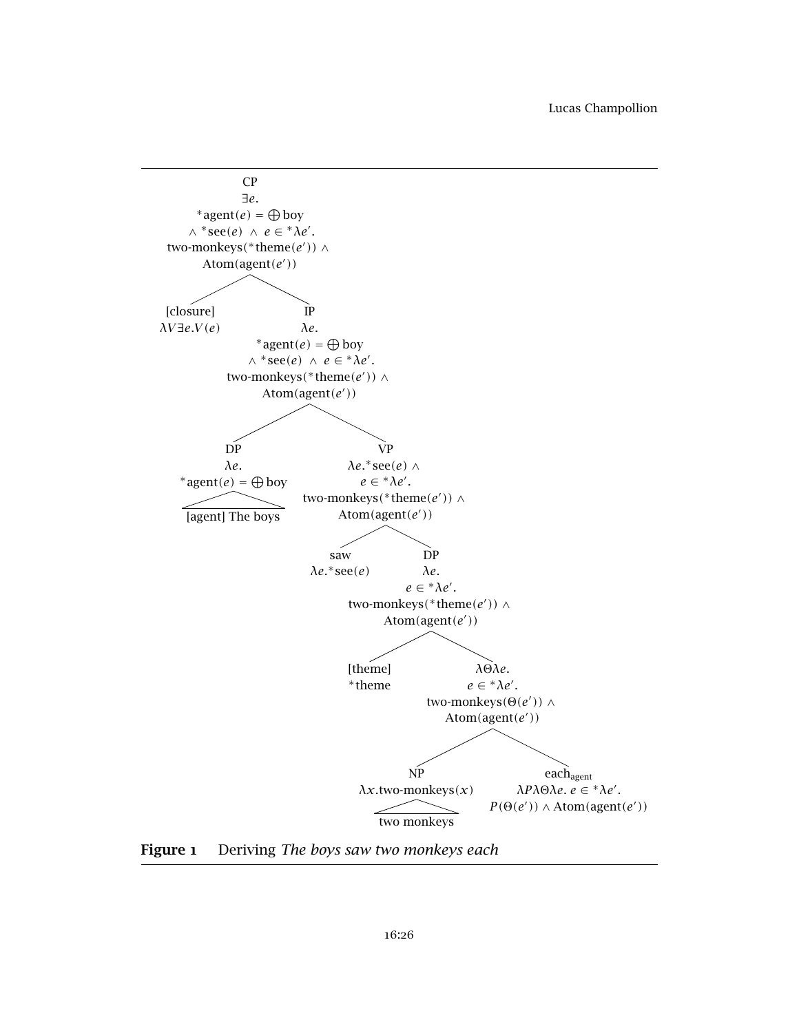

<span id="page-25-0"></span>Figure 1 Deriving *The boys saw two monkeys each*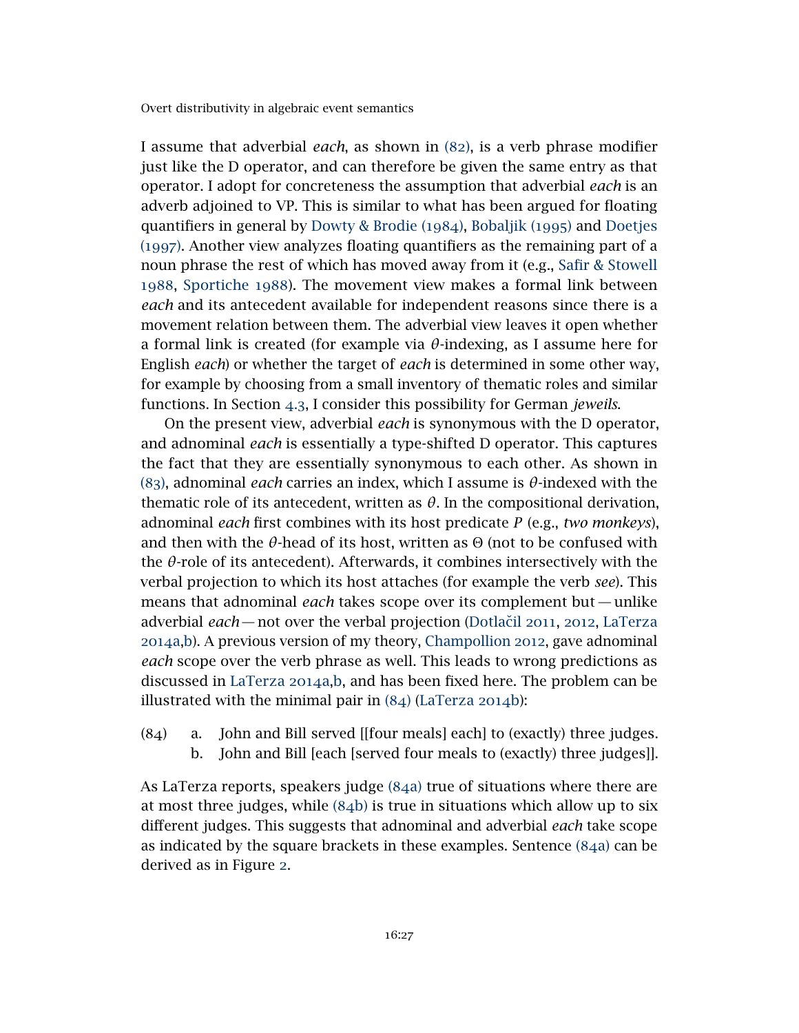I assume that adverbial *each*, as shown in ([82](#page-24-2)), is a verb phrase modifier just like the D operator, and can therefore be given the same entry as that operator. I adopt for concreteness the assumption that adverbial *each* is an adverb adjoined to VP. This is similar to what has been argued for floating quantifiers in general by [Dowty & Brodie \(](#page-58-6)1984), [Bobaljik \(](#page-56-9)1995) and [Doetjes](#page-58-8) ([1997](#page-58-8)). Another view analyzes floating quantifiers as the remaining part of a noun phrase the rest of which has moved away from it (e.g., [Safir & Stowell](#page-62-2) [1988](#page-62-2), [Sportiche](#page-62-3) 1988). The movement view makes a formal link between *each* and its antecedent available for independent reasons since there is a movement relation between them. The adverbial view leaves it open whether a formal link is created (for example via *θ*-indexing, as I assume here for English *each*) or whether the target of *each* is determined in some other way, for example by choosing from a small inventory of thematic roles and similar functions. In Section [4](#page-34-0).3, I consider this possibility for German *jeweils*.

On the present view, adverbial *each* is synonymous with the D operator, and adnominal *each* is essentially a type-shifted D operator. This captures the fact that they are essentially synonymous to each other. As shown in ([83](#page-24-3)), adnominal *each* carries an index, which I assume is *θ*-indexed with the thematic role of its antecedent, written as  $\theta$ . In the compositional derivation, adnominal *each* first combines with its host predicate *P* (e.g., *two monkeys*), and then with the  $\theta$ -head of its host, written as  $\Theta$  (not to be confused with the *θ*-role of its antecedent). Afterwards, it combines intersectively with the verbal projection to which its host attaches (for example the verb *see*). This means that adnominal *each* takes scope over its complement but— unlike adverbial *each* — not over the verbal projection [\(Dotlaˇcil](#page-58-9) 2011, [2012](#page-58-10), [LaTerza](#page-60-4) [2014](#page-60-4)a[,b\)](#page-60-5). A previous version of my theory, [Champollion](#page-56-1) 2012, gave adnominal *each* scope over the verb phrase as well. This leads to wrong predictions as discussed in [LaTerza](#page-60-4) 2014a[,b,](#page-60-5) and has been fixed here. The problem can be illustrated with the minimal pair in  $(84)$  $(84)$  $(84)$  [\(LaTerza](#page-60-5) 2014b):

<span id="page-26-2"></span><span id="page-26-1"></span><span id="page-26-0"></span>(84) a. John and Bill served [[four meals] each] to (exactly) three judges. b. John and Bill [each [served four meals to (exactly) three judges]].

As LaTerza reports, speakers judge ([84](#page-26-1)a) true of situations where there are at most three judges, while  $(84b)$  $(84b)$  $(84b)$  is true in situations which allow up to six different judges. This suggests that adnominal and adverbial *each* take scope as indicated by the square brackets in these examples. Sentence ([84](#page-26-1)a) can be derived as in Figure [2](#page-27-0).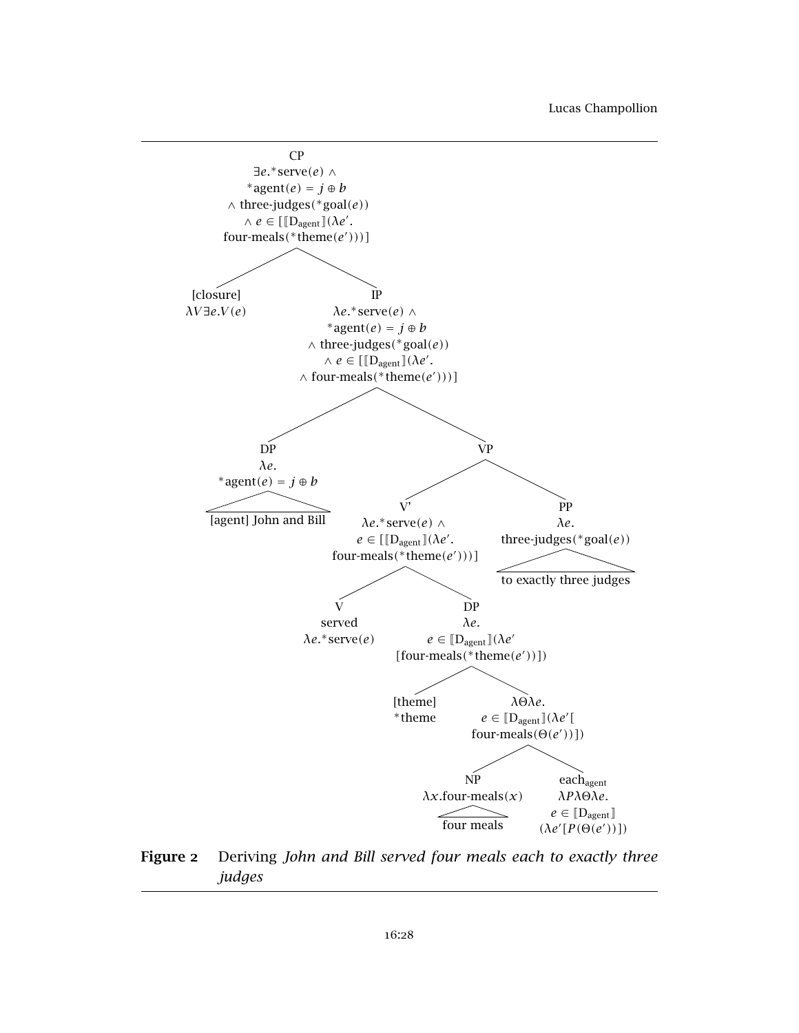

<span id="page-27-0"></span>Figure 2 Deriving *John and Bill served four meals each to exactly three judges*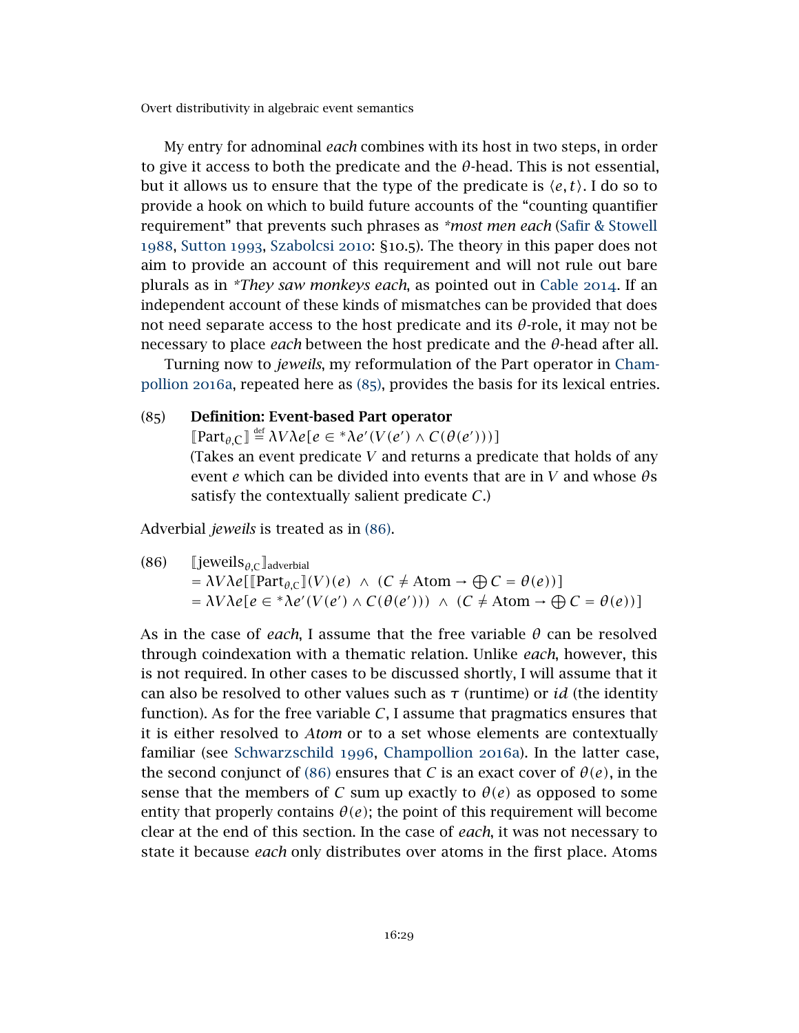My entry for adnominal *each* combines with its host in two steps, in order to give it access to both the predicate and the *θ*-head. This is not essential, but it allows us to ensure that the type of the predicate is  $\langle e, t \rangle$ . I do so to provide a hook on which to build future accounts of the "counting quantifier requirement" that prevents such phrases as *\*most men each* [\(Safir & Stowell](#page-62-2) [1988](#page-62-2), [Sutton](#page-62-7) 1993, [Szabolcsi](#page-62-6) 2010: §10.5). The theory in this paper does not aim to provide an account of this requirement and will not rule out bare plurals as in *\*They saw monkeys each*, as pointed out in [Cable](#page-56-6) 2014. If an independent account of these kinds of mismatches can be provided that does not need separate access to the host predicate and its *θ*-role, it may not be necessary to place *each* between the host predicate and the *θ*-head after all.

Turning now to *jeweils*, my reformulation of the Part operator in [Cham](#page-57-0)[pollion](#page-57-0) 2016a, repeated here as ([85](#page-28-0)), provides the basis for its lexical entries.

## <span id="page-28-0"></span>(85) Definition: Event-based Part operator

 $[\text{Part}_{\theta, C}] \stackrel{\text{def}}{=} \lambda V \lambda e[e \in {}^* \lambda e'(V(e') \wedge C(\theta(e')))]$ (Takes an event predicate *V* and returns a predicate that holds of any event *e* which can be divided into events that are in *V* and whose *θ*s satisfy the contextually salient predicate *C*.)

<span id="page-28-1"></span>Adverbial *jeweils* is treated as in ([86](#page-28-1)).

(86) [jeweils<sub> $\theta$ ,C</sub>]<sub>adverbial</sub>  $= \lambda V \lambda e\left[\left[\text{Part}_{\theta, C}\right](V)(e) \ \wedge \ (C \neq \text{Atom} \rightarrow \bigoplus C = \theta(e))\right]$  $= \lambda V \lambda e [e \in {}^* \lambda e'(V(e') \wedge C(\theta(e'))) \wedge (C \neq \text{Atom} \rightarrow \bigoplus C = \theta(e))]$ 

As in the case of *each*, I assume that the free variable *θ* can be resolved through coindexation with a thematic relation. Unlike *each*, however, this is not required. In other cases to be discussed shortly, I will assume that it can also be resolved to other values such as *τ* (runtime) or *id* (the identity function). As for the free variable *C*, I assume that pragmatics ensures that it is either resolved to *Atom* or to a set whose elements are contextually familiar (see [Schwarzschild](#page-62-1) 1996, [Champollion](#page-57-0) 2016a). In the latter case, the second conjunct of ([86](#page-28-1)) ensures that *C* is an exact cover of  $\theta(e)$ , in the sense that the members of *C* sum up exactly to  $\theta(e)$  as opposed to some entity that properly contains  $\theta(e)$ ; the point of this requirement will become clear at the end of this section. In the case of *each*, it was not necessary to state it because *each* only distributes over atoms in the first place. Atoms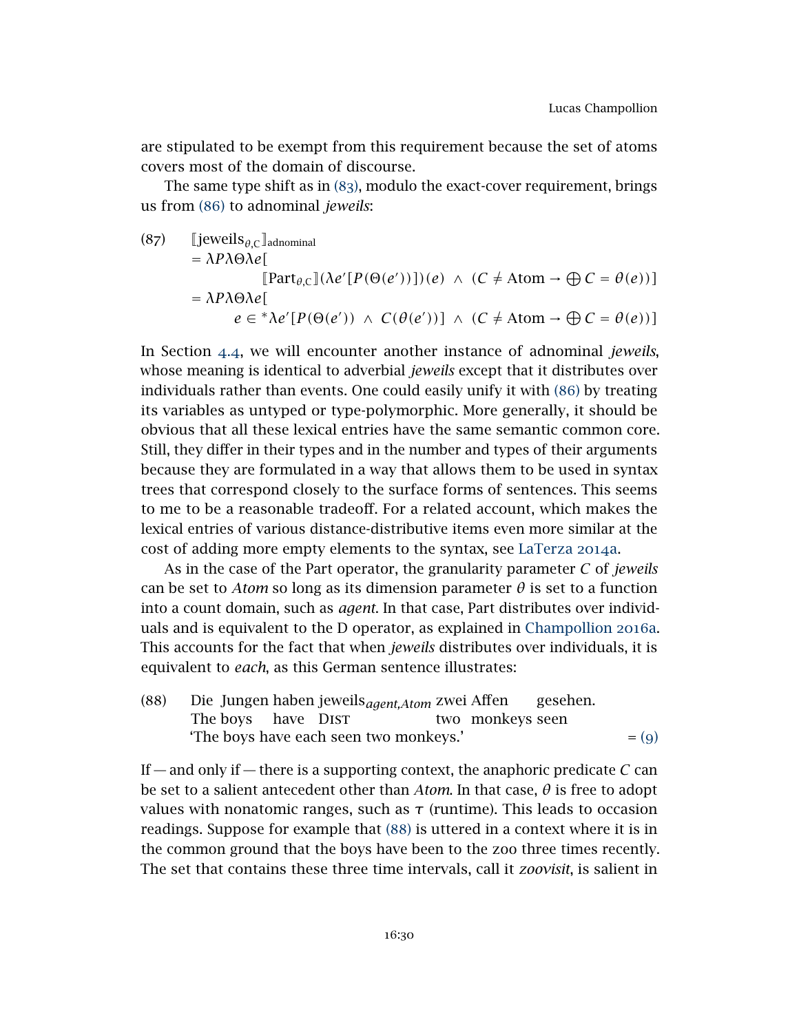are stipulated to be exempt from this requirement because the set of atoms covers most of the domain of discourse.

The same type shift as in ([83](#page-24-3)), modulo the exact-cover requirement, brings us from ([86](#page-28-1)) to adnominal *jeweils*:

(87) [jeweils<sub>$$
\theta
$$</sub>,<sub>C</sub>]<sub>adnominal</sub>  
\n=  $\lambda P \lambda \Theta \lambda e$ [  
\n[Part <sub>$\theta$</sub> ,<sub>C</sub>]( $\lambda e'$ [ $P(\Theta(e'))$ ])( $e$ )  $\wedge$  ( $C \neq$ Atom  $\rightarrow \bigoplus C = \theta(e)$ )]  
\n=  $\lambda P \lambda \Theta \lambda e$ [  
\n $e \in {}^* \lambda e'$ [ $P(\Theta(e')) \wedge C(\theta(e'))$ ]  $\wedge$  ( $C \neq$ Atom  $\rightarrow \bigoplus C = \theta(e)$ )]

In Section [4](#page-37-0).4, we will encounter another instance of adnominal *jeweils*, whose meaning is identical to adverbial *jeweils* except that it distributes over individuals rather than events. One could easily unify it with ([86](#page-28-1)) by treating its variables as untyped or type-polymorphic. More generally, it should be obvious that all these lexical entries have the same semantic common core. Still, they differ in their types and in the number and types of their arguments because they are formulated in a way that allows them to be used in syntax trees that correspond closely to the surface forms of sentences. This seems to me to be a reasonable tradeoff. For a related account, which makes the lexical entries of various distance-distributive items even more similar at the cost of adding more empty elements to the syntax, see [LaTerza](#page-60-4) 2014a.

As in the case of the Part operator, the granularity parameter *C* of *jeweils* can be set to *Atom* so long as its dimension parameter  $\theta$  is set to a function into a count domain, such as *agent*. In that case, Part distributes over individuals and is equivalent to the D operator, as explained in [Champollion](#page-57-0) 2016a. This accounts for the fact that when *jeweils* distributes over individuals, it is equivalent to *each*, as this German sentence illustrates:

<span id="page-29-0"></span>(88) Die Jungen haben jeweils*agent,Atom* zwei Affen The boys have DIST two monkeys seen gesehen. 'The boys have each seen two monkeys.'  $= (9)$  $= (9)$  $= (9)$ 

If — and only if — there is a supporting context, the anaphoric predicate *C* can be set to a salient antecedent other than *Atom*. In that case, *θ* is free to adopt values with nonatomic ranges, such as *τ* (runtime). This leads to occasion readings. Suppose for example that ([88](#page-29-0)) is uttered in a context where it is in the common ground that the boys have been to the zoo three times recently. The set that contains these three time intervals, call it *zoovisit*, is salient in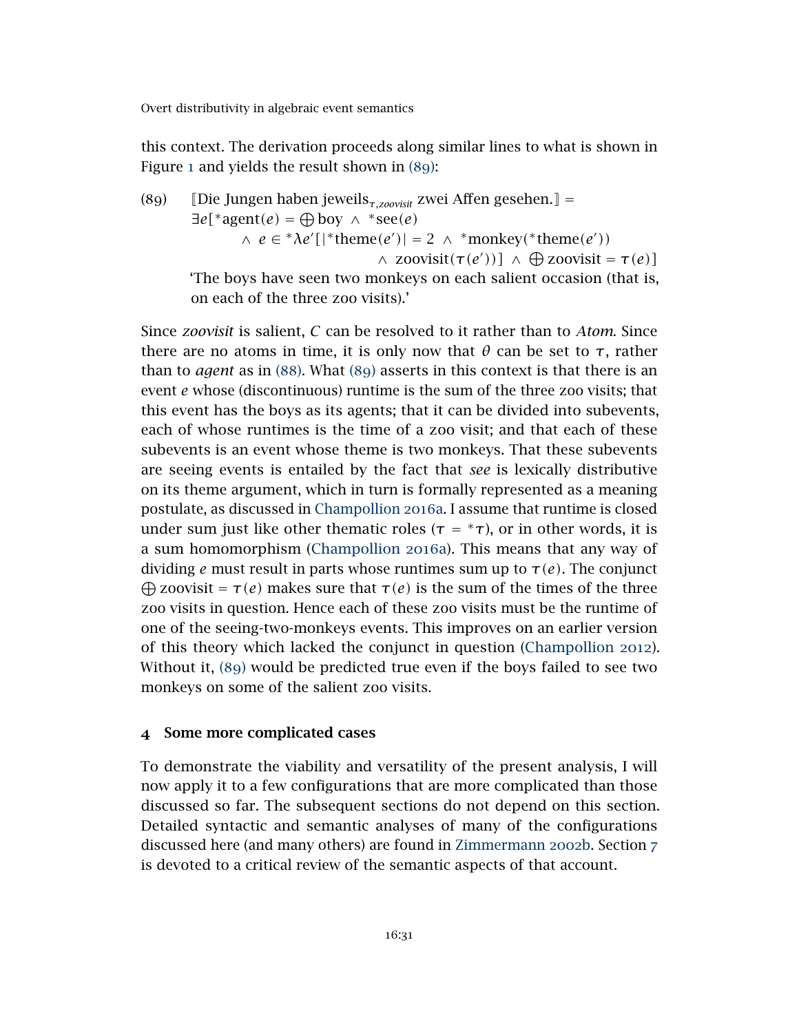this context. The derivation proceeds along similar lines to what is shown in Figure [1](#page-25-0) and yields the result shown in  $(89)$  $(89)$  $(89)$ :

<span id="page-30-1"></span>(89) Die Jungen haben jeweils*τ,zoovisit* zwei Affen gesehen*.* =  $\exists e[{}^*agent(e) = \bigoplus$  boy  $\wedge {}^*see(e)$  $\land$   $e \in {}^* \lambda e'$ <sup>[|\*</sup>theme $(e')$ ] = 2  $\land$  \*monkey(\*theme $(e')$ )  $\land$  zoovisit( $\tau(e')$ )]  $\land \bigoplus$  zoovisit =  $\tau(e)$ ] 'The boys have seen two monkeys on each salient occasion (that is, on each of the three zoo visits).'

Since *zoovisit* is salient, *C* can be resolved to it rather than to *Atom*. Since there are no atoms in time, it is only now that  $θ$  can be set to  $τ$ , rather than to *agent* as in ([88](#page-29-0)). What ([89](#page-30-1)) asserts in this context is that there is an event *e* whose (discontinuous) runtime is the sum of the three zoo visits; that this event has the boys as its agents; that it can be divided into subevents, each of whose runtimes is the time of a zoo visit; and that each of these subevents is an event whose theme is two monkeys. That these subevents are seeing events is entailed by the fact that *see* is lexically distributive on its theme argument, which in turn is formally represented as a meaning postulate, as discussed in [Champollion](#page-57-0) 2016a. I assume that runtime is closed under sum just like other thematic roles ( $\tau = \tau$ ), or in other words, it is a sum homomorphism [\(Champollion](#page-57-0) 2016a). This means that any way of dividing *e* must result in parts whose runtimes sum up to *τ(e)*. The conjunct  $\bigoplus$  zoovisit =  $\tau(e)$  makes sure that  $\tau(e)$  is the sum of the times of the three zoo visits in question. Hence each of these zoo visits must be the runtime of one of the seeing-two-monkeys events. This improves on an earlier version of this theory which lacked the conjunct in question [\(Champollion](#page-56-1) 2012). Without it, ([89](#page-30-1)) would be predicted true even if the boys failed to see two monkeys on some of the salient zoo visits.

#### <span id="page-30-0"></span>4 Some more complicated cases

To demonstrate the viability and versatility of the present analysis, I will now apply it to a few configurations that are more complicated than those discussed so far. The subsequent sections do not depend on this section. Detailed syntactic and semantic analyses of many of the configurations discussed here (and many others) are found in [Zimmermann](#page-63-0) 2002b. Section [7](#page-49-0) is devoted to a critical review of the semantic aspects of that account.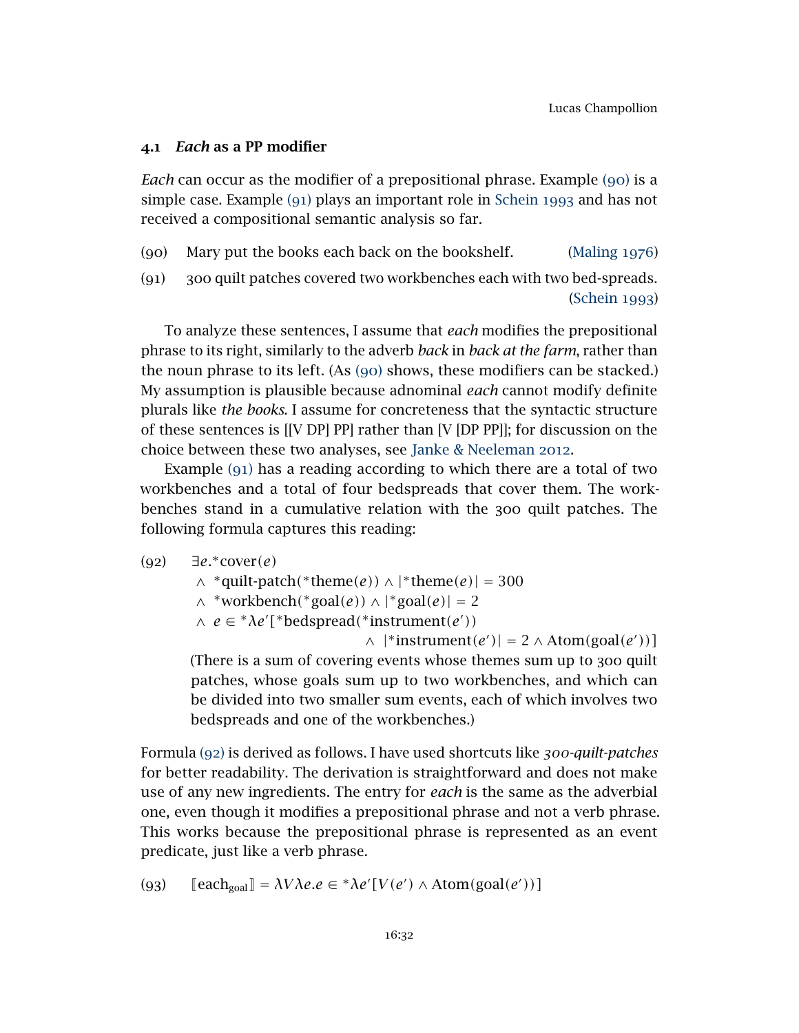### 4.1 *Each* as a PP modifier

*Each* can occur as the modifier of a prepositional phrase. Example ([90](#page-31-0)) is a simple case. Example ([91](#page-31-1)) plays an important role in [Schein](#page-62-8) 1993 and has not received a compositional semantic analysis so far.

- <span id="page-31-1"></span><span id="page-31-0"></span>(90) Mary put the books each back on the bookshelf. [\(Maling](#page-60-10) 1976)
- (91) 300 quilt patches covered two workbenches each with two bed-spreads. [\(Schein](#page-62-8) 1993)

To analyze these sentences, I assume that *each* modifies the prepositional phrase to its right, similarly to the adverb *back* in *back at the farm*, rather than the noun phrase to its left. (As ([90](#page-31-0)) shows, these modifiers can be stacked.) My assumption is plausible because adnominal *each* cannot modify definite plurals like *the books*. I assume for concreteness that the syntactic structure of these sentences is [[V DP] PP] rather than [V [DP PP]]; for discussion on the choice between these two analyses, see [Janke & Neeleman](#page-59-7) 2012.

Example ([91](#page-31-1)) has a reading according to which there are a total of two workbenches and a total of four bedspreads that cover them. The workbenches stand in a cumulative relation with the 300 quilt patches. The following formula captures this reading:

<span id="page-31-2"></span>(92) ∃*e.*<sup>∗</sup>cover*(e)*

∧ <sup>∗</sup>quilt-patch*(* <sup>∗</sup>theme*(e))* ∧ |<sup>∗</sup>theme*(e)*| = 300

∧ <sup>∗</sup>workbench*(* <sup>∗</sup>goal*(e))* ∧ |<sup>∗</sup>goal*(e)*| = 2

 $\wedge$   $e \in {}^* \lambda e'$ <sup>[\*</sup>bedspread(\*instrument $(e')$ )

 $\wedge$  |\*instrument(*e'*)| = 2 ∧ Atom(goal(*e'*))]

(There is a sum of covering events whose themes sum up to 300 quilt patches, whose goals sum up to two workbenches, and which can be divided into two smaller sum events, each of which involves two bedspreads and one of the workbenches.)

Formula ([92](#page-31-2)) is derived as follows. I have used shortcuts like *300-quilt-patches* for better readability. The derivation is straightforward and does not make use of any new ingredients. The entry for *each* is the same as the adverbial one, even though it modifies a prepositional phrase and not a verb phrase. This works because the prepositional phrase is represented as an event predicate, just like a verb phrase.

(93)  $[each_{goal}] = \lambda V \lambda e.e \in \lambda e'[V(e') \wedge Atom(goal(e'))]$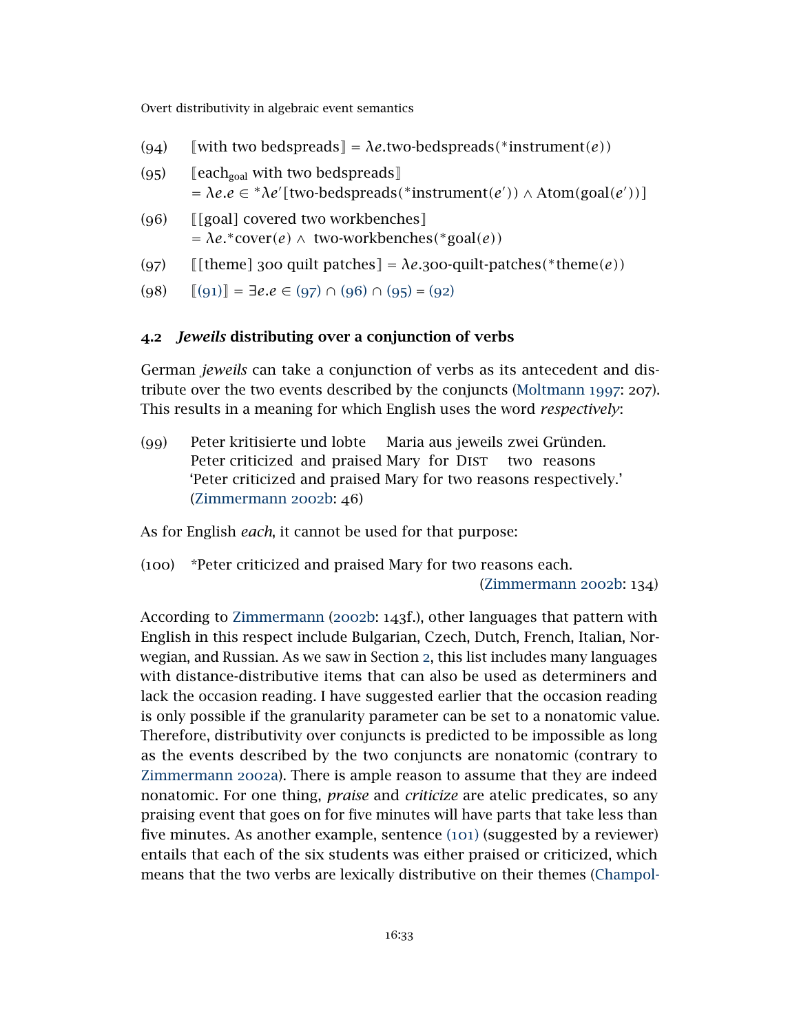- <span id="page-32-2"></span> $(94)$  [with two bedspreads] =  $\lambda e$ .two-bedspreads(\*instrument(*e*))
- (95) [each<sub>goal</sub> with two bedspreads]  $= \lambda e.e \in \lambda e'$ [two-bedspreads(\*instrument(*e'*))  $\wedge$  Atom(goal(*e'*))]
- <span id="page-32-1"></span>(96) *[*goal*]* covered two workbenches  $= \lambda e.*cover(e) \wedge two-workbenches(*goal(e))$
- <span id="page-32-0"></span>(97) **[[theme]** 300 quilt patches] =  $\lambda e$ .300-quilt-patches(\*theme(*e*))
- (98)  $[(91)] = \exists e.e \in (97) \cap (96) \cap (95) = (92)$  $[(91)] = \exists e.e \in (97) \cap (96) \cap (95) = (92)$  $[(91)] = \exists e.e \in (97) \cap (96) \cap (95) = (92)$  $[(91)] = \exists e.e \in (97) \cap (96) \cap (95) = (92)$  $[(91)] = \exists e.e \in (97) \cap (96) \cap (95) = (92)$  $[(91)] = \exists e.e \in (97) \cap (96) \cap (95) = (92)$  $[(91)] = \exists e.e \in (97) \cap (96) \cap (95) = (92)$  $[(91)] = \exists e.e \in (97) \cap (96) \cap (95) = (92)$  $[(91)] = \exists e.e \in (97) \cap (96) \cap (95) = (92)$  $[(91)] = \exists e.e \in (97) \cap (96) \cap (95) = (92)$  $[(91)] = \exists e.e \in (97) \cap (96) \cap (95) = (92)$

## 4.2 *Jeweils* distributing over a conjunction of verbs

German *jeweils* can take a conjunction of verbs as its antecedent and distribute over the two events described by the conjuncts [\(Moltmann](#page-60-1) 1997: 207). This results in a meaning for which English uses the word *respectively*:

<span id="page-32-3"></span>(99) Peter kritisierte und lobte Peter criticized and praised Mary for DIST Maria aus jeweils zwei Gründen. two reasons 'Peter criticized and praised Mary for two reasons respectively.' [\(Zimmermann](#page-63-0) 2002b: 46)

As for English *each*, it cannot be used for that purpose:

(100) \*Peter criticized and praised Mary for two reasons each.

[\(Zimmermann](#page-63-0) 2002b: 134)

According to [Zimmermann](#page-63-0) ([2002](#page-63-0)b: 143f.), other languages that pattern with English in this respect include Bulgarian, Czech, Dutch, French, Italian, Norwegian, and Russian. As we saw in Section [2](#page-5-0), this list includes many languages with distance-distributive items that can also be used as determiners and lack the occasion reading. I have suggested earlier that the occasion reading is only possible if the granularity parameter can be set to a nonatomic value. Therefore, distributivity over conjuncts is predicted to be impossible as long as the events described by the two conjuncts are nonatomic (contrary to [Zimmermann](#page-63-4) 2002a). There is ample reason to assume that they are indeed nonatomic. For one thing, *praise* and *criticize* are atelic predicates, so any praising event that goes on for five minutes will have parts that take less than five minutes. As another example, sentence ([101](#page-33-0)) (suggested by a reviewer) entails that each of the six students was either praised or criticized, which means that the two verbs are lexically distributive on their themes [\(Champol-](#page-57-0)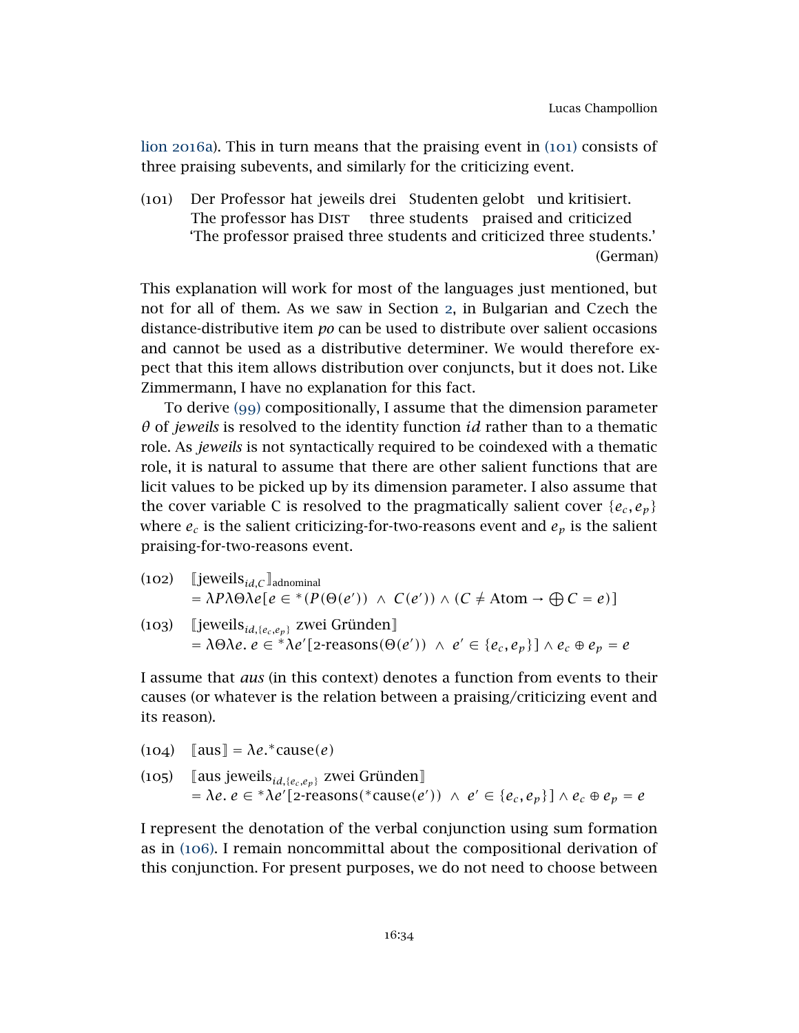lion [2016](#page-57-0)a). This in turn means that the praising event in ([101](#page-33-0)) consists of three praising subevents, and similarly for the criticizing event.

<span id="page-33-0"></span> $(101)$ The professor has DIST three students praised and criticized Professor hat jeweils drei Studenten gelobt und kritisiert. 'The professor praised three students and criticized three students.' (German)

This explanation will work for most of the languages just mentioned, but not for all of them. As we saw in Section [2](#page-5-0), in Bulgarian and Czech the distance-distributive item *po* can be used to distribute over salient occasions and cannot be used as a distributive determiner. We would therefore expect that this item allows distribution over conjuncts, but it does not. Like Zimmermann, I have no explanation for this fact.

To derive ([99](#page-32-3)) compositionally, I assume that the dimension parameter *θ* of *jeweils* is resolved to the identity function *id* rather than to a thematic role. As *jeweils* is not syntactically required to be coindexed with a thematic role, it is natural to assume that there are other salient functions that are licit values to be picked up by its dimension parameter. I also assume that the cover variable C is resolved to the pragmatically salient cover  $\{e_c, e_p\}$ where  $e_c$  is the salient criticizing-for-two-reasons event and  $e_p$  is the salient praising-for-two-reasons event.

- (102) [*jeweils*<sub>*id,C*</sub> adnominal  $= \lambda P \lambda \Theta \lambda e [e \in {}^* (P(\Theta(e')) \land C(e')) \land (C \neq \text{Atom} \rightarrow \bigoplus C = e)]$
- (103) jeweils*id,*{*e<sup>c</sup> ,ep*} zwei Gründen  $= \lambda \Theta \lambda e$ .  $e \in {^*\lambda e'}$ [2-reasons( $\Theta(e')$ )  $\wedge e' \in {e_c, e_p}$ ]  $\wedge e_c \oplus e_p = e$

I assume that *aus* (in this context) denotes a function from events to their causes (or whatever is the relation between a praising/criticizing event and its reason).

- $(104)$  **aus** =  $\lambda e^*$  cause $(e)$
- (105) aus jeweils*id,*{*e<sup>c</sup> ,ep*} zwei Gründen  $= \lambda e$ .  $e \in {}^*\lambda e'$ [2-reasons( ${}^*\text{cause}(e')$ )  $\wedge e' \in \{e_c, e_p\}$ ]  $\wedge e_c \oplus e_p = e$

I represent the denotation of the verbal conjunction using sum formation as in ([106](#page-34-1)). I remain noncommittal about the compositional derivation of this conjunction. For present purposes, we do not need to choose between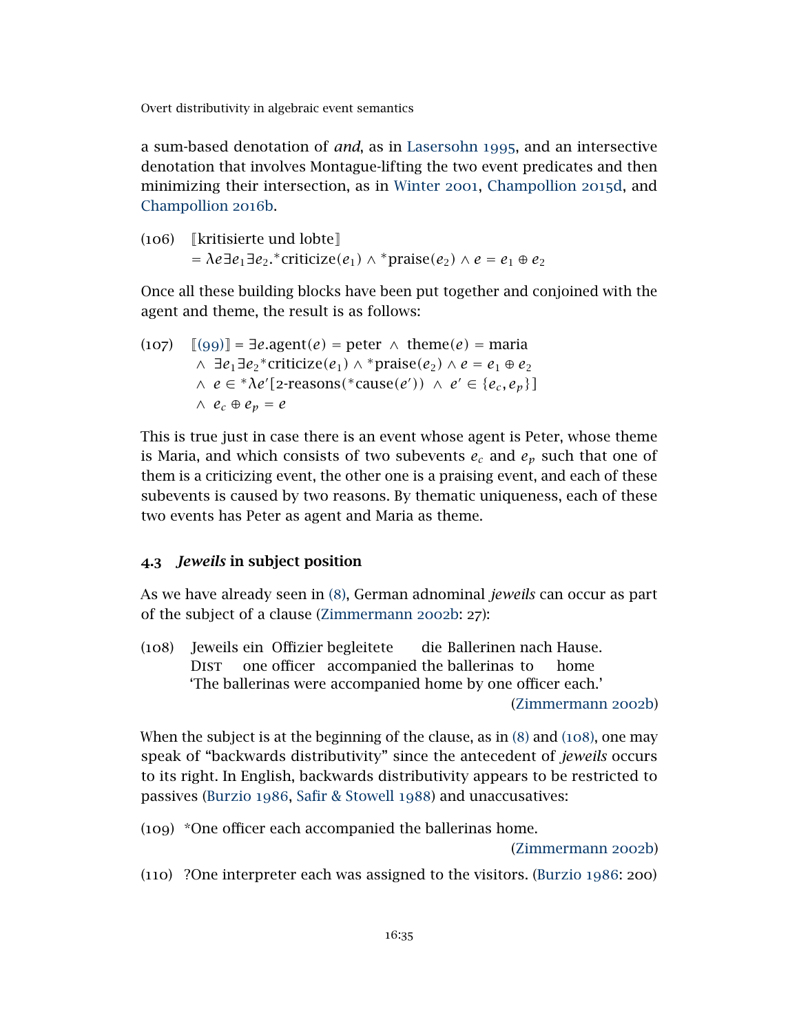a sum-based denotation of *and*, as in [Lasersohn](#page-60-11) 1995, and an intersective denotation that involves Montague-lifting the two event predicates and then minimizing their intersection, as in [Winter](#page-63-5) 2001, [Champollion](#page-57-9) 2015d, and [Champollion](#page-57-10) 2016b.

<span id="page-34-1"></span> $(106)$  [kritisierte und lobte]  $= \lambda e \exists e_1 \exists e_2$ <sup>\*</sup> criticize(*e*<sub>1</sub>) ∧ \* praise(*e*<sub>2</sub>) ∧ *e* = *e*<sub>1</sub> ⊕ *e*<sub>2</sub>

Once all these building blocks have been put together and conjoined with the agent and theme, the result is as follows:

(107) 
$$
[[99]] = \exists e.\text{agent}(e) = \text{peter } \land \text{ theme}(e) = \text{maria}
$$

$$
\land \exists e_1 \exists e_2^* \text{criticize}(e_1) \land \text{*praise}(e_2) \land e = e_1 \oplus e_2
$$

$$
\land e \in \text{*}\lambda e'[2\text{-reasons}(\text{*cause}(e')) \land e' \in \{e_c, e_p\}]
$$

$$
\land e_c \oplus e_p = e
$$

This is true just in case there is an event whose agent is Peter, whose theme is Maria, and which consists of two subevents *e<sup>c</sup>* and *e<sup>p</sup>* such that one of them is a criticizing event, the other one is a praising event, and each of these subevents is caused by two reasons. By thematic uniqueness, each of these two events has Peter as agent and Maria as theme.

## <span id="page-34-0"></span>4.3 *Jeweils* in subject position

As we have already seen in ([8](#page-8-0)), German adnominal *jeweils* can occur as part of the subject of a clause [\(Zimmermann](#page-63-0) 2002b: 27):

<span id="page-34-2"></span>(108) Jeweils ein Offizier begleitete D<sub>IST</sub> one officer accompanied the ballerinas to die Ballerinen nach Hause. home 'The ballerinas were accompanied home by one officer each.'

[\(Zimmermann](#page-63-0) 2002b)

When the subject is at the beginning of the clause, as in ([8](#page-8-0)) and ([108](#page-34-2)), one may speak of "backwards distributivity" since the antecedent of *jeweils* occurs to its right. In English, backwards distributivity appears to be restricted to passives [\(Burzio](#page-56-3) 1986, [Safir & Stowell](#page-62-2) 1988) and unaccusatives:

<span id="page-34-4"></span>(109) \*One officer each accompanied the ballerinas home.

[\(Zimmermann](#page-63-0) 2002b)

<span id="page-34-3"></span>(110) ?One interpreter each was assigned to the visitors. [\(Burzio](#page-56-3) 1986: 200)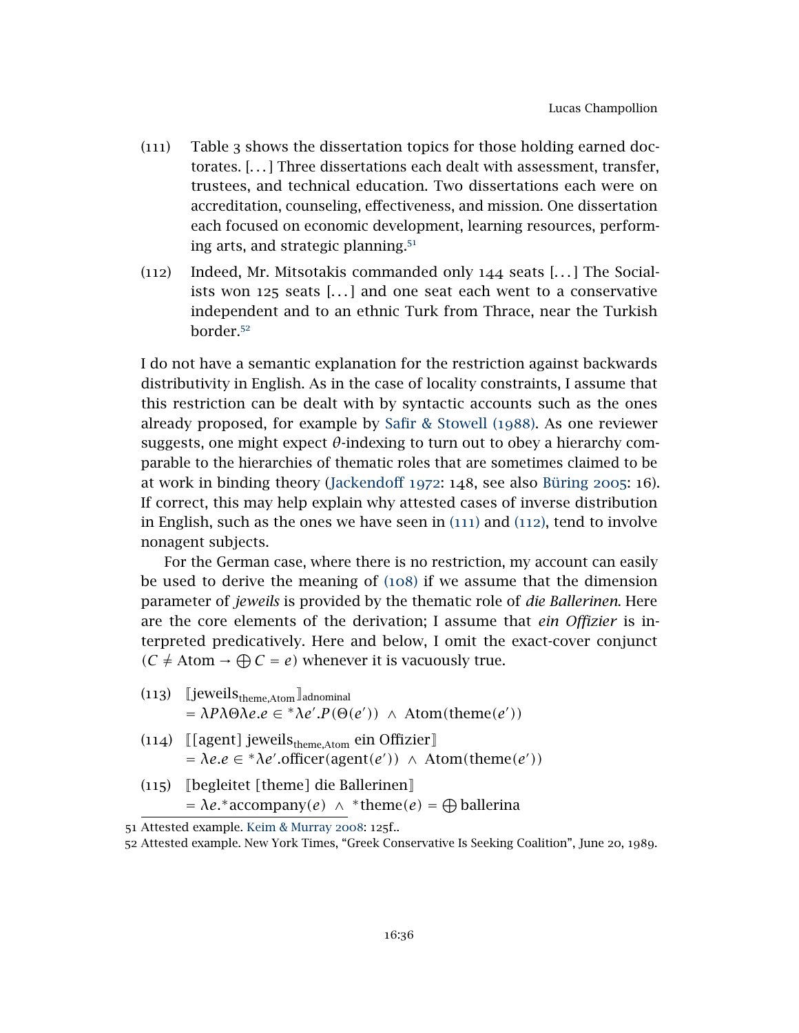- (111) Table 3 shows the dissertation topics for those holding earned doctorates. [. . . ] Three dissertations each dealt with assessment, transfer, trustees, and technical education. Two dissertations each were on accreditation, counseling, effectiveness, and mission. One dissertation each focused on economic development, learning resources, performing arts, and strategic planning.[51](#page-35-0)
- <span id="page-35-2"></span>(112) Indeed, Mr. Mitsotakis commanded only 144 seats [. . . ] The Socialists won 125 seats [. . . ] and one seat each went to a conservative independent and to an ethnic Turk from Thrace, near the Turkish border.[52](#page-35-1)

I do not have a semantic explanation for the restriction against backwards distributivity in English. As in the case of locality constraints, I assume that this restriction can be dealt with by syntactic accounts such as the ones already proposed, for example by [Safir & Stowell \(](#page-62-2)1988). As one reviewer suggests, one might expect *θ*-indexing to turn out to obey a hierarchy comparable to the hierarchies of thematic roles that are sometimes claimed to be at work in binding theory [\(Jackendoff](#page-59-8) 1972: 148, see also [Büring](#page-56-5) 2005: 16). If correct, this may help explain why attested cases of inverse distribution in English, such as the ones we have seen in ([111](#page-34-3)) and ([112](#page-35-2)), tend to involve nonagent subjects.

For the German case, where there is no restriction, my account can easily be used to derive the meaning of  $(108)$  $(108)$  $(108)$  if we assume that the dimension parameter of *jeweils* is provided by the thematic role of *die Ballerinen*. Here are the core elements of the derivation; I assume that *ein Offizier* is interpreted predicatively. Here and below, I omit the exact-cover conjunct  $(C ≠ Atom → ⊕ C = e)$  whenever it is vacuously true.

- (113) [jeweils<sub>theme,Atom</sub>]adnominal  $= \lambda P \lambda \Theta \lambda e.e \in {}^* \lambda e'.P(\Theta(e')) \land \text{Atom}(\text{theme}(e'))$
- (114)  $\llbracket$  [agent] jeweils<sub>theme,Atom</sub> ein Offizier]  $= \lambda e.e \in \lambda e'.$  officer(agent(*e'*))  $\wedge$  Atom(theme(*e'*))
- (115) begleitet *[*theme*]* die Ballerinen  $= \lambda e^*$  accompany $(e) \wedge^*$ theme $(e) = \bigoplus$  ballerina

<span id="page-35-3"></span><span id="page-35-0"></span>51 Attested example. [Keim & Murray](#page-59-9) 2008: 125f..

<span id="page-35-1"></span><sup>52</sup> Attested example. New York Times, "Greek Conservative Is Seeking Coalition", June 20, 1989.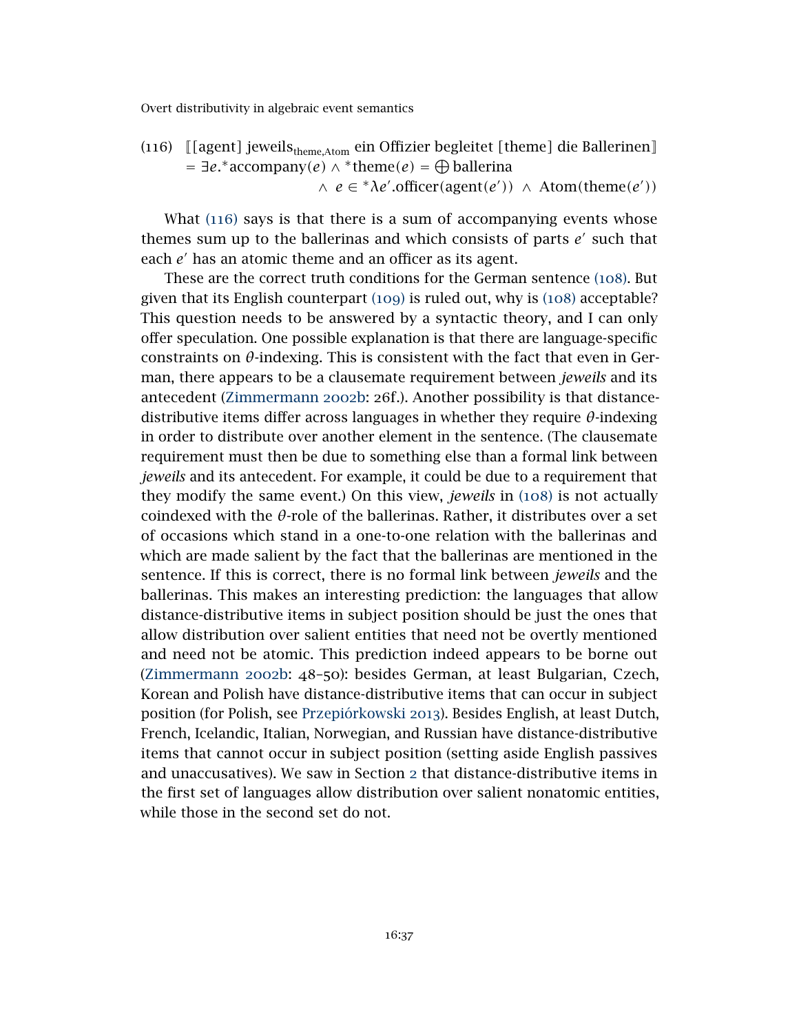(116) **[[agent]** jeweils<sub>theme,Atom ein Offizier begleitet [theme] die Ballerinen]</sub>  $= \exists e.^*$ accompany*(e)* ∧  $*$ theme*(e)* =  $\bigoplus$  ballerina

 $\land$  *e* ∈ \* $\lambda e'$ .officer(agent(*e'*))  $\land$  Atom(theme(*e'*))

What ([116](#page-35-3)) says is that there is a sum of accompanying events whose themes sum up to the ballerinas and which consists of parts *e'* such that each e' has an atomic theme and an officer as its agent.

These are the correct truth conditions for the German sentence ([108](#page-34-2)). But given that its English counterpart ([109](#page-34-4)) is ruled out, why is ([108](#page-34-2)) acceptable? This question needs to be answered by a syntactic theory, and I can only offer speculation. One possible explanation is that there are language-specific constraints on *θ*-indexing. This is consistent with the fact that even in German, there appears to be a clausemate requirement between *jeweils* and its antecedent [\(Zimmermann](#page-63-0) 2002b: 26f.). Another possibility is that distancedistributive items differ across languages in whether they require *θ*-indexing in order to distribute over another element in the sentence. (The clausemate requirement must then be due to something else than a formal link between *jeweils* and its antecedent. For example, it could be due to a requirement that they modify the same event.) On this view, *jeweils* in ([108](#page-34-2)) is not actually coindexed with the *θ*-role of the ballerinas. Rather, it distributes over a set of occasions which stand in a one-to-one relation with the ballerinas and which are made salient by the fact that the ballerinas are mentioned in the sentence. If this is correct, there is no formal link between *jeweils* and the ballerinas. This makes an interesting prediction: the languages that allow distance-distributive items in subject position should be just the ones that allow distribution over salient entities that need not be overtly mentioned and need not be atomic. This prediction indeed appears to be borne out [\(Zimmermann](#page-63-0) 2002b: 48–50): besides German, at least Bulgarian, Czech, Korean and Polish have distance-distributive items that can occur in subject position (for Polish, see [Przepiórkowski](#page-61-4) 2013). Besides English, at least Dutch, French, Icelandic, Italian, Norwegian, and Russian have distance-distributive items that cannot occur in subject position (setting aside English passives and unaccusatives). We saw in Section [2](#page-5-0) that distance-distributive items in the first set of languages allow distribution over salient nonatomic entities, while those in the second set do not.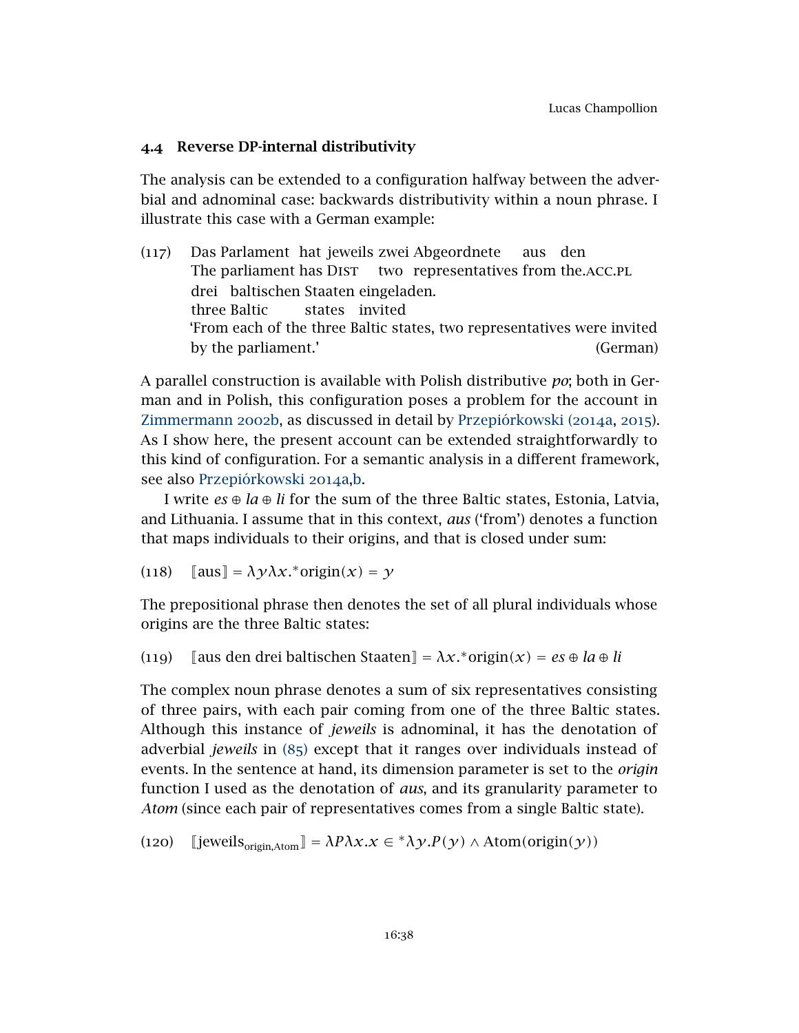## <span id="page-37-0"></span>4.4 Reverse DP-internal distributivity

The analysis can be extended to a configuration halfway between the adverbial and adnominal case: backwards distributivity within a noun phrase. I illustrate this case with a German example:

<span id="page-37-3"></span> $(117)$ The parliament has DIST two representatives from the.ACC.PL Parlament hat jeweils zwei Abgeordnete aus den drei baltischen Staaten eingeladen. three Baltic states invited 'From each of the three Baltic states, two representatives were invited by the parliament.' (German)

A parallel construction is available with Polish distributive *po*; both in German and in Polish, this configuration poses a problem for the account in [Zimmermann](#page-63-0) 2002b, as discussed in detail by [Przepiórkowski \(](#page-61-5)2014a, [2015](#page-61-7)). As I show here, the present account can be extended straightforwardly to this kind of configuration. For a semantic analysis in a different framework, see also [Przepiórkowski](#page-61-5) 2014a[,b.](#page-61-6)

I write *es* ⊕ *la* ⊕ *li* for the sum of the three Baltic states, Estonia, Latvia, and Lithuania. I assume that in this context, *aus* ('from') denotes a function that maps individuals to their origins, and that is closed under sum:

(118)  $\left[\text{aus}\right] = \lambda y \lambda x.*$ origin $(x) = y$ 

The prepositional phrase then denotes the set of all plural individuals whose origins are the three Baltic states:

<span id="page-37-1"></span>(119) aus den drei baltischen Staaten  $\mathbb{I} = \lambda x.*$ origin $(x) = e$ s  $\oplus$  *la*  $\oplus$  *li* 

The complex noun phrase denotes a sum of six representatives consisting of three pairs, with each pair coming from one of the three Baltic states. Although this instance of *jeweils* is adnominal, it has the denotation of adverbial *jeweils* in ([85](#page-28-0)) except that it ranges over individuals instead of events. In the sentence at hand, its dimension parameter is set to the *origin* function I used as the denotation of *aus*, and its granularity parameter to *Atom* (since each pair of representatives comes from a single Baltic state).

<span id="page-37-2"></span>(120) [jeweils<sub>origin,Atom</sub>] = 
$$
\lambda P \lambda x . x \in {^*}\lambda y . P(y) \wedge \text{Atom}(origin(y))
$$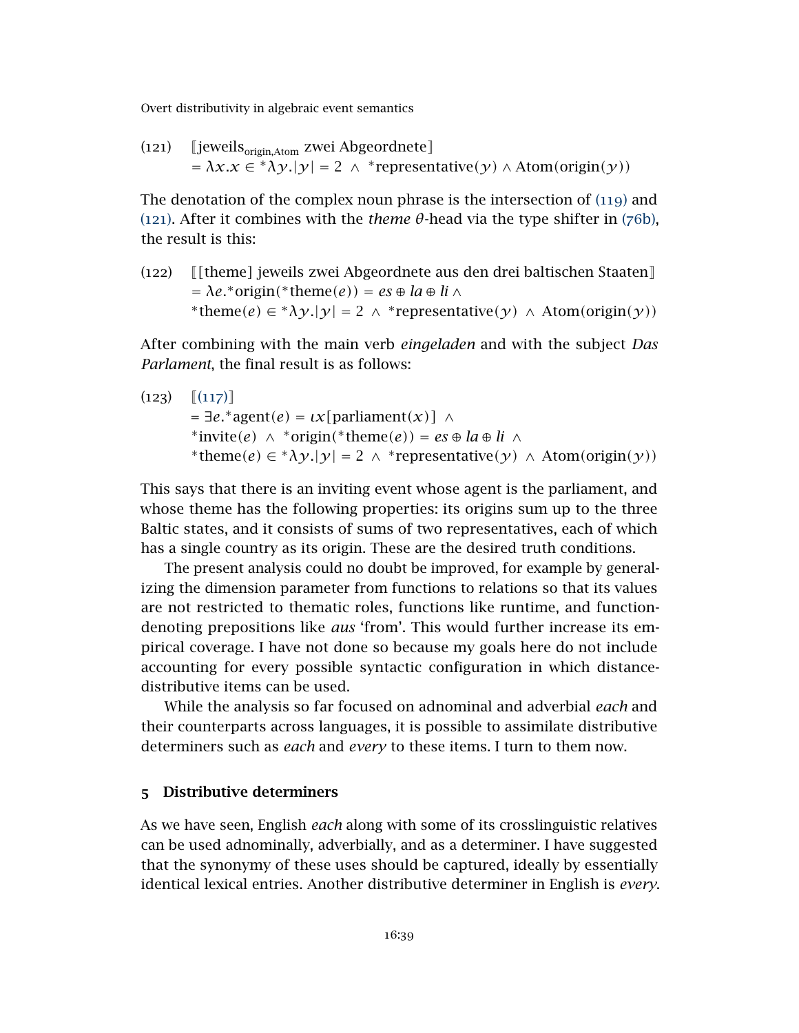(121) [jeweils<sub>origin,Atom</sub> zwei Abgeordnete]  $= \lambda x.x \in {}^*\lambda \gamma$ . $|\gamma| = 2 \wedge {}^*$ representative $(\gamma) \wedge$  Atom $($ origin $(\gamma)$ )

The denotation of the complex noun phrase is the intersection of ([119](#page-37-1)) and ([121](#page-37-2)). After it combines with the *theme θ*-head via the type shifter in (76[b\),](#page-23-2) the result is this:

(122) *[*theme*]* jeweils zwei Abgeordnete aus den drei baltischen Staaten  $= \lambda e.*$ origin(\*theme $(e)$ ) =  $es \oplus la \oplus li \wedge$ <sup>∗</sup>theme(*e*) ∈ <sup>\*</sup> $λy.|y| = 2$  ∧ <sup>\*</sup>representative(*y*) ∧ Atom(origin(*y*))

After combining with the main verb *eingeladen* and with the subject *Das Parlament*, the final result is as follows:

(123) 
$$
[[117]]
$$
  
=  $\exists e$  \* agent(*e*) = *tx*[parlament(*x*)] ∧  
\*invite(*e*) ∧ \* origin(\*theme(*e*)) = *es* ⊕ *la* ⊕ *li* ∧  
\*theme(*e*) ∈ \*λ*y*.|*y*| = 2 ∧ \*representative(*y*) ∧ Atom(origin(*y*))

This says that there is an inviting event whose agent is the parliament, and whose theme has the following properties: its origins sum up to the three Baltic states, and it consists of sums of two representatives, each of which has a single country as its origin. These are the desired truth conditions.

The present analysis could no doubt be improved, for example by generalizing the dimension parameter from functions to relations so that its values are not restricted to thematic roles, functions like runtime, and functiondenoting prepositions like *aus* 'from'. This would further increase its empirical coverage. I have not done so because my goals here do not include accounting for every possible syntactic configuration in which distancedistributive items can be used.

While the analysis so far focused on adnominal and adverbial *each* and their counterparts across languages, it is possible to assimilate distributive determiners such as *each* and *every* to these items. I turn to them now.

#### <span id="page-38-0"></span>5 Distributive determiners

As we have seen, English *each* along with some of its crosslinguistic relatives can be used adnominally, adverbially, and as a determiner. I have suggested that the synonymy of these uses should be captured, ideally by essentially identical lexical entries. Another distributive determiner in English is *every*.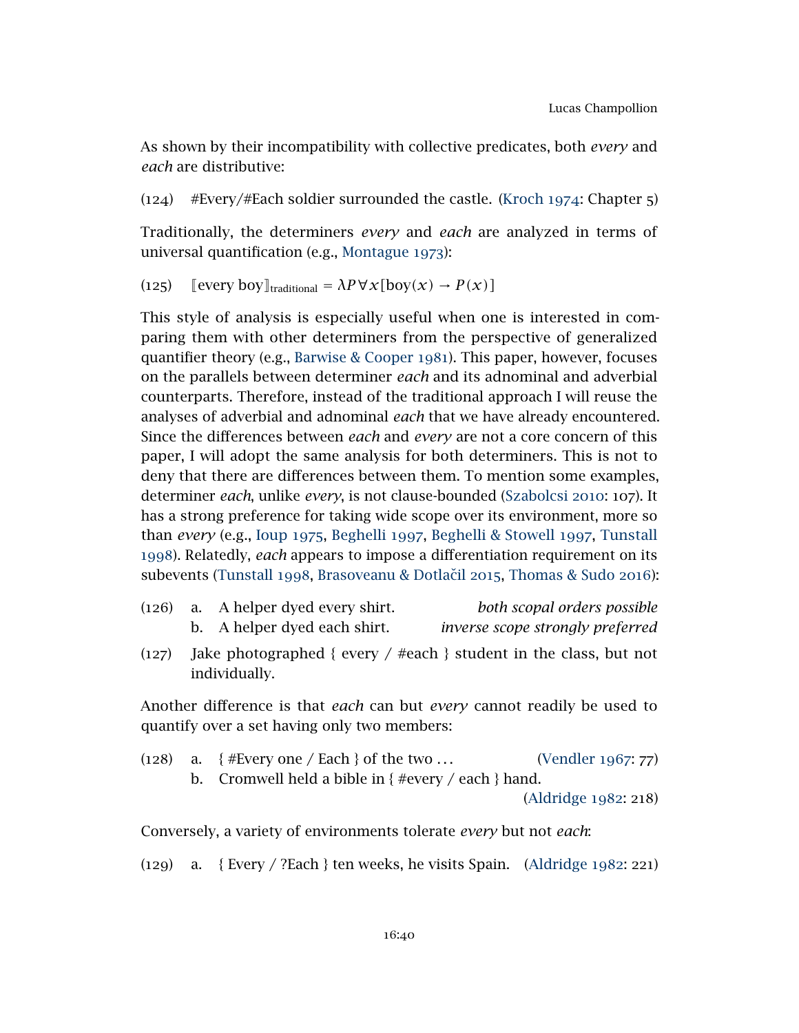As shown by their incompatibility with collective predicates, both *every* and *each* are distributive:

 $(124)$  #Every/#Each soldier surrounded the castle. [\(Kroch](#page-59-10) 1974: Chapter 5)

Traditionally, the determiners *every* and *each* are analyzed in terms of universal quantification (e.g., [Montague](#page-60-12) 1973):

<span id="page-39-0"></span> $(125)$  [every boy]<sub>traditional</sub> =  $\lambda P \forall x$ [boy $(x) \rightarrow P(x)$ ]

This style of analysis is especially useful when one is interested in comparing them with other determiners from the perspective of generalized quantifier theory (e.g., [Barwise & Cooper](#page-55-3) 1981). This paper, however, focuses on the parallels between determiner *each* and its adnominal and adverbial counterparts. Therefore, instead of the traditional approach I will reuse the analyses of adverbial and adnominal *each* that we have already encountered. Since the differences between *each* and *every* are not a core concern of this paper, I will adopt the same analysis for both determiners. This is not to deny that there are differences between them. To mention some examples, determiner *each*, unlike *every*, is not clause-bounded [\(Szabolcsi](#page-62-6) 2010: 107). It has a strong preference for taking wide scope over its environment, more so than *every* (e.g., [Ioup](#page-59-11) 1975, [Beghelli](#page-55-4) 1997, [Beghelli & Stowell](#page-55-5) 1997, [Tunstall](#page-63-6) [1998](#page-63-6)). Relatedly, *each* appears to impose a differentiation requirement on its subevents [\(Tunstall](#page-63-6) 1998, Brasoveanu & Dotlačil 2015, [Thomas & Sudo](#page-63-7) 2016):

- (126) a. A helper dyed every shirt. *both scopal orders possible* b. A helper dyed each shirt. *inverse scope strongly preferred*
- (127) Jake photographed { every /  $\#$ each } student in the class, but not individually.

Another difference is that *each* can but *every* cannot readily be used to quantify over a set having only two members:

(128) a.  $\{$  #Every one / Each } of the two ... [\(Vendler](#page-63-8) 1967: 77)

b. Cromwell held a bible in  $\{ \text{ \#every} \}/$  each  $\}$  hand.

[\(Aldridge](#page-55-6) 1982: 218)

Conversely, a variety of environments tolerate *every* but not *each*:

(129) a. { Every / ?Each } ten weeks, he visits Spain. [\(Aldridge](#page-55-6) 1982: 221)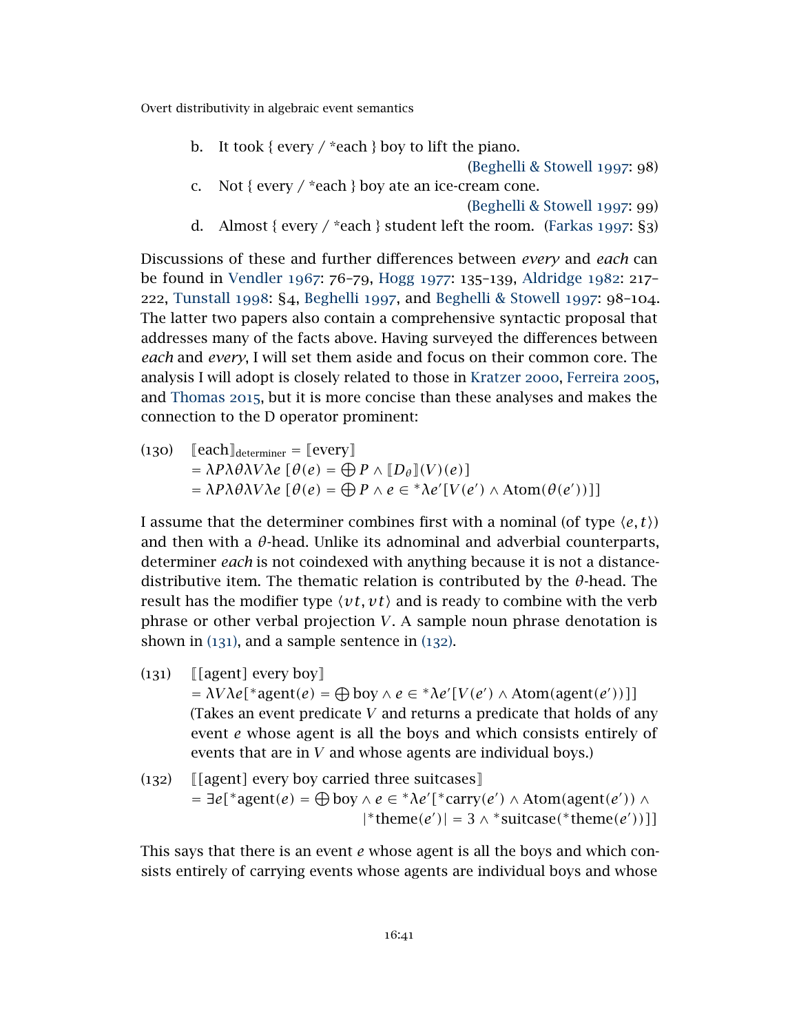b. It took { every /  $*$ each } boy to lift the piano.

c. Not { every / \*each } boy ate an ice-cream cone.

d. Almost { every / \*each } student left the room. [\(Farkas](#page-58-5) 1997: §3)

Discussions of these and further differences between *every* and *each* can be found in [Vendler](#page-63-8) 1967: 76–79, [Hogg](#page-59-12) 1977: 135–139, [Aldridge](#page-55-6) 1982: 217– 222, [Tunstall](#page-63-6) 1998: §4, [Beghelli](#page-55-4) 1997, and [Beghelli & Stowell](#page-55-5) 1997: 98–104. The latter two papers also contain a comprehensive syntactic proposal that addresses many of the facts above. Having surveyed the differences between *each* and *every*, I will set them aside and focus on their common core. The analysis I will adopt is closely related to those in [Kratzer](#page-59-13) 2000, [Ferreira](#page-58-11) 2005, and [Thomas](#page-63-9) 2015, but it is more concise than these analyses and makes the connection to the D operator prominent:

<span id="page-40-2"></span>(130)  $\left[\text{each}\right]_{\text{determiner}} = \left[\text{every}\right]$  $= \lambda P \lambda \theta \lambda V \lambda e \left[ \theta(e) = \bigoplus P \wedge [D_{\theta}](V)(e) \right]$  $= \lambda P \lambda \theta \lambda V \lambda e \left[ \theta(e) = \bigoplus P \wedge e \in {^*\lambda e'} [V(e') \wedge \text{Atom}(\theta(e'))] \right]$ 

I assume that the determiner combines first with a nominal (of type  $\langle e, t \rangle$ ) and then with a *θ*-head. Unlike its adnominal and adverbial counterparts, determiner *each* is not coindexed with anything because it is not a distancedistributive item. The thematic relation is contributed by the *θ*-head. The result has the modifier type  $\langle vt, vt \rangle$  and is ready to combine with the verb phrase or other verbal projection *V*. A sample noun phrase denotation is shown in ([131](#page-40-0)), and a sample sentence in ([132](#page-40-1)).

- <span id="page-40-0"></span>(131) *[*agent*]* every boy  $= \lambda V \lambda e[$ <sup>\*</sup> agent $(e) = \bigoplus$  boy  $\wedge e \in {}^* \lambda e'[V(e') \wedge \text{Atom}(agent(e'))]$ ] (Takes an event predicate *V* and returns a predicate that holds of any event *e* whose agent is all the boys and which consists entirely of events that are in *V* and whose agents are individual boys.)
- <span id="page-40-1"></span>(132) *[*agent*]* every boy carried three suitcases  $= \exists e[^*agent(e) = \bigoplus \text{boy} \land e \in ^* \lambda e'[^*carry(e') \land Atom(agent(e')) \land e$  $|\n$ {\*}theme $(e')| = 3 \wedge \n$ {\*}suitcase $(\n$ {\*}theme $(e'))$ ]

This says that there is an event *e* whose agent is all the boys and which consists entirely of carrying events whose agents are individual boys and whose

[<sup>\(</sup>Beghelli & Stowell](#page-55-5) 1997: 98)

[<sup>\(</sup>Beghelli & Stowell](#page-55-5) 1997: 99)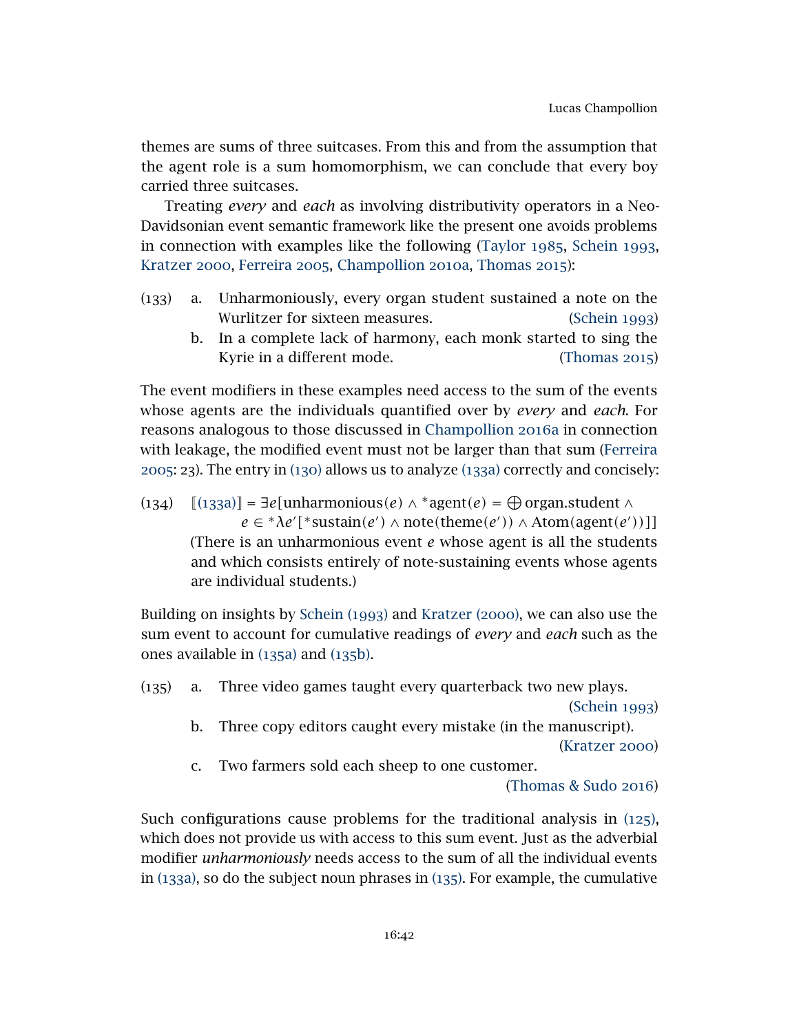themes are sums of three suitcases. From this and from the assumption that the agent role is a sum homomorphism, we can conclude that every boy carried three suitcases.

Treating *every* and *each* as involving distributivity operators in a Neo-Davidsonian event semantic framework like the present one avoids problems in connection with examples like the following [\(Taylor](#page-63-10) 1985, [Schein](#page-62-8) 1993, [Kratzer](#page-59-13) 2000, [Ferreira](#page-58-11) 2005, [Champollion](#page-56-11) 2010a, [Thomas](#page-63-9) 2015):

- <span id="page-41-0"></span>(133) a. Unharmoniously, every organ student sustained a note on the Wurlitzer for sixteen measures. [\(Schein](#page-62-8) 1993)
	- b. In a complete lack of harmony, each monk started to sing the Kyrie in a different mode. [\(Thomas](#page-63-9) 2015)

The event modifiers in these examples need access to the sum of the events whose agents are the individuals quantified over by *every* and *each*. For reasons analogous to those discussed in [Champollion](#page-57-0) 2016a in connection with leakage, the modified event must not be larger than that sum [\(Ferreira](#page-58-11) [2005](#page-58-11): 23). The entry in ([130](#page-40-2)) allows us to analyze ([133](#page-41-0)a) correctly and concisely:

(134) ([133](#page-41-0)a) = ∃*e[*unharmonious*(e)* ∧ <sup>∗</sup>agent*(e)* = Lorgan.student ∧  $e \in {}^*\lambda e'$ [<sup>\*</sup>sustain $(e') \wedge$ note $($ theme $(e')$ ) $\wedge$ Atom $($ agent $(e'))$ ]] (There is an unharmonious event *e* whose agent is all the students and which consists entirely of note-sustaining events whose agents are individual students.)

Building on insights by [Schein \(](#page-62-8)1993) and [Kratzer \(](#page-59-13)2000), we can also use the sum event to account for cumulative readings of *every* and *each* such as the ones available in ([135](#page-41-1)a) and ([135](#page-41-2)b).

- <span id="page-41-3"></span><span id="page-41-2"></span><span id="page-41-1"></span>(135) a. Three video games taught every quarterback two new plays. [\(Schein](#page-62-8) 1993)
	- b. Three copy editors caught every mistake (in the manuscript). [\(Kratzer](#page-59-13) 2000)
	- c. Two farmers sold each sheep to one customer.

[\(Thomas & Sudo](#page-63-7) 2016)

Such configurations cause problems for the traditional analysis in ([125](#page-39-0)), which does not provide us with access to this sum event. Just as the adverbial modifier *unharmoniously* needs access to the sum of all the individual events in ([133](#page-41-0)a), so do the subject noun phrases in ([135](#page-41-3)). For example, the cumulative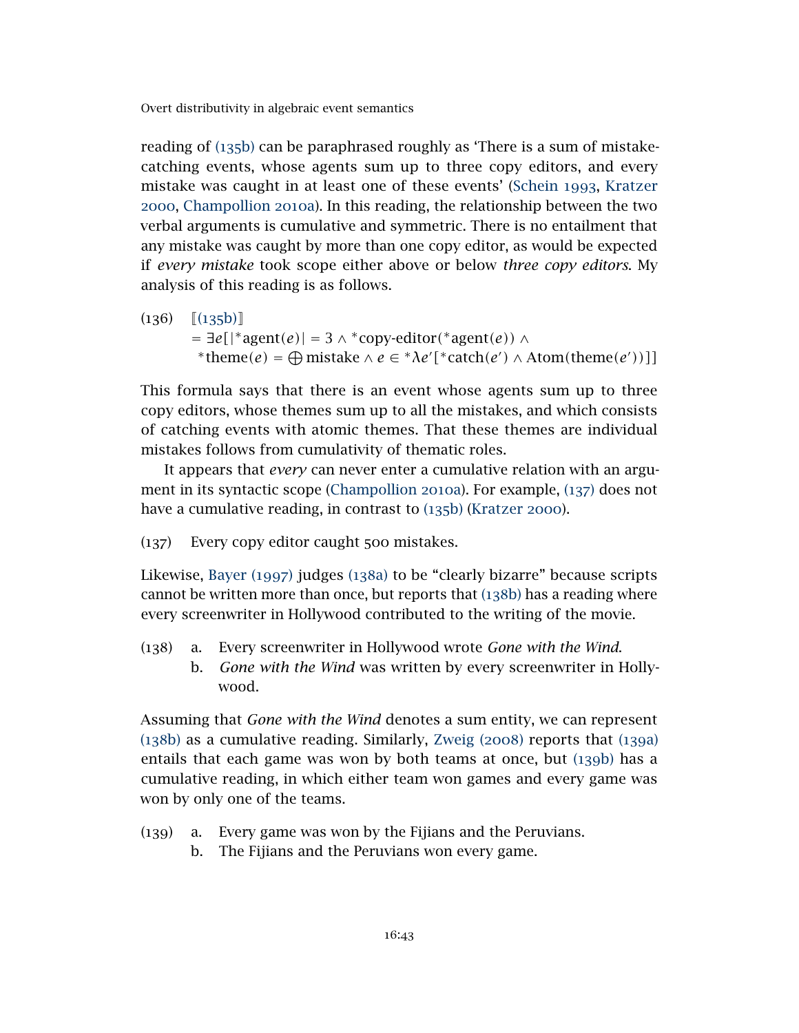reading of ([135](#page-41-2)b) can be paraphrased roughly as 'There is a sum of mistakecatching events, whose agents sum up to three copy editors, and every mistake was caught in at least one of these events' [\(Schein](#page-62-8) 1993, [Kratzer](#page-59-13) [2000](#page-59-13), [Champollion](#page-56-11) 2010a). In this reading, the relationship between the two verbal arguments is cumulative and symmetric. There is no entailment that any mistake was caught by more than one copy editor, as would be expected if *every mistake* took scope either above or below *three copy editors*. My analysis of this reading is as follows.

 $(136)$   $[(135b)]$  $[(135b)]$  $[(135b)]$  $= \exists e[|*_\text{agent}(e)| = 3 \land *_\text{copy-editor}(*\text{agent}(e)) \land$ <sup>\*</sup> theme(*e*) =  $\bigoplus$  mistake ∧ *e* ∈ <sup>\*</sup> $\lambda e'$ [<sup>\*</sup>catch(*e'*) ∧ Atom(theme(*e'*))]]

This formula says that there is an event whose agents sum up to three copy editors, whose themes sum up to all the mistakes, and which consists of catching events with atomic themes. That these themes are individual mistakes follows from cumulativity of thematic roles.

It appears that *every* can never enter a cumulative relation with an argument in its syntactic scope [\(Champollion](#page-56-11) 2010a). For example, ([137](#page-42-0)) does not have a cumulative reading, in contrast to ([135](#page-41-2)b) [\(Kratzer](#page-59-13) 2000).

<span id="page-42-0"></span>(137) Every copy editor caught 500 mistakes.

Likewise, [Bayer \(](#page-55-7)1997) judges ([138](#page-42-1)a) to be "clearly bizarre" because scripts cannot be written more than once, but reports that ([138](#page-42-2)b) has a reading where every screenwriter in Hollywood contributed to the writing of the movie.

<span id="page-42-2"></span><span id="page-42-1"></span>(138) a. Every screenwriter in Hollywood wrote *Gone with the Wind*.

b. *Gone with the Wind* was written by every screenwriter in Hollywood.

Assuming that *Gone with the Wind* denotes a sum entity, we can represent ([138](#page-42-2)b) as a cumulative reading. Similarly, [Zweig \(](#page-63-11)2008) reports that ([139](#page-42-3)a) entails that each game was won by both teams at once, but ([139](#page-42-4)b) has a cumulative reading, in which either team won games and every game was won by only one of the teams.

- <span id="page-42-4"></span><span id="page-42-3"></span>(139) a. Every game was won by the Fijians and the Peruvians.
	- b. The Fijians and the Peruvians won every game.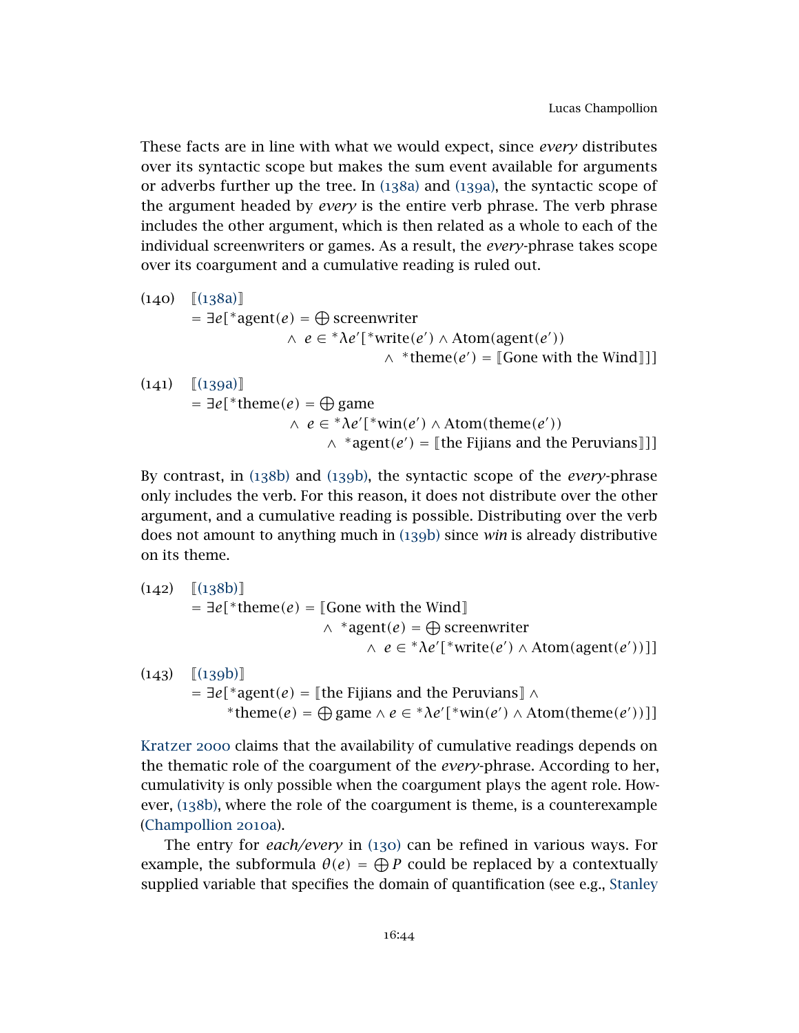These facts are in line with what we would expect, since *every* distributes over its syntactic scope but makes the sum event available for arguments or adverbs further up the tree. In ([138](#page-42-1)a) and ([139](#page-42-3)a), the syntactic scope of the argument headed by *every* is the entire verb phrase. The verb phrase includes the other argument, which is then related as a whole to each of the individual screenwriters or games. As a result, the *every*-phrase takes scope over its coargument and a cumulative reading is ruled out.

 $(140)$   $[(138a)]$  $[(138a)]$  $[(138a)]$  $= \exists e[{}^*agent(e) = \bigoplus$  screenwriter  $∧ e ∈ *λe'[*write(e') ∧ Atom(agent(e'))$  $\wedge$  \*theme(*e'*) = [Gone with the Wind]]]  $(141)$   $[(139a)]$  $[(139a)]$  $[(139a)]$  $= \exists e[{}^*$ theme $(e) = \bigoplus$  game  $\wedge$   $e \in {^*\lambda}e'$  [\*win $(e') \wedge$  Atom(theme $(e')$ )

∧ <sup>∗</sup>agent*(e*<sup>0</sup> *)* = the Fijians and the Peruvians*]]*

By contrast, in ([138](#page-42-2)b) and ([139](#page-42-4)b), the syntactic scope of the *every*-phrase only includes the verb. For this reason, it does not distribute over the other argument, and a cumulative reading is possible. Distributing over the verb does not amount to anything much in ([139](#page-42-4)b) since *win* is already distributive on its theme.

(142) 
$$
\begin{aligned} \n\left[ (138b) \right] &= \exists e [^* \text{ theme}(e) = \llbracket \text{Gone with the Wind} \rrbracket \\ \n\wedge \begin{array}{c} * \text{agent}(e) = \bigoplus \text{screenwriter} \\ \n\wedge \quad e \in \sqrt[k]{e'[\text{write}(e')} \wedge \text{Atom}(\text{agent}(e'))] \n\end{array} \n\end{aligned}
$$

 $(143)$   $[(139b)]$  $[(139b)]$  $[(139b)]$  $= \exists e[^*agent(e) = [$  the Fijians and the Peruvians  $]\wedge$ \* theme(*e*) =  $\bigoplus$  game ∧ *e* ∈ \* $\lambda e'$ [\*win(*e'*) ∧ Atom(theme(*e'*))]]

[Kratzer](#page-59-13) 2000 claims that the availability of cumulative readings depends on the thematic role of the coargument of the *every*-phrase. According to her, cumulativity is only possible when the coargument plays the agent role. However, ([138](#page-42-2)b), where the role of the coargument is theme, is a counterexample [\(Champollion](#page-56-11) 2010a).

The entry for *each/every* in ([130](#page-40-2)) can be refined in various ways. For example, the subformula  $\theta(e) = \bigoplus P$  could be replaced by a contextually supplied variable that specifies the domain of quantification (see e.g., [Stanley](#page-62-9)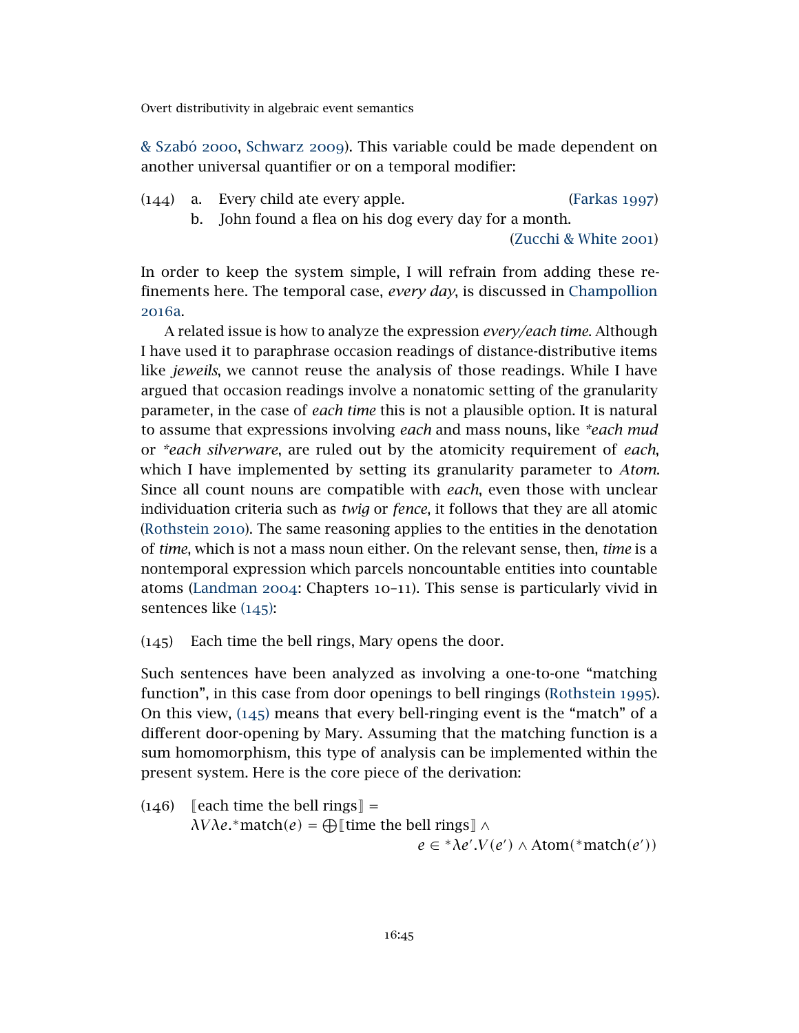[& Szabó](#page-62-9) 2000, [Schwarz](#page-62-10) 2009). This variable could be made dependent on another universal quantifier or on a temporal modifier:

|  | $(144)$ a. Every child ate every apple.                | (Farkas 1997) |
|--|--------------------------------------------------------|---------------|
|  | b. John found a flea on his dog every day for a month. |               |

[\(Zucchi & White](#page-63-12) 2001)

In order to keep the system simple, I will refrain from adding these refinements here. The temporal case, *every day*, is discussed in [Champollion](#page-57-0) [2016](#page-57-0)a.

A related issue is how to analyze the expression *every/each time*. Although I have used it to paraphrase occasion readings of distance-distributive items like *jeweils*, we cannot reuse the analysis of those readings. While I have argued that occasion readings involve a nonatomic setting of the granularity parameter, in the case of *each time* this is not a plausible option. It is natural to assume that expressions involving *each* and mass nouns, like *\*each mud* or *\*each silverware*, are ruled out by the atomicity requirement of *each*, which I have implemented by setting its granularity parameter to *Atom*. Since all count nouns are compatible with *each*, even those with unclear individuation criteria such as *twig* or *fence*, it follows that they are all atomic [\(Rothstein](#page-62-11) 2010). The same reasoning applies to the entities in the denotation of *time*, which is not a mass noun either. On the relevant sense, then, *time* is a nontemporal expression which parcels noncountable entities into countable atoms [\(Landman](#page-60-13) 2004: Chapters 10–11). This sense is particularly vivid in sentences like ([145](#page-44-0)):

<span id="page-44-0"></span>(145) Each time the bell rings, Mary opens the door.

Such sentences have been analyzed as involving a one-to-one "matching function", in this case from door openings to bell ringings [\(Rothstein](#page-62-12) 1995). On this view,  $(145)$  $(145)$  $(145)$  means that every bell-ringing event is the "match" of a different door-opening by Mary. Assuming that the matching function is a sum homomorphism, this type of analysis can be implemented within the present system. Here is the core piece of the derivation:

 $(146)$  [each time the bell rings] =  $\lambda V \lambda e$ .\*match $(e) = \bigoplus$ [time the bell rings] ∧  $e \in {}^*\lambda e'.V(e') \wedge \text{Atom}({^*\text{match}}(e'))$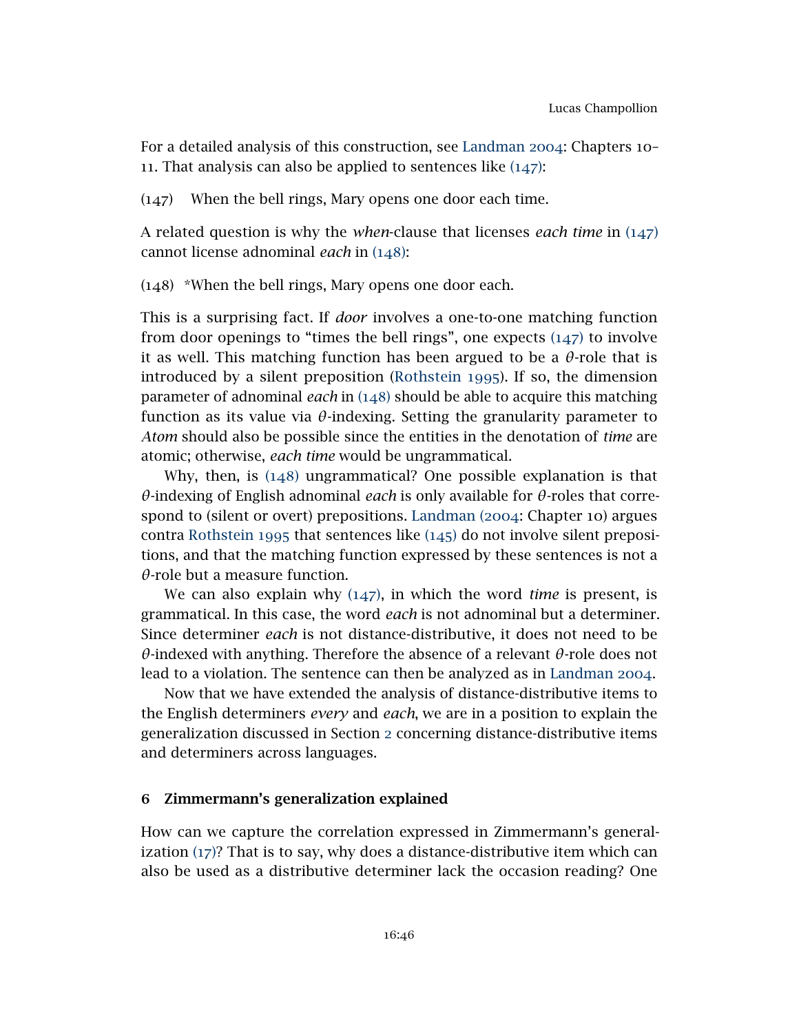For a detailed analysis of this construction, see [Landman](#page-60-13) 2004: Chapters 10– 11. That analysis can also be applied to sentences like  $(147)$  $(147)$  $(147)$ :

<span id="page-45-1"></span>(147) When the bell rings, Mary opens one door each time.

A related question is why the *when*-clause that licenses *each time* in ([147](#page-45-1)) cannot license adnominal *each* in ([148](#page-45-2)):

<span id="page-45-2"></span>(148) \*When the bell rings, Mary opens one door each.

This is a surprising fact. If *door* involves a one-to-one matching function from door openings to "times the bell rings", one expects  $(147)$  $(147)$  $(147)$  to involve it as well. This matching function has been argued to be a *θ*-role that is introduced by a silent preposition [\(Rothstein](#page-62-12) 1995). If so, the dimension parameter of adnominal *each* in ([148](#page-45-2)) should be able to acquire this matching function as its value via *θ*-indexing. Setting the granularity parameter to *Atom* should also be possible since the entities in the denotation of *time* are atomic; otherwise, *each time* would be ungrammatical.

Why, then, is ([148](#page-45-2)) ungrammatical? One possible explanation is that *θ*-indexing of English adnominal *each* is only available for *θ*-roles that correspond to (silent or overt) prepositions. [Landman \(](#page-60-13)2004: Chapter 10) argues contra [Rothstein](#page-62-12) 1995 that sentences like ([145](#page-44-0)) do not involve silent prepositions, and that the matching function expressed by these sentences is not a *θ*-role but a measure function.

We can also explain why ([147](#page-45-1)), in which the word *time* is present, is grammatical. In this case, the word *each* is not adnominal but a determiner. Since determiner *each* is not distance-distributive, it does not need to be *θ*-indexed with anything. Therefore the absence of a relevant *θ*-role does not lead to a violation. The sentence can then be analyzed as in [Landman](#page-60-13) 2004.

Now that we have extended the analysis of distance-distributive items to the English determiners *every* and *each*, we are in a position to explain the generalization discussed in Section [2](#page-5-0) concerning distance-distributive items and determiners across languages.

#### <span id="page-45-0"></span>6 Zimmermann's generalization explained

How can we capture the correlation expressed in Zimmermann's generalization  $(17)$  $(17)$  $(17)$ ? That is to say, why does a distance-distributive item which can also be used as a distributive determiner lack the occasion reading? One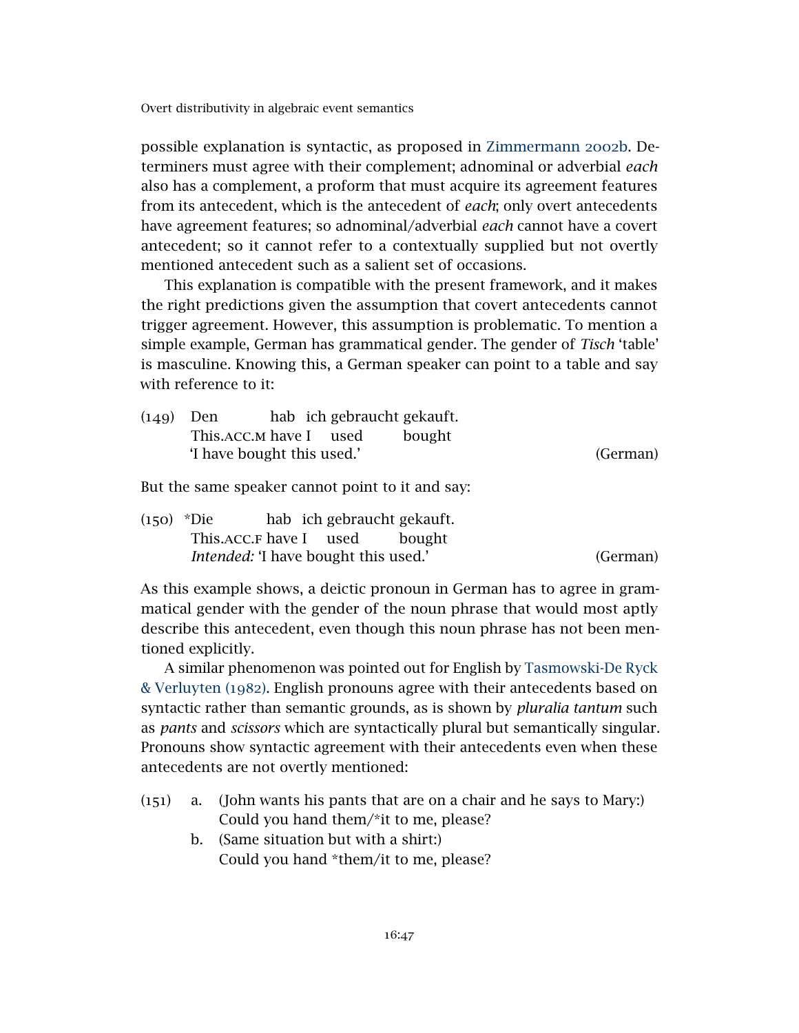possible explanation is syntactic, as proposed in [Zimmermann](#page-63-0) 2002b. Determiners must agree with their complement; adnominal or adverbial *each* also has a complement, a proform that must acquire its agreement features from its antecedent, which is the antecedent of *each*; only overt antecedents have agreement features; so adnominal/adverbial *each* cannot have a covert antecedent; so it cannot refer to a contextually supplied but not overtly mentioned antecedent such as a salient set of occasions.

This explanation is compatible with the present framework, and it makes the right predictions given the assumption that covert antecedents cannot trigger agreement. However, this assumption is problematic. To mention a simple example, German has grammatical gender. The gender of *Tisch* 'table' is masculine. Knowing this, a German speaker can point to a table and say with reference to it:

| (149) | Den                        |  |  | hab ich gebraucht gekauft. |        |          |
|-------|----------------------------|--|--|----------------------------|--------|----------|
|       | This.ACC.M have I used     |  |  |                            | bought |          |
|       | 'I have bought this used.' |  |  |                            |        | (German) |

But the same speaker cannot point to it and say:

(150) \*Die This.ACC.F have I used hab ich gebraucht gekauft. bought *Intended:* 'I have bought this used.' (German)

As this example shows, a deictic pronoun in German has to agree in grammatical gender with the gender of the noun phrase that would most aptly describe this antecedent, even though this noun phrase has not been mentioned explicitly.

A similar phenomenon was pointed out for English by [Tasmowski-De Ryck](#page-62-13) [& Verluyten \(](#page-62-13)1982). English pronouns agree with their antecedents based on syntactic rather than semantic grounds, as is shown by *pluralia tantum* such as *pants* and *scissors* which are syntactically plural but semantically singular. Pronouns show syntactic agreement with their antecedents even when these antecedents are not overtly mentioned:

- (151) a. (John wants his pants that are on a chair and he says to Mary:) Could you hand them/\*it to me, please?
	- b. (Same situation but with a shirt:) Could you hand \*them/it to me, please?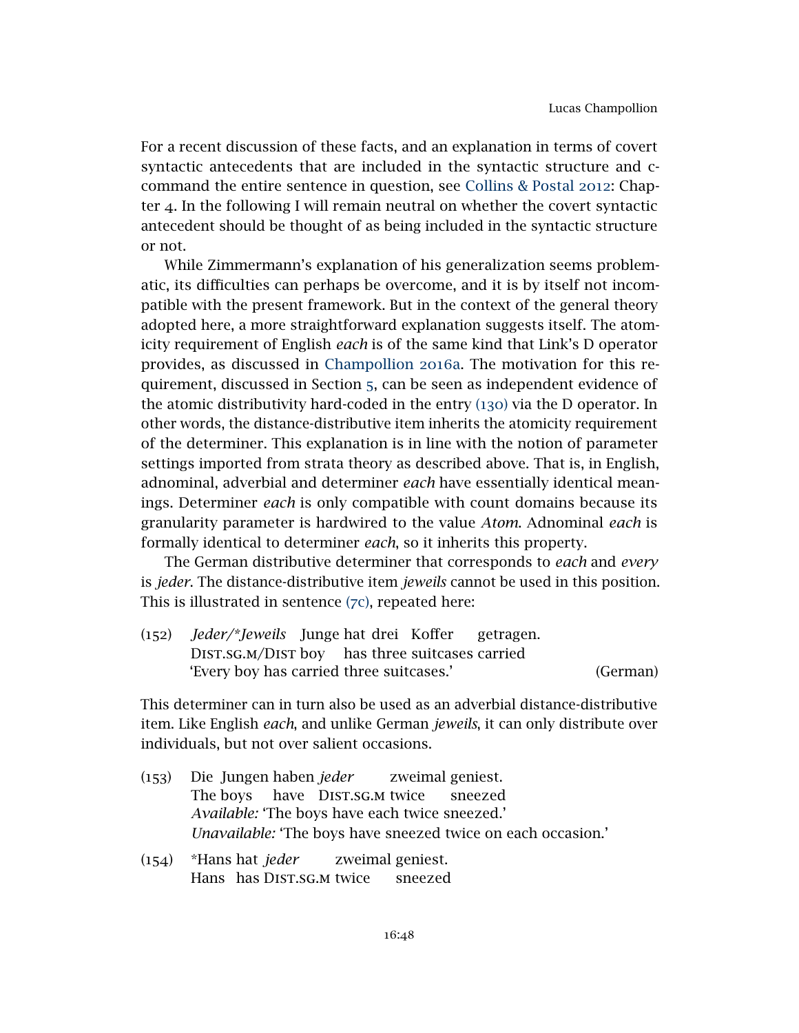For a recent discussion of these facts, and an explanation in terms of covert syntactic antecedents that are included in the syntactic structure and ccommand the entire sentence in question, see [Collins & Postal](#page-57-11) 2012: Chapter 4. In the following I will remain neutral on whether the covert syntactic antecedent should be thought of as being included in the syntactic structure or not.

While Zimmermann's explanation of his generalization seems problematic, its difficulties can perhaps be overcome, and it is by itself not incompatible with the present framework. But in the context of the general theory adopted here, a more straightforward explanation suggests itself. The atomicity requirement of English *each* is of the same kind that Link's D operator provides, as discussed in [Champollion](#page-57-0) 2016a. The motivation for this requirement, discussed in Section [5](#page-38-0), can be seen as independent evidence of the atomic distributivity hard-coded in the entry ([130](#page-40-2)) via the D operator. In other words, the distance-distributive item inherits the atomicity requirement of the determiner. This explanation is in line with the notion of parameter settings imported from strata theory as described above. That is, in English, adnominal, adverbial and determiner *each* have essentially identical meanings. Determiner *each* is only compatible with count domains because its granularity parameter is hardwired to the value *Atom*. Adnominal *each* is formally identical to determiner *each*, so it inherits this property.

The German distributive determiner that corresponds to *each* and *every* is *jeder*. The distance-distributive item *jeweils* cannot be used in this position. This is illustrated in sentence (7[c\),](#page-7-2) repeated here:

<span id="page-47-0"></span>(152) *Jeder/\*Jeweils* Junge hat drei Koffer DIST.SG.M/DIST boy has three suitcases carried getragen. 'Every boy has carried three suitcases.' (German)

This determiner can in turn also be used as an adverbial distance-distributive item. Like English *each*, and unlike German *jeweils*, it can only distribute over individuals, but not over salient occasions.

- <span id="page-47-1"></span> $(153)$ The boys Jungen haben *jeder* have DIST.SG.M twice zweimal geniest. sneezed *Available:* 'The boys have each twice sneezed.' *Unavailable:* 'The boys have sneezed twice on each occasion.'
- (154) \*Hans hat *jeder* Hans has DIST.SG.M twice zweimal geniest. sneezed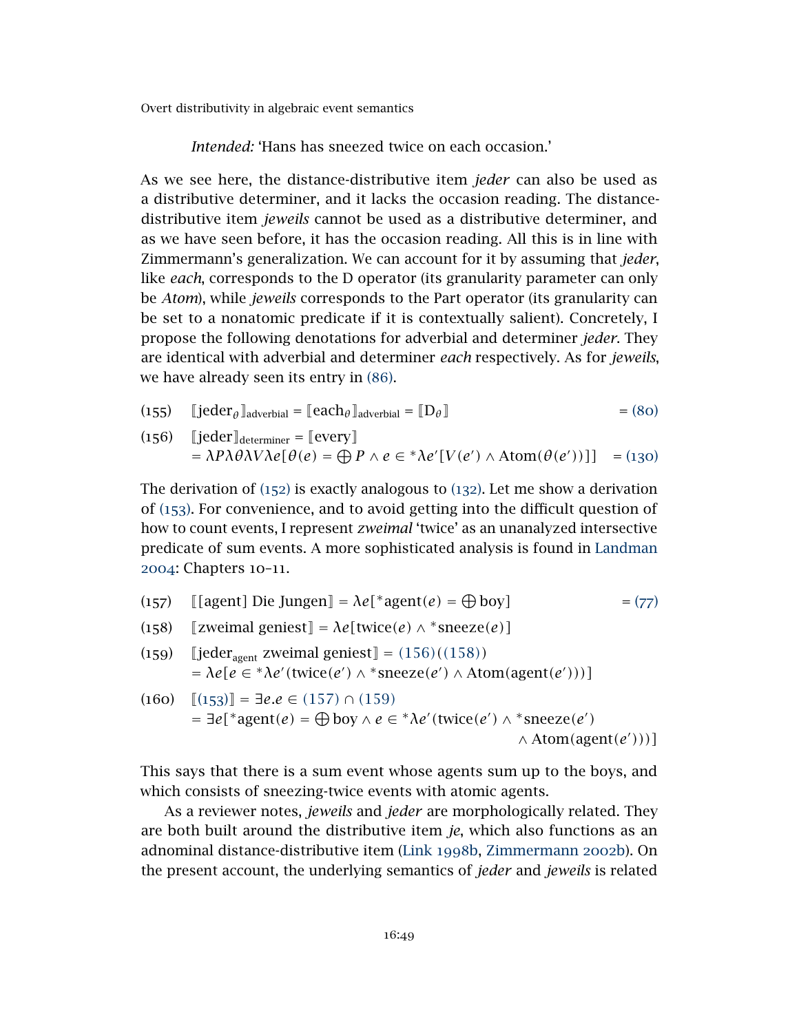*Intended:* 'Hans has sneezed twice on each occasion.'

As we see here, the distance-distributive item *jeder* can also be used as a distributive determiner, and it lacks the occasion reading. The distancedistributive item *jeweils* cannot be used as a distributive determiner, and as we have seen before, it has the occasion reading. All this is in line with Zimmermann's generalization. We can account for it by assuming that *jeder*, like *each*, corresponds to the D operator (its granularity parameter can only be *Atom*), while *jeweils* corresponds to the Part operator (its granularity can be set to a nonatomic predicate if it is contextually salient). Concretely, I propose the following denotations for adverbial and determiner *jeder*. They are identical with adverbial and determiner *each* respectively. As for *jeweils*, we have already seen its entry in ([86](#page-28-1)).

<span id="page-48-0"></span>(155) 
$$
\left[\text{jeder}_{\theta}\right]_{\text{adverbial}} = \left[\text{each}_{\theta}\right]_{\text{adverbial}} = \left[\text{D}_{\theta}\right] \tag{80}
$$

$$
(156) \quad \left[\text{jeder}\right]_{\text{determiner}} = \left[\text{every}\right]
$$

$$
= \lambda P \lambda \theta \lambda V \lambda e [\theta(e) = \bigoplus P \wedge e \in {^* \lambda e'} [V(e') \wedge \text{Atom}(\theta(e'))]] = (130)
$$

The derivation of  $(152)$  $(152)$  $(152)$  is exactly analogous to  $(132)$  $(132)$  $(132)$ . Let me show a derivation of ([153](#page-47-1)). For convenience, and to avoid getting into the difficult question of how to count events, I represent *zweimal* 'twice' as an unanalyzed intersective predicate of sum events. A more sophisticated analysis is found in [Landman](#page-60-13) [2004](#page-60-13): Chapters 10–11.

- <span id="page-48-2"></span><span id="page-48-1"></span>(157)  $\left[ \text{[agent]} \text{Die Jungen} \right] = \lambda e^* \text{agent}(e) = \bigoplus \text{boy}$ ] = ([77](#page-23-3))
- <span id="page-48-3"></span>(158) *[***zweimal geniest**] =  $\lambda e$ [twice(*e*)  $\wedge$  \* sneeze(*e*)]
- (159) [jeder<sub>agent</sub> zweimal geniest] =  $(156)((158))$  $(156)((158))$  $(156)((158))$  $(156)((158))$  $(156)((158))$  $= \lambda e[e \in \alpha^* \lambda e'(\text{twice}(e')) \wedge \alpha^* \text{snee}(e')) \wedge \text{Atom}(\text{agent}(e')))]$
- $(160)$   $[(153)] = \exists e.e \in (157) \cap (159)$  $[(153)] = \exists e.e \in (157) \cap (159)$  $[(153)] = \exists e.e \in (157) \cap (159)$  $[(153)] = \exists e.e \in (157) \cap (159)$  $[(153)] = \exists e.e \in (157) \cap (159)$  $[(153)] = \exists e.e \in (157) \cap (159)$  $[(153)] = \exists e.e \in (157) \cap (159)$  $= \exists e[^*agent(e) = \bigoplus \text{boy} \land e \in ^* \lambda e'(\text{twice}(e')) \land ^*space(e')$ ∧ Atom*(*agent*(e*<sup>0</sup> *)))]*

This says that there is a sum event whose agents sum up to the boys, and which consists of sneezing-twice events with atomic agents.

As a reviewer notes, *jeweils* and *jeder* are morphologically related. They are both built around the distributive item *je*, which also functions as an adnominal distance-distributive item [\(Link](#page-60-7) 1998b, [Zimmermann](#page-63-0) 2002b). On the present account, the underlying semantics of *jeder* and *jeweils* is related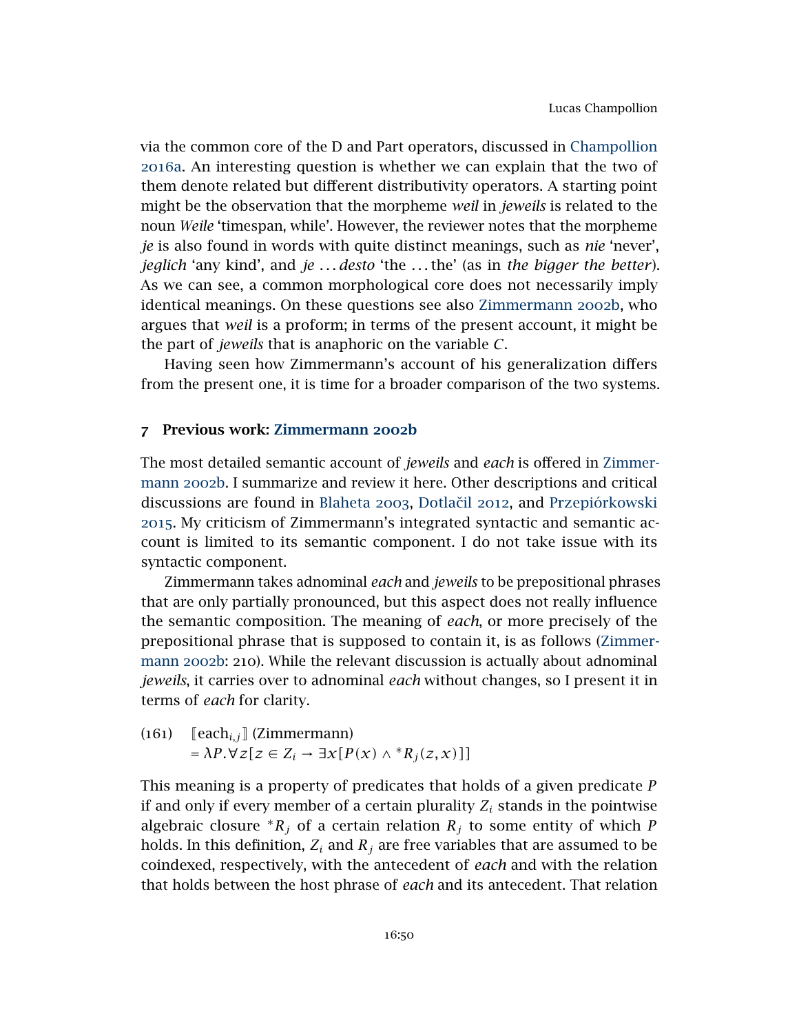via the common core of the D and Part operators, discussed in [Champollion](#page-57-0) [2016](#page-57-0)a. An interesting question is whether we can explain that the two of them denote related but different distributivity operators. A starting point might be the observation that the morpheme *weil* in *jeweils* is related to the noun *Weile* 'timespan, while'. However, the reviewer notes that the morpheme *je* is also found in words with quite distinct meanings, such as *nie* 'never', *jeglich* 'any kind', and *je* . . . *desto* 'the . . . the' (as in *the bigger the better*). As we can see, a common morphological core does not necessarily imply identical meanings. On these questions see also [Zimmermann](#page-63-0) 2002b, who argues that *weil* is a proform; in terms of the present account, it might be the part of *jeweils* that is anaphoric on the variable *C*.

Having seen how Zimmermann's account of his generalization differs from the present one, it is time for a broader comparison of the two systems.

## <span id="page-49-0"></span>7 Previous work: [Zimmermann](#page-63-0) 2002b

The most detailed semantic account of *jeweils* and *each* is offered in [Zimmer](#page-63-0)[mann](#page-63-0) 2002b. I summarize and review it here. Other descriptions and critical discussions are found in [Blaheta](#page-56-12) 2003, Dotlačil 2012, and [Przepiórkowski](#page-61-7) [2015](#page-61-7). My criticism of Zimmermann's integrated syntactic and semantic account is limited to its semantic component. I do not take issue with its syntactic component.

Zimmermann takes adnominal *each* and *jeweils* to be prepositional phrases that are only partially pronounced, but this aspect does not really influence the semantic composition. The meaning of *each*, or more precisely of the prepositional phrase that is supposed to contain it, is as follows [\(Zimmer](#page-63-0)[mann](#page-63-0) 2002b: 210). While the relevant discussion is actually about adnominal *jeweils*, it carries over to adnominal *each* without changes, so I present it in terms of *each* for clarity.

(161)  $\left[ \text{each}_{i,j} \right]$  (Zimmermann)  $= \lambda P. \forall z[z \in Z_i \rightarrow \exists x[P(x) \land {}^*R_i(z, x)]]$ 

This meaning is a property of predicates that holds of a given predicate *P* if and only if every member of a certain plurality  $Z_i$  stands in the pointwise algebraic closure  $*R_j$  of a certain relation  $R_j$  to some entity of which *P* holds. In this definition,  $Z_i$  and  $R_j$  are free variables that are assumed to be coindexed, respectively, with the antecedent of *each* and with the relation that holds between the host phrase of *each* and its antecedent. That relation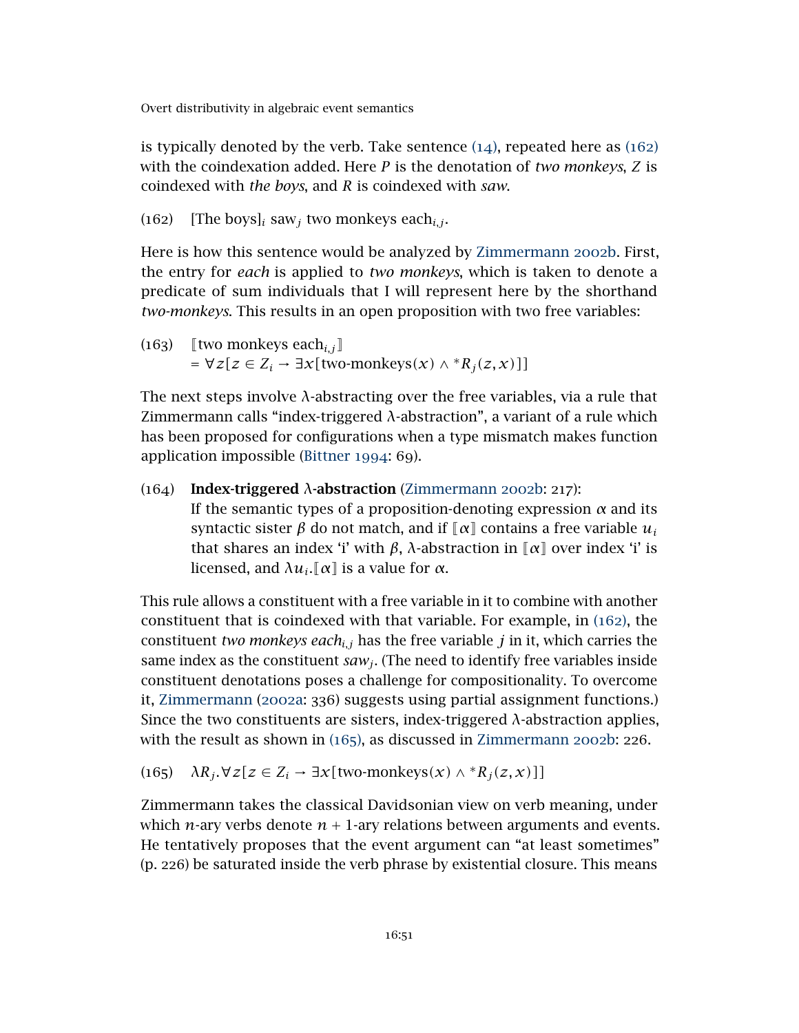is typically denoted by the verb. Take sentence  $(14)$  $(14)$  $(14)$ , repeated here as  $(162)$  $(162)$  $(162)$ with the coindexation added. Here *P* is the denotation of *two monkeys*, *Z* is coindexed with *the boys*, and *R* is coindexed with *saw*.

<span id="page-50-0"></span>(162) [The boys]<sub>*i*</sub> saw<sub>*i*</sub> two monkeys each<sub>*i,j*</sub>.

Here is how this sentence would be analyzed by [Zimmermann](#page-63-0) 2002b. First, the entry for *each* is applied to *two monkeys*, which is taken to denote a predicate of sum individuals that I will represent here by the shorthand *two-monkeys*. This results in an open proposition with two free variables:

<span id="page-50-2"></span>(163) [two monkeys each<sub>*i*j</sub>]  $= \forall z[z \in Z_i \rightarrow \exists x[$ two-monkeys(*x*) ∧ \* $R_j(z,x)$ ]]

The next steps involve *λ*-abstracting over the free variables, via a rule that Zimmermann calls "index-triggered *λ*-abstraction", a variant of a rule which has been proposed for configurations when a type mismatch makes function application impossible [\(Bittner](#page-55-8) 1994: 69).

(164) Index-triggered *λ*-abstraction [\(Zimmermann](#page-63-0) 2002b: 217): If the semantic types of a proposition-denoting expression *α* and its syntactic sister  $\beta$  do not match, and if  $\alpha$  contains a free variable  $u_i$ that shares an index 'i' with  $β$ ,  $λ$ -abstraction in  $[α]$  over index 'i' is licensed, and *λu<sup>i</sup> .α* is a value for *α*.

This rule allows a constituent with a free variable in it to combine with another constituent that is coindexed with that variable. For example, in ([162](#page-50-0)), the constituent *two monkeys eachi,j* has the free variable *j* in it, which carries the same index as the constituent  $saw_i$ . (The need to identify free variables inside constituent denotations poses a challenge for compositionality. To overcome it, [Zimmermann](#page-63-4) ([2002](#page-63-4)a: 336) suggests using partial assignment functions.) Since the two constituents are sisters, index-triggered *λ*-abstraction applies, with the result as shown in  $(165)$  $(165)$  $(165)$ , as discussed in [Zimmermann](#page-63-0) 2002b: 226.

<span id="page-50-1"></span> $(\overline{165})$   $\lambda R_i \cdot \forall z[z \in Z_i \rightarrow \exists x[\text{two-monkeys}(x) \wedge {^*R_i(z,x)}]]$ 

Zimmermann takes the classical Davidsonian view on verb meaning, under which *n*-ary verbs denote  $n + 1$ -ary relations between arguments and events. He tentatively proposes that the event argument can "at least sometimes" (p. 226) be saturated inside the verb phrase by existential closure. This means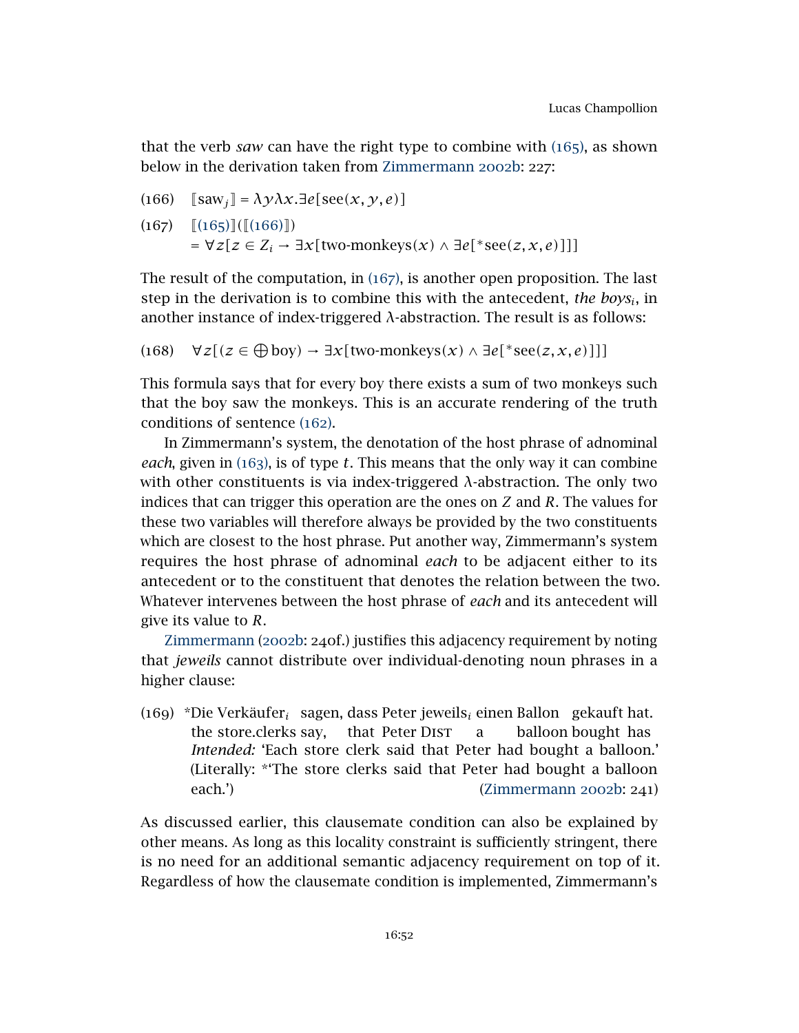that the verb *saw* can have the right type to combine with ([165](#page-50-1)), as shown below in the derivation taken from [Zimmermann](#page-63-0) 2002b: 227:

<span id="page-51-1"></span><span id="page-51-0"></span>(166)  $\left[\text{saw}_j\right] = \lambda \gamma \lambda x \cdot \exists e[\text{see}(x, y, e)]$  $(167)$   $[(165)]$  $[(165)]$  $[(165)]$  $([166)]$  $([166)]$  $([166)]$  $= \forall z[z \in Z_i \rightarrow \exists x[$ two-monkeys $(x) \land \exists e[$ <sup>\*</sup>see $(z, x, e)$ ]]]

The result of the computation, in  $(167)$  $(167)$  $(167)$ , is another open proposition. The last step in the derivation is to combine this with the antecedent, *the boys<sup>i</sup>* , in another instance of index-triggered  $\lambda$ -abstraction. The result is as follows:

(168)  $\forall z[(z \in \bigoplus \text{boy}) \rightarrow \exists x[\text{two-monkeys}(x) \land \exists e[*see(z, x, e)]]]$ 

This formula says that for every boy there exists a sum of two monkeys such that the boy saw the monkeys. This is an accurate rendering of the truth conditions of sentence ([162](#page-50-0)).

In Zimmermann's system, the denotation of the host phrase of adnominal *each*, given in ([163](#page-50-2)), is of type *t*. This means that the only way it can combine with other constituents is via index-triggered *λ*-abstraction. The only two indices that can trigger this operation are the ones on *Z* and *R*. The values for these two variables will therefore always be provided by the two constituents which are closest to the host phrase. Put another way, Zimmermann's system requires the host phrase of adnominal *each* to be adjacent either to its antecedent or to the constituent that denotes the relation between the two. Whatever intervenes between the host phrase of *each* and its antecedent will give its value to *R*.

[Zimmermann](#page-63-0) ([2002](#page-63-0)b: 240f.) justifies this adjacency requirement by noting that *jeweils* cannot distribute over individual-denoting noun phrases in a higher clause:

(169) \*Die Verkäufer*<sup>i</sup>* sagen, dass Peter jeweils*<sup>i</sup>* einen Ballon gekauft hat. the store.clerks say, that Peter DIST a balloon bought has *Intended:* 'Each store clerk said that Peter had bought a balloon.' (Literally: \*'The store clerks said that Peter had bought a balloon each.') [\(Zimmermann](#page-63-0) 2002b: 241)

As discussed earlier, this clausemate condition can also be explained by other means. As long as this locality constraint is sufficiently stringent, there is no need for an additional semantic adjacency requirement on top of it. Regardless of how the clausemate condition is implemented, Zimmermann's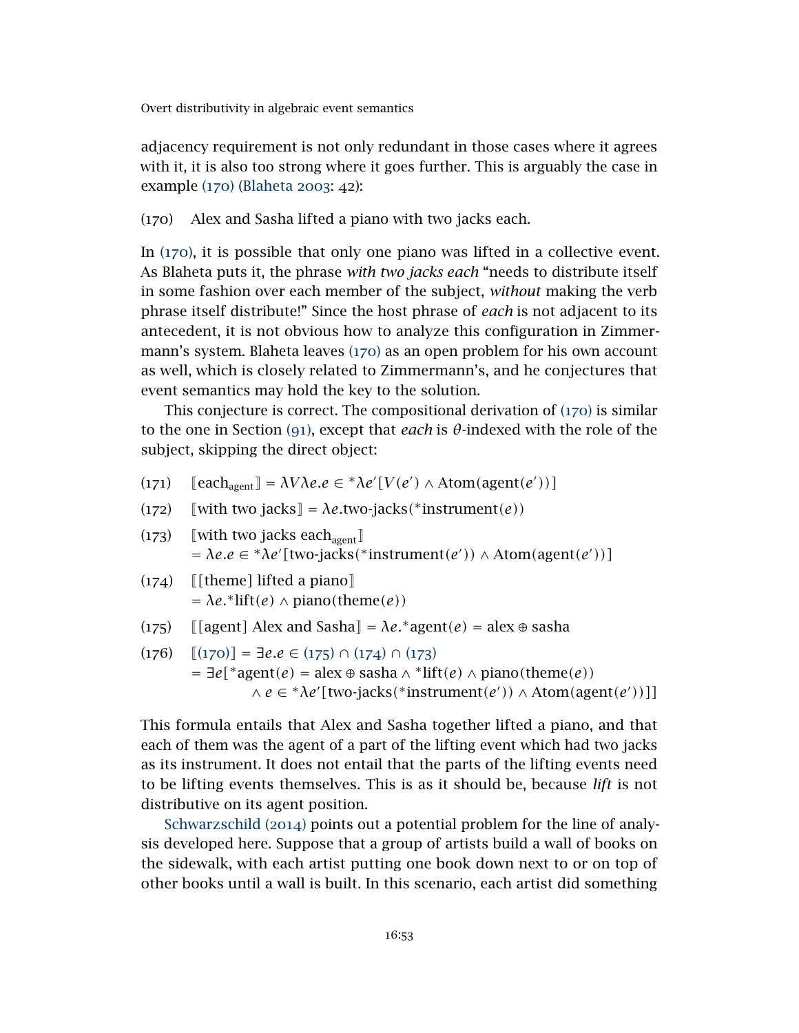adjacency requirement is not only redundant in those cases where it agrees with it, it is also too strong where it goes further. This is arguably the case in example ([170](#page-52-0)) [\(Blaheta](#page-56-12) 2003: 42):

<span id="page-52-0"></span>(170) Alex and Sasha lifted a piano with two jacks each.

In ([170](#page-52-0)), it is possible that only one piano was lifted in a collective event. As Blaheta puts it, the phrase *with two jacks each* "needs to distribute itself in some fashion over each member of the subject, *without* making the verb phrase itself distribute!" Since the host phrase of *each* is not adjacent to its antecedent, it is not obvious how to analyze this configuration in Zimmermann's system. Blaheta leaves ([170](#page-52-0)) as an open problem for his own account as well, which is closely related to Zimmermann's, and he conjectures that event semantics may hold the key to the solution.

This conjecture is correct. The compositional derivation of  $(170)$  $(170)$  $(170)$  is similar to the one in Section ([91](#page-31-1)), except that *each* is *θ*-indexed with the role of the subject, skipping the direct object:

- $(171)$  [each<sub>agent</sub>] =  $\lambda V \lambda e.e \in {}^* \lambda e'[V(e') \wedge \text{Atom}(\text{agent}(e'))]$
- <span id="page-52-3"></span> $(172)$  [with two jacks] =  $\lambda e$ .two-jacks(\*instrument(*e*))
- $(173)$  [with two jacks each<sub>agent</sub>]  $= \lambda e.e \in \lambda e'$ [two-jacks(\*instrument(*e'*))  $\wedge$  Atom(agent(*e'*))]
- <span id="page-52-2"></span>(174) *[*theme*]* lifted a piano  $= \lambda e.*$ lift $(e) \wedge$  piano(theme $(e)$ )
- <span id="page-52-1"></span>(175) **[[agent]** Alex and Sasha] =  $\lambda e^*$  agent $(e)$  = alex  $\oplus$  sasha
- (176) ([170](#page-52-0)) = ∃*e.e* ∈ ([175](#page-52-1)) ∩ ([174](#page-52-2)) ∩ ([173](#page-52-3)) = ∃*e[*<sup>∗</sup>agent*(e)* = alex ⊕ sasha ∧ <sup>∗</sup>lift*(e)* ∧ piano*(*theme*(e))*  $\land$  *e* ∈ \* $\lambda$ *e*'[two-jacks(\*instrument(*e'*))  $\land$  Atom(agent(*e'*))]]

This formula entails that Alex and Sasha together lifted a piano, and that each of them was the agent of a part of the lifting event which had two jacks as its instrument. It does not entail that the parts of the lifting events need to be lifting events themselves. This is as it should be, because *lift* is not distributive on its agent position.

[Schwarzschild \(](#page-62-14)2014) points out a potential problem for the line of analysis developed here. Suppose that a group of artists build a wall of books on the sidewalk, with each artist putting one book down next to or on top of other books until a wall is built. In this scenario, each artist did something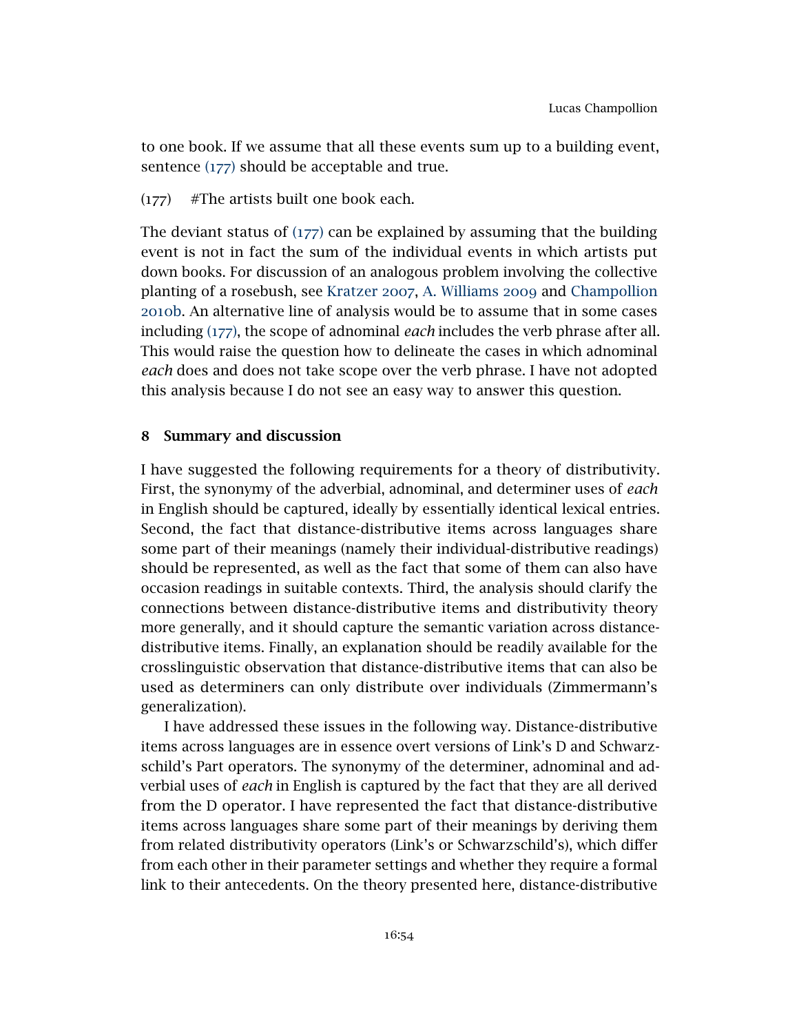to one book. If we assume that all these events sum up to a building event, sentence ([177](#page-53-1)) should be acceptable and true.

<span id="page-53-1"></span>(177) #The artists built one book each.

The deviant status of ([177](#page-53-1)) can be explained by assuming that the building event is not in fact the sum of the individual events in which artists put down books. For discussion of an analogous problem involving the collective planting of a rosebush, see [Kratzer](#page-59-14) 2007, [A. Williams](#page-63-13) 2009 and [Champollion](#page-56-0) [2010](#page-56-0)b. An alternative line of analysis would be to assume that in some cases including ([177](#page-53-1)), the scope of adnominal *each* includes the verb phrase after all. This would raise the question how to delineate the cases in which adnominal *each* does and does not take scope over the verb phrase. I have not adopted this analysis because I do not see an easy way to answer this question.

#### <span id="page-53-0"></span>8 Summary and discussion

I have suggested the following requirements for a theory of distributivity. First, the synonymy of the adverbial, adnominal, and determiner uses of *each* in English should be captured, ideally by essentially identical lexical entries. Second, the fact that distance-distributive items across languages share some part of their meanings (namely their individual-distributive readings) should be represented, as well as the fact that some of them can also have occasion readings in suitable contexts. Third, the analysis should clarify the connections between distance-distributive items and distributivity theory more generally, and it should capture the semantic variation across distancedistributive items. Finally, an explanation should be readily available for the crosslinguistic observation that distance-distributive items that can also be used as determiners can only distribute over individuals (Zimmermann's generalization).

I have addressed these issues in the following way. Distance-distributive items across languages are in essence overt versions of Link's D and Schwarzschild's Part operators. The synonymy of the determiner, adnominal and adverbial uses of *each* in English is captured by the fact that they are all derived from the D operator. I have represented the fact that distance-distributive items across languages share some part of their meanings by deriving them from related distributivity operators (Link's or Schwarzschild's), which differ from each other in their parameter settings and whether they require a formal link to their antecedents. On the theory presented here, distance-distributive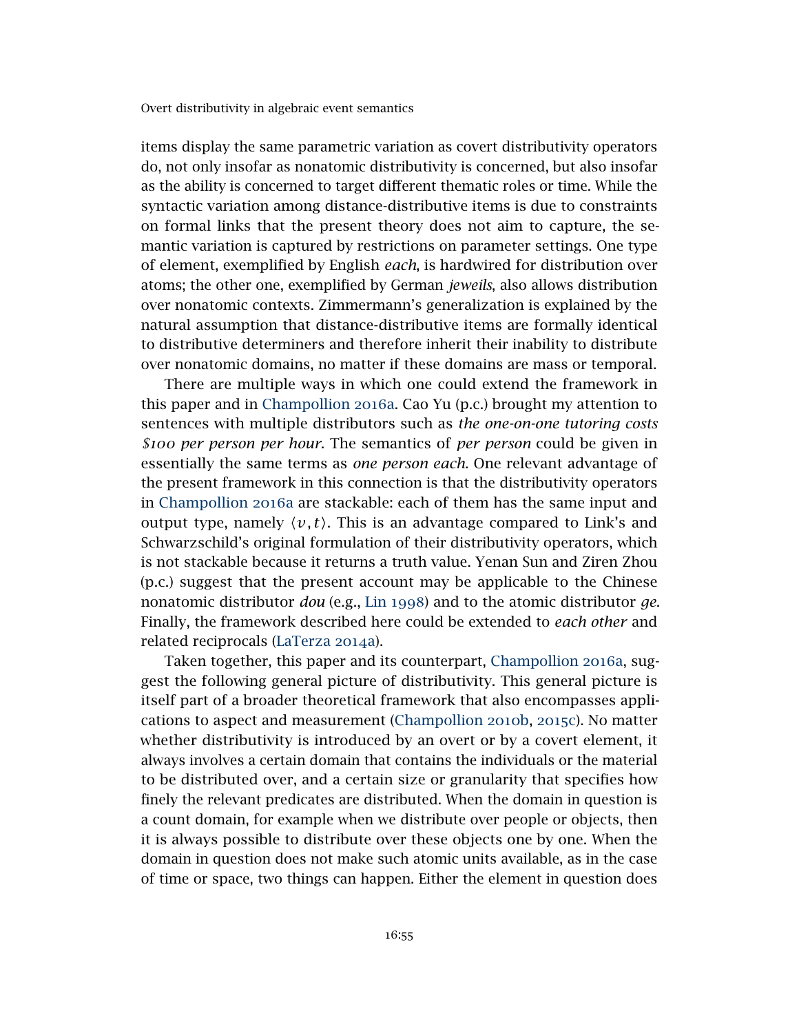items display the same parametric variation as covert distributivity operators do, not only insofar as nonatomic distributivity is concerned, but also insofar as the ability is concerned to target different thematic roles or time. While the syntactic variation among distance-distributive items is due to constraints on formal links that the present theory does not aim to capture, the semantic variation is captured by restrictions on parameter settings. One type of element, exemplified by English *each*, is hardwired for distribution over atoms; the other one, exemplified by German *jeweils*, also allows distribution over nonatomic contexts. Zimmermann's generalization is explained by the natural assumption that distance-distributive items are formally identical to distributive determiners and therefore inherit their inability to distribute over nonatomic domains, no matter if these domains are mass or temporal.

There are multiple ways in which one could extend the framework in this paper and in [Champollion](#page-57-0) 2016a. Cao Yu (p.c.) brought my attention to sentences with multiple distributors such as *the one-on-one tutoring costs \$100 per person per hour*. The semantics of *per person* could be given in essentially the same terms as *one person each*. One relevant advantage of the present framework in this connection is that the distributivity operators in [Champollion](#page-57-0) 2016a are stackable: each of them has the same input and output type, namely  $\langle v, t \rangle$ . This is an advantage compared to Link's and Schwarzschild's original formulation of their distributivity operators, which is not stackable because it returns a truth value. Yenan Sun and Ziren Zhou (p.c.) suggest that the present account may be applicable to the Chinese nonatomic distributor *dou* (e.g., Lin [1998](#page-60-14)) and to the atomic distributor *ge*. Finally, the framework described here could be extended to *each other* and related reciprocals [\(LaTerza](#page-60-4) 2014a).

Taken together, this paper and its counterpart, [Champollion](#page-57-0) 2016a, suggest the following general picture of distributivity. This general picture is itself part of a broader theoretical framework that also encompasses applications to aspect and measurement [\(Champollion](#page-56-0) 2010b, [2015](#page-57-3)c). No matter whether distributivity is introduced by an overt or by a covert element, it always involves a certain domain that contains the individuals or the material to be distributed over, and a certain size or granularity that specifies how finely the relevant predicates are distributed. When the domain in question is a count domain, for example when we distribute over people or objects, then it is always possible to distribute over these objects one by one. When the domain in question does not make such atomic units available, as in the case of time or space, two things can happen. Either the element in question does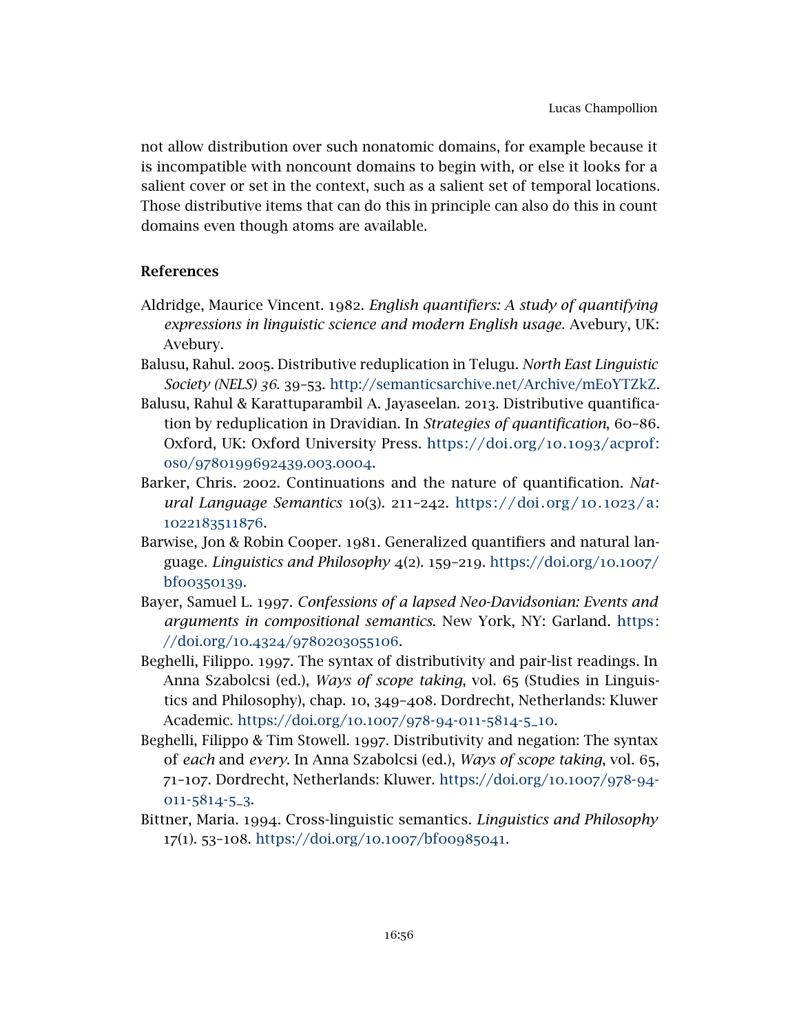not allow distribution over such nonatomic domains, for example because it is incompatible with noncount domains to begin with, or else it looks for a salient cover or set in the context, such as a salient set of temporal locations. Those distributive items that can do this in principle can also do this in count domains even though atoms are available.

## References

- <span id="page-55-6"></span>Aldridge, Maurice Vincent. 1982. *English quantifiers: A study of quantifying expressions in linguistic science and modern English usage*. Avebury, UK: Avebury.
- <span id="page-55-1"></span>Balusu, Rahul. 2005. Distributive reduplication in Telugu. *North East Linguistic Society (NELS) 36*. 39–53. [http://semanticsarchive.net/Archive/mE](http://semanticsarchive.net/Archive/mE0YTZkZ)0YTZkZ.
- <span id="page-55-2"></span>Balusu, Rahul & Karattuparambil A. Jayaseelan. 2013. Distributive quantification by reduplication in Dravidian. In *Strategies of quantification*, 60–86. Oxford, UK: Oxford University Press. [https://doi.org/](https://doi.org/10.1093/acprof:oso/9780199692439.003.0004)10.1093/acprof: oso/[9780199692439](https://doi.org/10.1093/acprof:oso/9780199692439.003.0004).003.0004.
- <span id="page-55-0"></span>Barker, Chris. 2002. Continuations and the nature of quantification. *Natural Language Semantics* 10(3). 211–242. [https: / /doi.org /](https://doi.org/10.1023/a:1022183511876)10.1023/ a: [1022183511876](https://doi.org/10.1023/a:1022183511876).
- <span id="page-55-3"></span>Barwise, Jon & Robin Cooper. 1981. Generalized quantifiers and natural language. *Linguistics and Philosophy* 4(2). 159–219. [https://doi.org/](https://doi.org/10.1007/bf00350139)10.1007/ bf[00350139](https://doi.org/10.1007/bf00350139).
- <span id="page-55-7"></span>Bayer, Samuel L. 1997. *Confessions of a lapsed Neo-Davidsonian: Events and arguments in compositional semantics*. New York, NY: Garland. [https:](https://doi.org/10.4324/9780203055106) //doi.org/10.4324/[9780203055106](https://doi.org/10.4324/9780203055106).
- <span id="page-55-4"></span>Beghelli, Filippo. 1997. The syntax of distributivity and pair-list readings. In Anna Szabolcsi (ed.), *Ways of scope taking*, vol. 65 (Studies in Linguistics and Philosophy), chap. 10, 349–408. Dordrecht, Netherlands: Kluwer Academic. [https://doi.org/](https://doi.org/10.1007/978-94-011-5814-5_10)10.1007/978-94-011-5814-5\_10.
- <span id="page-55-5"></span>Beghelli, Filippo & Tim Stowell. 1997. Distributivity and negation: The syntax of *each* and *every*. In Anna Szabolcsi (ed.), *Ways of scope taking*, vol. 65, 71–107. Dordrecht, Netherlands: Kluwer. [https://doi.org/](https://doi.org/10.1007/978-94-011-5814-5_3)10.1007/978-94- 011-[5814](https://doi.org/10.1007/978-94-011-5814-5_3)-5\_3.
- <span id="page-55-8"></span>Bittner, Maria. 1994. Cross-linguistic semantics. *Linguistics and Philosophy* 17(1). 53–108. [https://doi.org/](https://doi.org/10.1007/bf00985041)10.1007/bf00985041.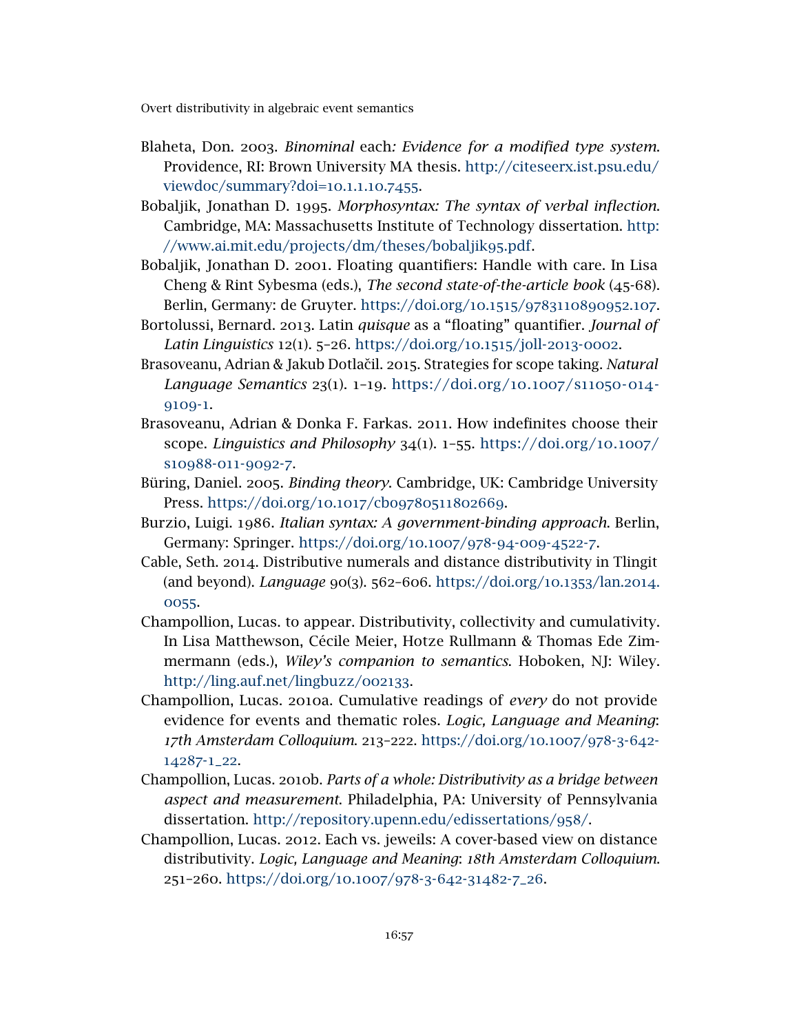- <span id="page-56-12"></span>Blaheta, Don. 2003. *Binominal* each*: Evidence for a modified type system*. Providence, RI: Brown University MA thesis. [http://citeseerx.ist.psu.edu/](http://citeseerx.ist.psu.edu/viewdoc/summary?doi=10.1.1.10.7455) [viewdoc/summary?doi=](http://citeseerx.ist.psu.edu/viewdoc/summary?doi=10.1.1.10.7455)10.1.1.10.7455.
- <span id="page-56-9"></span>Bobaljik, Jonathan D. 1995. *Morphosyntax: The syntax of verbal inflection*. Cambridge, MA: Massachusetts Institute of Technology dissertation. [http:](http://www.ai.mit.edu/projects/dm/theses/bobaljik95.pdf) [//www.ai.mit.edu/projects/dm/theses/bobaljik](http://www.ai.mit.edu/projects/dm/theses/bobaljik95.pdf)95.pdf.
- <span id="page-56-4"></span>Bobaljik, Jonathan D. 2001. Floating quantifiers: Handle with care. In Lisa Cheng & Rint Sybesma (eds.), *The second state-of-the-article book* (45-68). Berlin, Germany: de Gruyter. [https://doi.org/](https://doi.org/10.1515/9783110890952.107)10.1515/9783110890952.107.
- <span id="page-56-7"></span>Bortolussi, Bernard. 2013. Latin *quisque* as a "floating" quantifier. *Journal of Latin Linguistics* 12(1). 5–26. [https://doi.org/](https://doi.org/10.1515/joll-2013-0002)10.1515/joll-2013-0002.
- <span id="page-56-10"></span>Brasoveanu, Adrian & Jakub Dotlačil. 2015. Strategies for scope taking. *Natural Language Semantics* 23(1). 1–19. [https://doi.org/](https://doi.org/10.1007/s11050-014-9109-1)10.1007/s11050-014- [9109](https://doi.org/10.1007/s11050-014-9109-1)-1.
- <span id="page-56-8"></span>Brasoveanu, Adrian & Donka F. Farkas. 2011. How indefinites choose their scope. *Linguistics and Philosophy* 34(1). 1–55. [https://doi.org/](https://doi.org/10.1007/s10988-011-9092-7)10.1007/ s[10988](https://doi.org/10.1007/s10988-011-9092-7)-011-9092-7.
- <span id="page-56-5"></span>Büring, Daniel. 2005. *Binding theory*. Cambridge, UK: Cambridge University Press. [https://doi.org/](https://doi.org/10.1017/cbo9780511802669)10.1017/cbo9780511802669.
- <span id="page-56-3"></span>Burzio, Luigi. 1986. *Italian syntax: A government-binding approach*. Berlin, Germany: Springer. [https://doi.org/](https://doi.org/10.1007/978-94-009-4522-7)10.1007/978-94-009-4522-7.
- <span id="page-56-6"></span>Cable, Seth. 2014. Distributive numerals and distance distributivity in Tlingit (and beyond). *Language* 90(3). 562–606. [https://doi.org/](https://doi.org/10.1353/lan.2014.0055)10.1353/lan.2014. [0055](https://doi.org/10.1353/lan.2014.0055).
- <span id="page-56-2"></span>Champollion, Lucas. to appear. Distributivity, collectivity and cumulativity. In Lisa Matthewson, Cécile Meier, Hotze Rullmann & Thomas Ede Zimmermann (eds.), *Wiley's companion to semantics*. Hoboken, NJ: Wiley. [http://ling.auf.net/lingbuzz/](http://ling.auf.net/lingbuzz/002133)002133.
- <span id="page-56-11"></span>Champollion, Lucas. 2010a. Cumulative readings of *every* do not provide evidence for events and thematic roles. *Logic, Language and Meaning*: *17th Amsterdam Colloquium*. 213–222. [https://doi.org/](https://doi.org/10.1007/978-3-642-14287-1_22)10.1007/978-3-642- [14287](https://doi.org/10.1007/978-3-642-14287-1_22)-1\_22.
- <span id="page-56-0"></span>Champollion, Lucas. 2010b. *Parts of a whole: Distributivity as a bridge between aspect and measurement*. Philadelphia, PA: University of Pennsylvania dissertation. [http://repository.upenn.edu/edissertations/](http://repository.upenn.edu/edissertations/958/)958/.
- <span id="page-56-1"></span>Champollion, Lucas. 2012. Each vs. jeweils: A cover-based view on distance distributivity. *Logic, Language and Meaning*: *18th Amsterdam Colloquium*. 251–260. [https://doi.org/](https://doi.org/10.1007/978-3-642-31482-7_26)10.1007/978-3-642-31482-7\_26.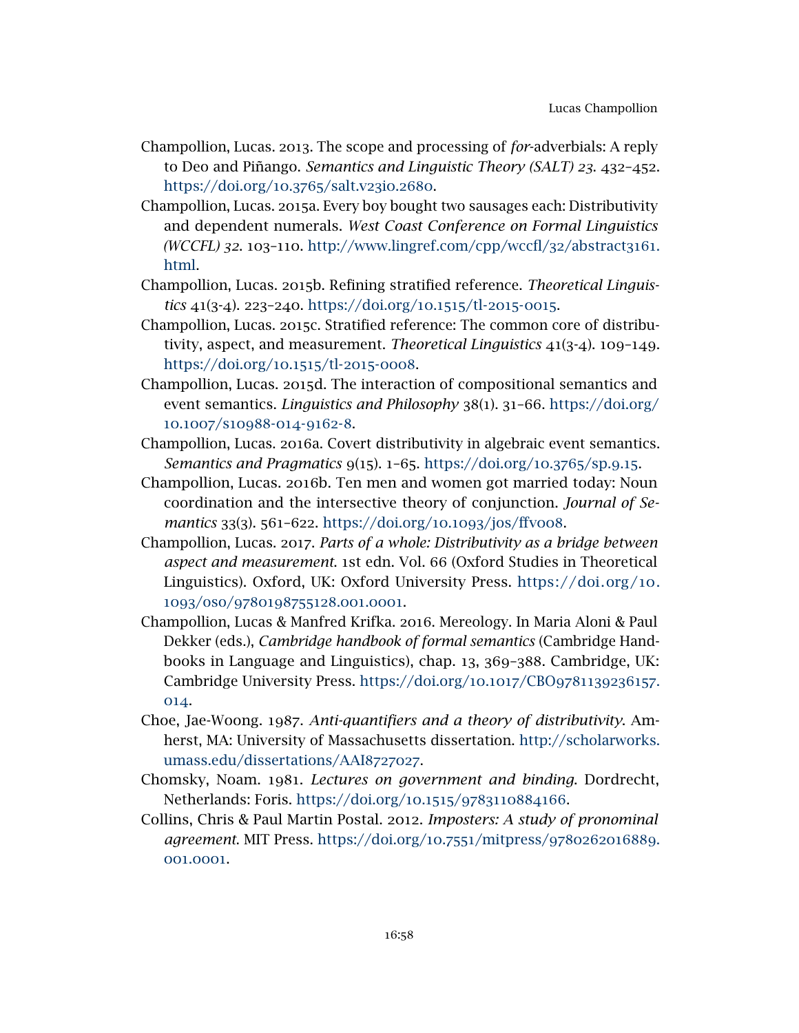- <span id="page-57-1"></span>Champollion, Lucas. 2013. The scope and processing of *for*-adverbials: A reply to Deo and Piñango. *Semantics and Linguistic Theory (SALT) 23*. 432–452. [https://doi.org/](https://doi.org/10.3765/salt.v23i0.2680)10.3765/salt.v23i0.2680.
- <span id="page-57-8"></span>Champollion, Lucas. 2015a. Every boy bought two sausages each: Distributivity and dependent numerals. *West Coast Conference on Formal Linguistics (WCCFL) 32*. 103–110. [http://www.lingref.com/cpp/wccfl/](http://www.lingref.com/cpp/wccfl/32/abstract3161.html)32/abstract3161. [html.](http://www.lingref.com/cpp/wccfl/32/abstract3161.html)
- <span id="page-57-2"></span>Champollion, Lucas. 2015b. Refining stratified reference. *Theoretical Linguistics* 41(3-4). 223–240. [https://doi.org/](https://doi.org/10.1515/tl-2015-0015)10.1515/tl-2015-0015.
- <span id="page-57-3"></span>Champollion, Lucas. 2015c. Stratified reference: The common core of distributivity, aspect, and measurement. *Theoretical Linguistics* 41(3-4). 109–149. [https://doi.org/](https://doi.org/10.1515/tl-2015-0008)10.1515/tl-2015-0008.
- <span id="page-57-9"></span>Champollion, Lucas. 2015d. The interaction of compositional semantics and event semantics. *Linguistics and Philosophy* 38(1). 31–66. [https://doi.org/](https://doi.org/10.1007/s10988-014-9162-8) 10.1007/s[10988](https://doi.org/10.1007/s10988-014-9162-8)-014-9162-8.
- <span id="page-57-0"></span>Champollion, Lucas. 2016a. Covert distributivity in algebraic event semantics. *Semantics and Pragmatics* 9(15). 1–65. [https://doi.org/](https://doi.org/10.3765/sp.9.15)10.3765/sp.9.15.
- <span id="page-57-10"></span>Champollion, Lucas. 2016b. Ten men and women got married today: Noun coordination and the intersective theory of conjunction. *Journal of Semantics* 33(3). 561–622. [https://doi.org/](https://doi.org/10.1093/jos/ffv008)10.1093/jos/ffv008.
- <span id="page-57-4"></span>Champollion, Lucas. 2017. *Parts of a whole: Distributivity as a bridge between aspect and measurement*. 1st edn. Vol. 66 (Oxford Studies in Theoretical Linguistics). Oxford, UK: Oxford University Press. [https://doi.org/](https://doi.org/10.1093/oso/9780198755128.001.0001)10. 1093/oso/[9780198755128](https://doi.org/10.1093/oso/9780198755128.001.0001).001.0001.
- <span id="page-57-5"></span>Champollion, Lucas & Manfred Krifka. 2016. Mereology. In Maria Aloni & Paul Dekker (eds.), *Cambridge handbook of formal semantics* (Cambridge Handbooks in Language and Linguistics), chap. 13, 369–388. Cambridge, UK: Cambridge University Press. [https://doi.org/](https://doi.org/10.1017/CBO9781139236157.014)10.1017/CBO9781139236157. [014](https://doi.org/10.1017/CBO9781139236157.014).
- <span id="page-57-6"></span>Choe, Jae-Woong. 1987. *Anti-quantifiers and a theory of distributivity*. Amherst, MA: University of Massachusetts dissertation. [http://scholarworks.](http://scholarworks.umass.edu/dissertations/AAI8727027) [umass.edu/dissertations/AAI](http://scholarworks.umass.edu/dissertations/AAI8727027)8727027.
- <span id="page-57-7"></span>Chomsky, Noam. 1981. *Lectures on government and binding*. Dordrecht, Netherlands: Foris. [https://doi.org/](https://doi.org/10.1515/9783110884166)10.1515/9783110884166.
- <span id="page-57-11"></span>Collins, Chris & Paul Martin Postal. 2012. *Imposters: A study of pronominal agreement*. MIT Press. [https://doi.org/](https://doi.org/10.7551/mitpress/9780262016889.001.0001)10.7551/mitpress/9780262016889. 001.[0001](https://doi.org/10.7551/mitpress/9780262016889.001.0001).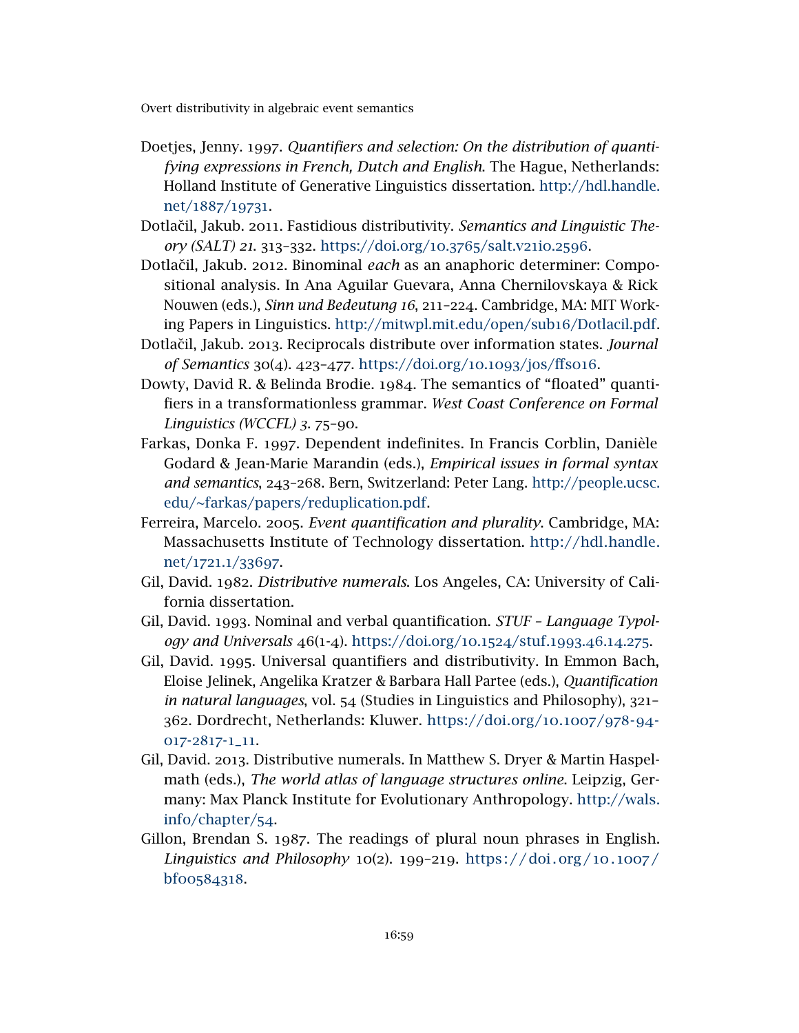- <span id="page-58-8"></span>Doetjes, Jenny. 1997. *Quantifiers and selection: On the distribution of quantifying expressions in French, Dutch and English*. The Hague, Netherlands: Holland Institute of Generative Linguistics dissertation. [http://hdl.handle.](http://hdl.handle.net/1887/19731) net/1887/[19731](http://hdl.handle.net/1887/19731).
- <span id="page-58-9"></span>Dotlačil, Jakub. 2011. Fastidious distributivity. *Semantics and Linguistic Theory (SALT) 21*. 313–332. [https://doi.org/](https://doi.org/10.3765/salt.v21i0.2596)10.3765/salt.v21i0.2596.
- <span id="page-58-10"></span>Dotlačil, Jakub. 2012. Binominal *each* as an anaphoric determiner: Compositional analysis. In Ana Aguilar Guevara, Anna Chernilovskaya & Rick Nouwen (eds.), *Sinn und Bedeutung 16*, 211–224. Cambridge, MA: MIT Working Papers in Linguistics. [http://mitwpl.mit.edu/open/sub](http://mitwpl.mit.edu/open/sub16/Dotlacil.pdf)16/Dotlacil.pdf.
- <span id="page-58-7"></span>Dotlaˇcil, Jakub. 2013. Reciprocals distribute over information states. *Journal of Semantics* 30(4). 423–477. [https://doi.org/](https://doi.org/10.1093/jos/ffs016)10.1093/jos/ffs016.
- <span id="page-58-6"></span>Dowty, David R. & Belinda Brodie. 1984. The semantics of "floated" quantifiers in a transformationless grammar. *West Coast Conference on Formal Linguistics (WCCFL) 3*. 75–90.
- <span id="page-58-5"></span>Farkas, Donka F. 1997. Dependent indefinites. In Francis Corblin, Danièle Godard & Jean-Marie Marandin (eds.), *Empirical issues in formal syntax and semantics*, 243–268. Bern, Switzerland: Peter Lang. [http://people.ucsc.](http://people.ucsc.edu/~farkas/papers/reduplication.pdf) [edu/~farkas/papers/reduplication.pdf.](http://people.ucsc.edu/~farkas/papers/reduplication.pdf)
- <span id="page-58-11"></span>Ferreira, Marcelo. 2005. *Event quantification and plurality*. Cambridge, MA: Massachusetts Institute of Technology dissertation. [http://hdl.handle.](http://hdl.handle.net/1721.1/33697) net/1721.1/[33697](http://hdl.handle.net/1721.1/33697).
- <span id="page-58-0"></span>Gil, David. 1982. *Distributive numerals*. Los Angeles, CA: University of California dissertation.
- <span id="page-58-1"></span>Gil, David. 1993. Nominal and verbal quantification. *STUF – Language Typology and Universals* 46(1-4). [https://doi.org/](https://doi.org/10.1524/stuf.1993.46.14.275)10.1524/stuf.1993.46.14.275.
- <span id="page-58-2"></span>Gil, David. 1995. Universal quantifiers and distributivity. In Emmon Bach, Eloise Jelinek, Angelika Kratzer & Barbara Hall Partee (eds.), *Quantification in natural languages*, vol. 54 (Studies in Linguistics and Philosophy), 321– 362. Dordrecht, Netherlands: Kluwer. [https://doi.org/](https://doi.org/10.1007/978-94-017-2817-1_11)10.1007/978-94- 017-[2817](https://doi.org/10.1007/978-94-017-2817-1_11)-1\_11.
- <span id="page-58-4"></span>Gil, David. 2013. Distributive numerals. In Matthew S. Dryer & Martin Haspelmath (eds.), *The world atlas of language structures online*. Leipzig, Germany: Max Planck Institute for Evolutionary Anthropology. [http://wals.](http://wals.info/chapter/54) [info/chapter/](http://wals.info/chapter/54)54.
- <span id="page-58-3"></span>Gillon, Brendan S. 1987. The readings of plural noun phrases in English. *Linguistics and Philosophy* 10(2). 199–219. [https : / / doi . org /](https://doi.org/10.1007/bf00584318) 10. 1007 / bf[00584318](https://doi.org/10.1007/bf00584318).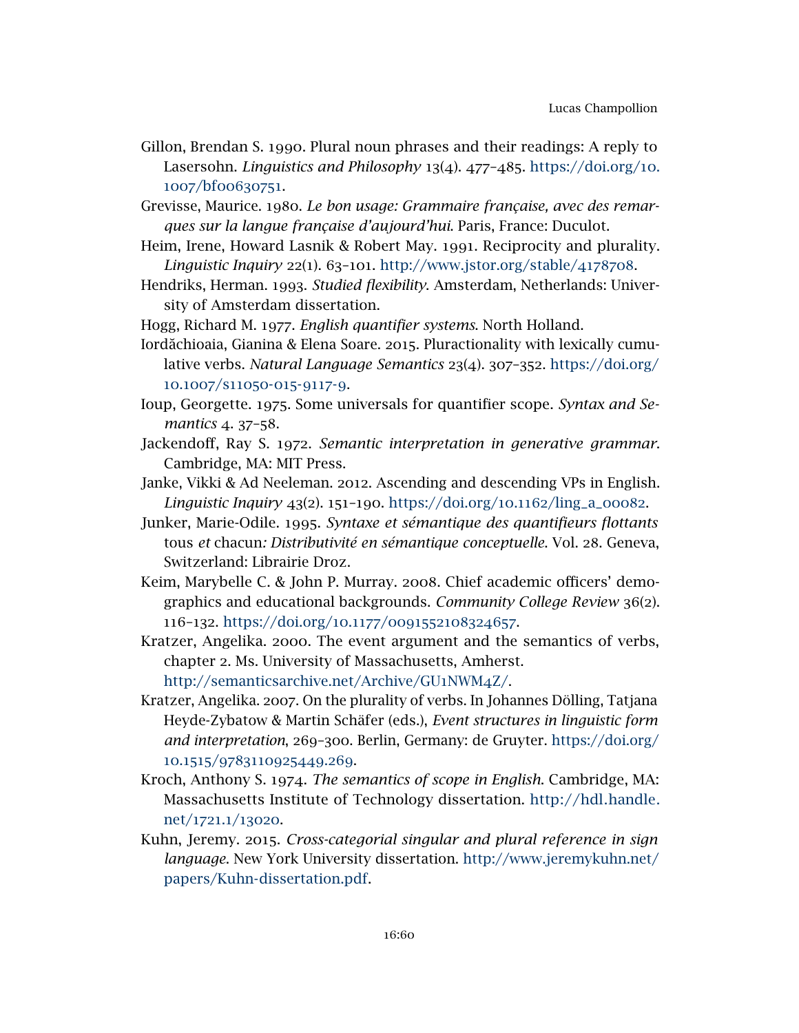- <span id="page-59-0"></span>Gillon, Brendan S. 1990. Plural noun phrases and their readings: A reply to Lasersohn. *Linguistics and Philosophy* 13(4). 477–485. [https://doi.org/](https://doi.org/10.1007/bf00630751)10. 1007/bf[00630751](https://doi.org/10.1007/bf00630751).
- <span id="page-59-3"></span>Grevisse, Maurice. 1980. *Le bon usage: Grammaire française, avec des remarques sur la langue française d'aujourd'hui*. Paris, France: Duculot.
- <span id="page-59-6"></span>Heim, Irene, Howard Lasnik & Robert May. 1991. Reciprocity and plurality. *Linguistic Inquiry* 22(1). 63–101. [http://www.jstor.org/stable/](http://www.jstor.org/stable/4178708)4178708.
- <span id="page-59-1"></span>Hendriks, Herman. 1993. *Studied flexibility*. Amsterdam, Netherlands: University of Amsterdam dissertation.
- <span id="page-59-12"></span>Hogg, Richard M. 1977. *English quantifier systems*. North Holland.
- <span id="page-59-5"></span>Iordăchioaia, Gianina & Elena Soare. 2015. Pluractionality with lexically cumulative verbs. *Natural Language Semantics* 23(4). 307–352. [https://doi.org/](https://doi.org/10.1007/s11050-015-9117-9) 10.1007/s[11050](https://doi.org/10.1007/s11050-015-9117-9)-015-9117-9.
- <span id="page-59-11"></span>Ioup, Georgette. 1975. Some universals for quantifier scope. *Syntax and Semantics* 4. 37–58.
- <span id="page-59-8"></span>Jackendoff, Ray S. 1972. *Semantic interpretation in generative grammar*. Cambridge, MA: MIT Press.
- <span id="page-59-7"></span>Janke, Vikki & Ad Neeleman. 2012. Ascending and descending VPs in English. *Linguistic Inquiry* 43(2). 151–190. [https://doi.org/](https://doi.org/10.1162/ling_a_00082)10.1162/ling\_a\_00082.
- <span id="page-59-4"></span>Junker, Marie-Odile. 1995. *Syntaxe et sémantique des quantifieurs flottants* tous *et* chacun*: Distributivité en sémantique conceptuelle*. Vol. 28. Geneva, Switzerland: Librairie Droz.
- <span id="page-59-9"></span>Keim, Marybelle C. & John P. Murray. 2008. Chief academic officers' demographics and educational backgrounds. *Community College Review* 36(2). 116–132. https://doi.org/10.1177/[0091552108324657](https://doi.org/10.1177/0091552108324657).
- <span id="page-59-13"></span>Kratzer, Angelika. 2000. The event argument and the semantics of verbs, chapter 2. Ms. University of Massachusetts, Amherst. [http://semanticsarchive.net/Archive/GU](http://semanticsarchive.net/Archive/GU1NWM4Z/)1NWM4Z/.
- <span id="page-59-14"></span>Kratzer, Angelika. 2007. On the plurality of verbs. In Johannes Dölling, Tatjana Heyde-Zybatow & Martin Schäfer (eds.), *Event structures in linguistic form and interpretation*, 269–300. Berlin, Germany: de Gruyter. [https://doi.org/](https://doi.org/10.1515/9783110925449.269) 10.1515/[9783110925449](https://doi.org/10.1515/9783110925449.269).269.
- <span id="page-59-10"></span>Kroch, Anthony S. 1974. *The semantics of scope in English*. Cambridge, MA: Massachusetts Institute of Technology dissertation. [http://hdl.handle.](http://hdl.handle.net/1721.1/13020) net/1721.1/[13020](http://hdl.handle.net/1721.1/13020).
- <span id="page-59-2"></span>Kuhn, Jeremy. 2015. *Cross-categorial singular and plural reference in sign language*. New York University dissertation. [http://www.jeremykuhn.net/](http://www.jeremykuhn.net/papers/Kuhn-dissertation.pdf) [papers/Kuhn-dissertation.pdf.](http://www.jeremykuhn.net/papers/Kuhn-dissertation.pdf)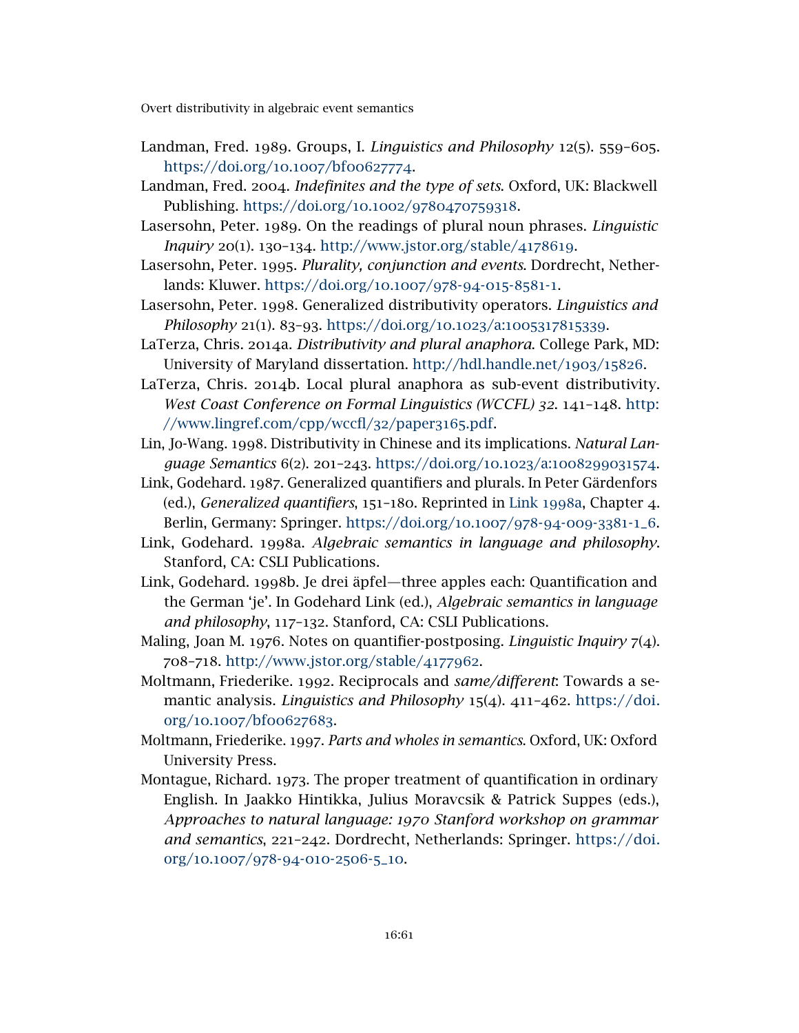- <span id="page-60-6"></span>Landman, Fred. 1989. Groups, I. *Linguistics and Philosophy* 12(5). 559–605. [https://doi.org/](https://doi.org/10.1007/bf00627774)10.1007/bf00627774.
- <span id="page-60-13"></span>Landman, Fred. 2004. *Indefinites and the type of sets*. Oxford, UK: Blackwell Publishing. [https://doi.org/](https://doi.org/10.1002/9780470759318)10.1002/9780470759318.
- <span id="page-60-2"></span>Lasersohn, Peter. 1989. On the readings of plural noun phrases. *Linguistic Inquiry* 20(1). 130–134. [http://www.jstor.org/stable/](http://www.jstor.org/stable/4178619)4178619.
- <span id="page-60-11"></span>Lasersohn, Peter. 1995. *Plurality, conjunction and events*. Dordrecht, Netherlands: Kluwer. [https://doi.org/](https://doi.org/10.1007/978-94-015-8581-1)10.1007/978-94-015-8581-1.
- <span id="page-60-3"></span>Lasersohn, Peter. 1998. Generalized distributivity operators. *Linguistics and Philosophy* 21(1). 83–93. [https://doi.org/](https://doi.org/10.1023/a:1005317815339)10.1023/a:1005317815339.
- <span id="page-60-4"></span>LaTerza, Chris. 2014a. *Distributivity and plural anaphora*. College Park, MD: University of Maryland dissertation. [http://hdl.handle.net/](http://hdl.handle.net/1903/15826)1903/15826.
- <span id="page-60-5"></span>LaTerza, Chris. 2014b. Local plural anaphora as sub-event distributivity. *West Coast Conference on Formal Linguistics (WCCFL) 32*. 141–148. [http:](http://www.lingref.com/cpp/wccfl/32/paper3165.pdf) [//www.lingref.com/cpp/wccfl/](http://www.lingref.com/cpp/wccfl/32/paper3165.pdf)32/paper3165.pdf.
- <span id="page-60-14"></span>Lin, Jo-Wang. 1998. Distributivity in Chinese and its implications. *Natural Language Semantics* 6(2). 201–243. [https://doi.org/](https://doi.org/10.1023/a:1008299031574)10.1023/a:1008299031574.
- <span id="page-60-0"></span>Link, Godehard. 1987. Generalized quantifiers and plurals. In Peter Gärdenfors (ed.), *Generalized quantifiers*, 151–180. Reprinted in Link [1998](#page-60-9)a, Chapter 4. Berlin, Germany: Springer. [https://doi.org/](https://doi.org/10.1007/978-94-009-3381-1_6)10.1007/978-94-009-3381-1\_6.
- <span id="page-60-9"></span>Link, Godehard. 1998a. *Algebraic semantics in language and philosophy*. Stanford, CA: CSLI Publications.
- <span id="page-60-7"></span>Link, Godehard. 1998b. Je drei äpfel—three apples each: Quantification and the German 'je'. In Godehard Link (ed.), *Algebraic semantics in language and philosophy*, 117–132. Stanford, CA: CSLI Publications.
- <span id="page-60-10"></span>Maling, Joan M. 1976. Notes on quantifier-postposing. *Linguistic Inquiry* 7(4). 708–718. [http://www.jstor.org/stable/](http://www.jstor.org/stable/4177962)4177962.
- <span id="page-60-8"></span>Moltmann, Friederike. 1992. Reciprocals and *same/different*: Towards a semantic analysis. *Linguistics and Philosophy* 15(4). 411–462. [https://doi.](https://doi.org/10.1007/bf00627683) org/10.1007/bf[00627683](https://doi.org/10.1007/bf00627683).
- <span id="page-60-1"></span>Moltmann, Friederike. 1997. *Parts and wholes in semantics*. Oxford, UK: Oxford University Press.
- <span id="page-60-12"></span>Montague, Richard. 1973. The proper treatment of quantification in ordinary English. In Jaakko Hintikka, Julius Moravcsik & Patrick Suppes (eds.), *Approaches to natural language: 1970 Stanford workshop on grammar and semantics*, 221–242. Dordrecht, Netherlands: Springer. [https://doi.](https://doi.org/10.1007/978-94-010-2506-5_10) [org/](https://doi.org/10.1007/978-94-010-2506-5_10)10.1007/978-94-010-2506-5\_10.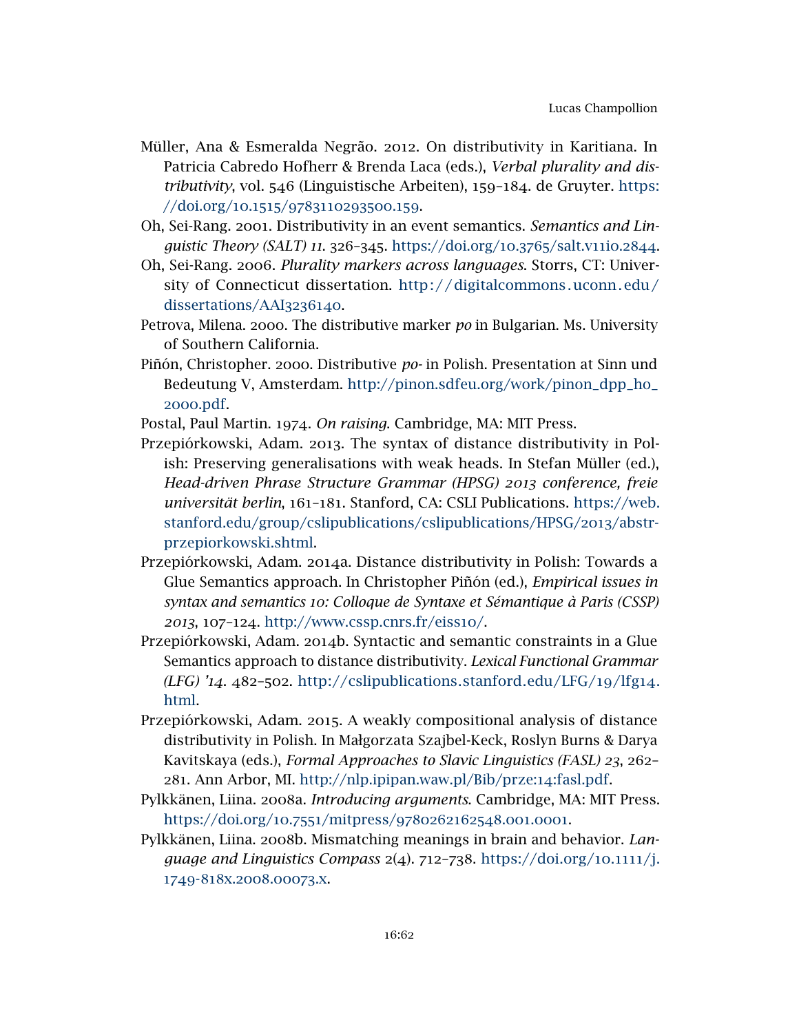- <span id="page-61-9"></span>Müller, Ana & Esmeralda Negrão. 2012. On distributivity in Karitiana. In Patricia Cabredo Hofherr & Brenda Laca (eds.), *Verbal plurality and distributivity*, vol. 546 (Linguistische Arbeiten), 159–184. de Gruyter. [https:](https://doi.org/10.1515/9783110293500.159) //doi.org/10.1515/[9783110293500](https://doi.org/10.1515/9783110293500.159).159.
- <span id="page-61-0"></span>Oh, Sei-Rang. 2001. Distributivity in an event semantics. *Semantics and Linguistic Theory (SALT) 11*. 326–345. [https://doi.org/](https://doi.org/10.3765/salt.v11i0.2844)10.3765/salt.v11i0.2844.
- <span id="page-61-1"></span>Oh, Sei-Rang. 2006. *Plurality markers across languages*. Storrs, CT: University of Connecticut dissertation. http://digitalcommons.uconn.edu/ [dissertations/AAI](http://digitalcommons.uconn.edu/dissertations/AAI3236140)3236140.
- <span id="page-61-8"></span>Petrova, Milena. 2000. The distributive marker *po* in Bulgarian. Ms. University of Southern California.
- <span id="page-61-3"></span>Piñón, Christopher. 2000. Distributive *po-* in Polish. Presentation at Sinn und Bedeutung V, Amsterdam. [http://pinon.sdfeu.org/work/pinon\\_dpp\\_ho\\_](http://pinon.sdfeu.org/work/pinon_dpp_ho_2000.pdf) [2000](http://pinon.sdfeu.org/work/pinon_dpp_ho_2000.pdf).pdf.
- <span id="page-61-2"></span>Postal, Paul Martin. 1974. *On raising*. Cambridge, MA: MIT Press.
- <span id="page-61-4"></span>Przepiórkowski, Adam. 2013. The syntax of distance distributivity in Polish: Preserving generalisations with weak heads. In Stefan Müller (ed.), *Head-driven Phrase Structure Grammar (HPSG) 2013 conference, freie universität berlin*, 161–181. Stanford, CA: CSLI Publications. [https://web.](https://web.stanford.edu/group/cslipublications/cslipublications/HPSG/2013/abstr-przepiorkowski.shtml) [stanford.edu/group/cslipublications/cslipublications/HPSG/](https://web.stanford.edu/group/cslipublications/cslipublications/HPSG/2013/abstr-przepiorkowski.shtml)2013/abstr[przepiorkowski.shtml.](https://web.stanford.edu/group/cslipublications/cslipublications/HPSG/2013/abstr-przepiorkowski.shtml)
- <span id="page-61-5"></span>Przepiórkowski, Adam. 2014a. Distance distributivity in Polish: Towards a Glue Semantics approach. In Christopher Piñón (ed.), *Empirical issues in syntax and semantics 10: Colloque de Syntaxe et Sémantique à Paris (CSSP) 2013*, 107–124. [http://www.cssp.cnrs.fr/eiss](http://www.cssp.cnrs.fr/eiss10/)10/.
- <span id="page-61-6"></span>Przepiórkowski, Adam. 2014b. Syntactic and semantic constraints in a Glue Semantics approach to distance distributivity. *Lexical Functional Grammar (LFG) '14*. 482–502. [http://cslipublications.stanford.edu/LFG/](http://cslipublications.stanford.edu/LFG/19/lfg14.html)19/lfg14. [html.](http://cslipublications.stanford.edu/LFG/19/lfg14.html)
- <span id="page-61-7"></span>Przepiórkowski, Adam. 2015. A weakly compositional analysis of distance distributivity in Polish. In Małgorzata Szajbel-Keck, Roslyn Burns & Darya Kavitskaya (eds.), *Formal Approaches to Slavic Linguistics (FASL) 23*, 262– 281. Ann Arbor, MI. [http://nlp.ipipan.waw.pl/Bib/prze:](http://nlp.ipipan.waw.pl/Bib/prze:14:fasl.pdf)14:fasl.pdf.
- <span id="page-61-10"></span>Pylkkänen, Liina. 2008a. *Introducing arguments*. Cambridge, MA: MIT Press. [https://doi.org/](https://doi.org/10.7551/mitpress/9780262162548.001.0001)10.7551/mitpress/9780262162548.001.0001.
- <span id="page-61-11"></span>Pylkkänen, Liina. 2008b. Mismatching meanings in brain and behavior. *Language and Linguistics Compass* 2(4). 712–738. [https://doi.org/](https://doi.org/10.1111/j.1749-818x.2008.00073.x)10.1111/j. 1749-818x.2008.[00073](https://doi.org/10.1111/j.1749-818x.2008.00073.x).x.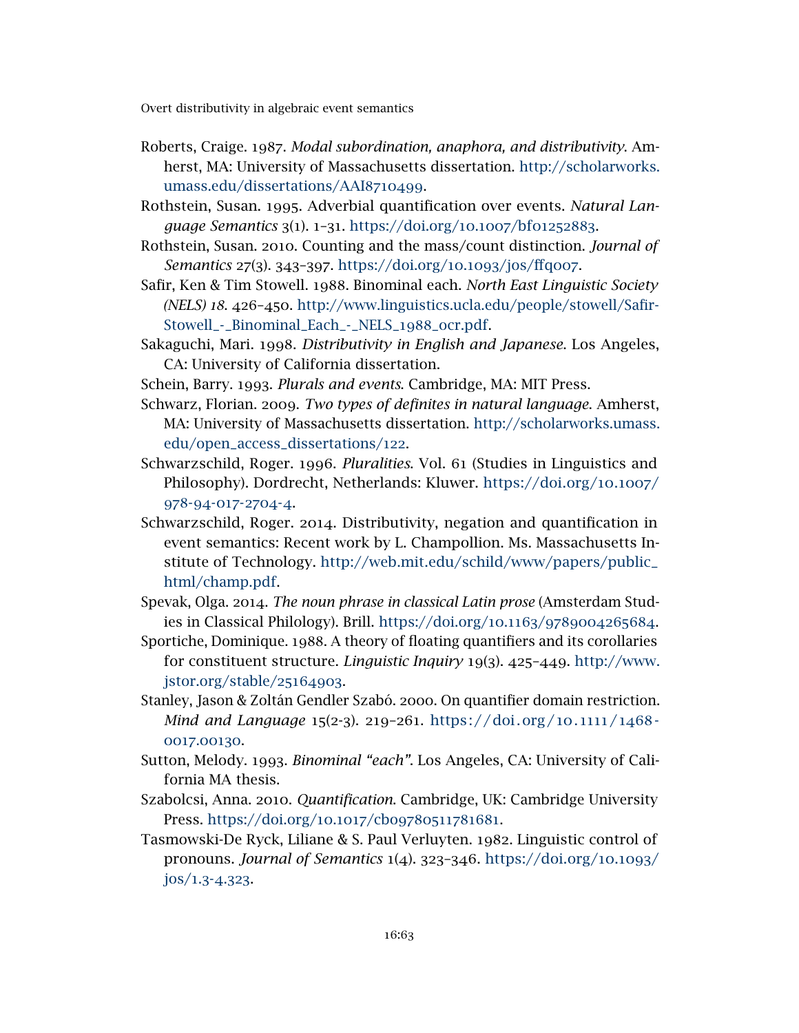- <span id="page-62-0"></span>Roberts, Craige. 1987. *Modal subordination, anaphora, and distributivity*. Amherst, MA: University of Massachusetts dissertation. [http://scholarworks.](http://scholarworks.umass.edu/dissertations/AAI8710499) [umass.edu/dissertations/AAI](http://scholarworks.umass.edu/dissertations/AAI8710499)8710499.
- <span id="page-62-12"></span>Rothstein, Susan. 1995. Adverbial quantification over events. *Natural Language Semantics* 3(1). 1–31. [https://doi.org/](https://doi.org/10.1007/bf01252883)10.1007/bf01252883.
- <span id="page-62-11"></span>Rothstein, Susan. 2010. Counting and the mass/count distinction. *Journal of Semantics* 27(3). 343–397. [https://doi.org/](https://doi.org/10.1093/jos/ffq007)10.1093/jos/ffq007.
- <span id="page-62-2"></span>Safir, Ken & Tim Stowell. 1988. Binominal each. *North East Linguistic Society (NELS) 18*. 426–450. [http://www.linguistics.ucla.edu/people/stowell/Safir-](http://www.linguistics.ucla.edu/people/stowell/Safir-Stowell_-_Binominal_Each_-_NELS_1988_ocr.pdf)[Stowell\\_-\\_Binominal\\_Each\\_-\\_NELS\\_](http://www.linguistics.ucla.edu/people/stowell/Safir-Stowell_-_Binominal_Each_-_NELS_1988_ocr.pdf)1988\_ocr.pdf.
- <span id="page-62-4"></span>Sakaguchi, Mari. 1998. *Distributivity in English and Japanese*. Los Angeles, CA: University of California dissertation.
- <span id="page-62-8"></span>Schein, Barry. 1993. *Plurals and events*. Cambridge, MA: MIT Press.
- <span id="page-62-10"></span>Schwarz, Florian. 2009. *Two types of definites in natural language*. Amherst, MA: University of Massachusetts dissertation. [http://scholarworks.umass.](http://scholarworks.umass.edu/open_access_dissertations/122) [edu/open\\_access\\_dissertations/](http://scholarworks.umass.edu/open_access_dissertations/122)122.
- <span id="page-62-1"></span>Schwarzschild, Roger. 1996. *Pluralities*. Vol. 61 (Studies in Linguistics and Philosophy). Dordrecht, Netherlands: Kluwer. [https://doi.org/](https://doi.org/10.1007/978-94-017-2704-4)10.1007/ 978-94-017-[2704](https://doi.org/10.1007/978-94-017-2704-4)-4.
- <span id="page-62-14"></span>Schwarzschild, Roger. 2014. Distributivity, negation and quantification in event semantics: Recent work by L. Champollion. Ms. Massachusetts Institute of Technology. [http://web.mit.edu/schild/www/papers/public\\_](http://web.mit.edu/schild/www/papers/public_html/champ.pdf) [html/champ.pdf.](http://web.mit.edu/schild/www/papers/public_html/champ.pdf)
- <span id="page-62-5"></span>Spevak, Olga. 2014. *The noun phrase in classical Latin prose* (Amsterdam Studies in Classical Philology). Brill. [https://doi.org/](https://doi.org/10.1163/9789004265684)10.1163/9789004265684.
- <span id="page-62-3"></span>Sportiche, Dominique. 1988. A theory of floating quantifiers and its corollaries for constituent structure. *Linguistic Inquiry* 19(3). 425–449. [http://www.](http://www.jstor.org/stable/25164903) [jstor.org/stable/](http://www.jstor.org/stable/25164903)25164903.
- <span id="page-62-9"></span>Stanley, Jason & Zoltán Gendler Szabó. 2000. On quantifier domain restriction. *Mind and Language* 15(2-3). 219-261. https://doi.org/10.1111/1468-0017.[00130](https://doi.org/10.1111/1468-0017.00130).
- <span id="page-62-7"></span>Sutton, Melody. 1993. *Binominal "each"*. Los Angeles, CA: University of California MA thesis.
- <span id="page-62-6"></span>Szabolcsi, Anna. 2010. *Quantification*. Cambridge, UK: Cambridge University Press. [https://doi.org/](https://doi.org/10.1017/cbo9780511781681)10.1017/cbo9780511781681.
- <span id="page-62-13"></span>Tasmowski-De Ryck, Liliane & S. Paul Verluyten. 1982. Linguistic control of pronouns. *Journal of Semantics* 1(4). 323–346. [https://doi.org/](https://doi.org/10.1093/jos/1.3-4.323)10.1093/ [jos/](https://doi.org/10.1093/jos/1.3-4.323)1.3-4.323.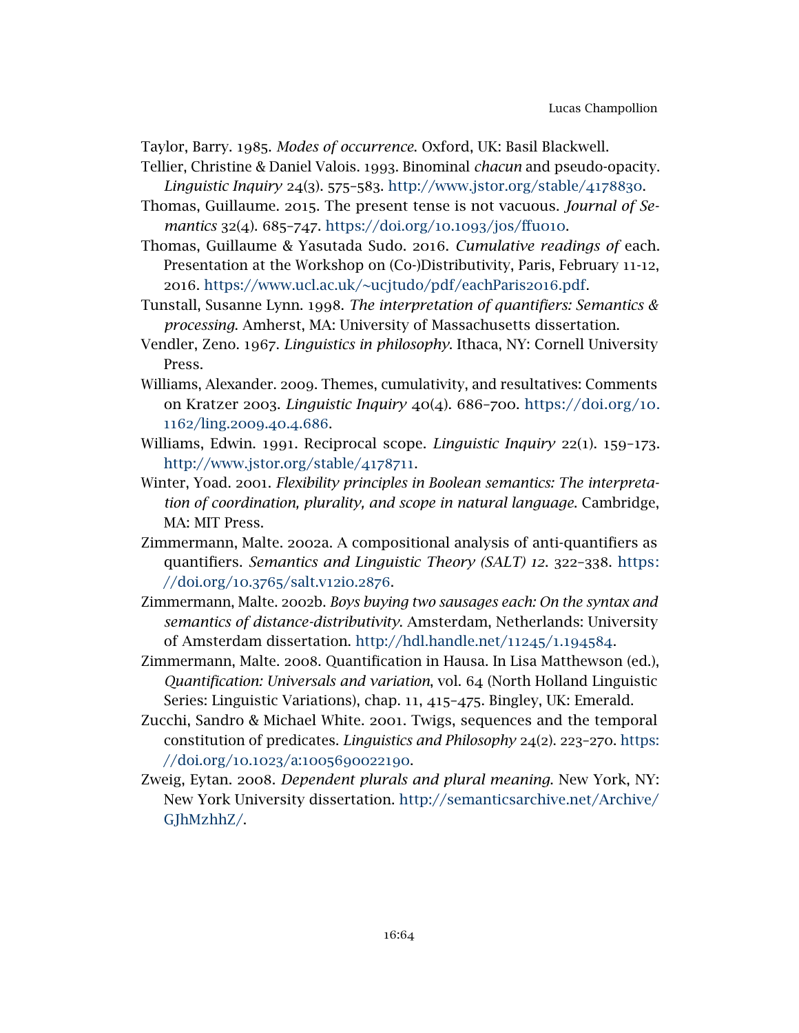<span id="page-63-10"></span>Taylor, Barry. 1985. *Modes of occurrence*. Oxford, UK: Basil Blackwell.

<span id="page-63-1"></span>Tellier, Christine & Daniel Valois. 1993. Binominal *chacun* and pseudo-opacity. *Linguistic Inquiry* 24(3). 575–583. [http://www.jstor.org/stable/](http://www.jstor.org/stable/4178830)4178830.

<span id="page-63-9"></span>Thomas, Guillaume. 2015. The present tense is not vacuous. *Journal of Semantics* 32(4). 685–747. [https://doi.org/](https://doi.org/10.1093/jos/ffu010)10.1093/jos/ffu010.

- <span id="page-63-7"></span>Thomas, Guillaume & Yasutada Sudo. 2016. *Cumulative readings of* each. Presentation at the Workshop on (Co-)Distributivity, Paris, February 11-12, 2016. [https://www.ucl.ac.uk/~ucjtudo/pdf/eachParis](https://www.ucl.ac.uk/~ucjtudo/pdf/eachParis2016.pdf)2016.pdf.
- <span id="page-63-6"></span>Tunstall, Susanne Lynn. 1998. *The interpretation of quantifiers: Semantics & processing*. Amherst, MA: University of Massachusetts dissertation.
- <span id="page-63-8"></span>Vendler, Zeno. 1967. *Linguistics in philosophy*. Ithaca, NY: Cornell University Press.
- <span id="page-63-13"></span>Williams, Alexander. 2009. Themes, cumulativity, and resultatives: Comments on Kratzer 2003. *Linguistic Inquiry* 40(4). 686–700. [https://doi.org/](https://doi.org/10.1162/ling.2009.40.4.686)10. 1162[/ling.](https://doi.org/10.1162/ling.2009.40.4.686)2009.40.4.686.
- <span id="page-63-3"></span>Williams, Edwin. 1991. Reciprocal scope. *Linguistic Inquiry* 22(1). 159–173. [http://www.jstor.org/stable/](http://www.jstor.org/stable/4178711)4178711.
- <span id="page-63-5"></span>Winter, Yoad. 2001. *Flexibility principles in Boolean semantics: The interpretation of coordination, plurality, and scope in natural language*. Cambridge, MA: MIT Press.
- <span id="page-63-4"></span>Zimmermann, Malte. 2002a. A compositional analysis of anti-quantifiers as quantifiers. *Semantics and Linguistic Theory (SALT) 12*. 322–338. [https:](https://doi.org/10.3765/salt.v12i0.2876) [//doi.org/](https://doi.org/10.3765/salt.v12i0.2876)10.3765/salt.v12i0.2876.
- <span id="page-63-0"></span>Zimmermann, Malte. 2002b. *Boys buying two sausages each: On the syntax and semantics of distance-distributivity*. Amsterdam, Netherlands: University of Amsterdam dissertation. [http://hdl.handle.net/](http://hdl.handle.net/11245/1.194584)11245/1.194584.
- <span id="page-63-2"></span>Zimmermann, Malte. 2008. Quantification in Hausa. In Lisa Matthewson (ed.), *Quantification: Universals and variation*, vol. 64 (North Holland Linguistic Series: Linguistic Variations), chap. 11, 415–475. Bingley, UK: Emerald.
- <span id="page-63-12"></span>Zucchi, Sandro & Michael White. 2001. Twigs, sequences and the temporal constitution of predicates. *Linguistics and Philosophy* 24(2). 223–270. [https:](https://doi.org/10.1023/a:1005690022190) //doi.org/10.1023/a:[1005690022190](https://doi.org/10.1023/a:1005690022190).
- <span id="page-63-11"></span>Zweig, Eytan. 2008. *Dependent plurals and plural meaning*. New York, NY: New York University dissertation. [http://semanticsarchive.net/Archive/](http://semanticsarchive.net/Archive/GJhMzhhZ/) [GJhMzhhZ/.](http://semanticsarchive.net/Archive/GJhMzhhZ/)